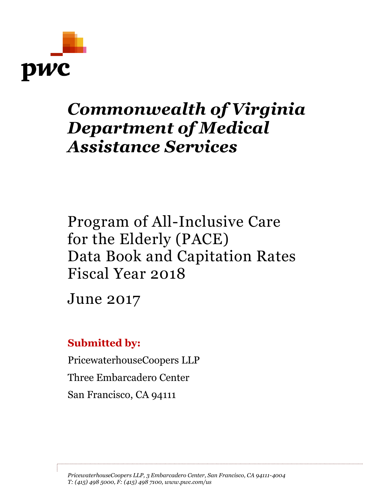

# *Commonwealth of Virginia Department of Medical Assistance Services*

Program of All-Inclusive Care for the Elderly (PACE) Data Book and Capitation Rates Fiscal Year 2018

June 2017

# **Submitted by:**

PricewaterhouseCoopers LLP Three Embarcadero Center San Francisco, CA 94111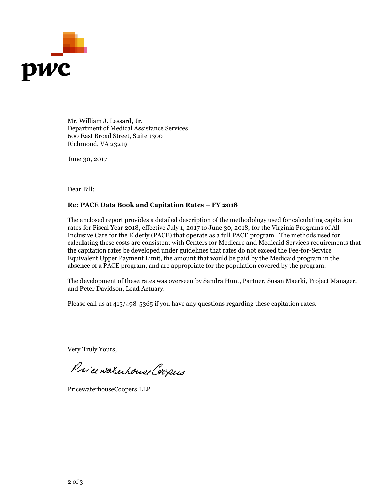

Mr. William J. Lessard, Jr. Department of Medical Assistance Services 600 East Broad Street, Suite 1300 Richmond, VA 23219

June 30, 2017

Dear Bill:

#### **Re: PACE Data Book and Capitation Rates – FY 2018**

The enclosed report provides a detailed description of the methodology used for calculating capitation rates for Fiscal Year 2018, effective July 1, 2017 to June 30, 2018, for the Virginia Programs of All-Inclusive Care for the Elderly (PACE) that operate as a full PACE program. The methods used for calculating these costs are consistent with Centers for Medicare and Medicaid Services requirements that the capitation rates be developed under guidelines that rates do not exceed the Fee-for-Service Equivalent Upper Payment Limit, the amount that would be paid by the Medicaid program in the absence of a PACE program, and are appropriate for the population covered by the program.

The development of these rates was overseen by Sandra Hunt, Partner, Susan Maerki, Project Manager, and Peter Davidson, Lead Actuary.

Please call us at 415/498-5365 if you have any questions regarding these capitation rates.

Very Truly Yours,

Price waterhouse Coopers

PricewaterhouseCoopers LLP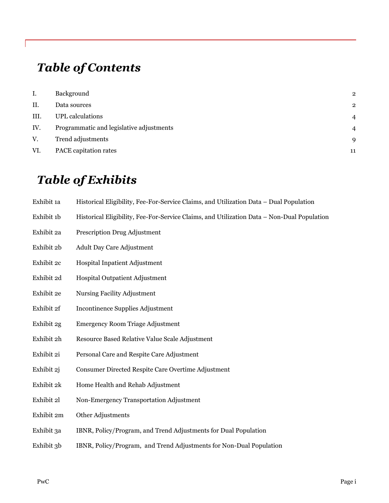# *Table of Contents*

| Ι.   | Background                               | $\mathbf 2$    |
|------|------------------------------------------|----------------|
| II.  | Data sources                             | $\overline{2}$ |
| III. | <b>UPL</b> calculations                  | 4              |
| IV.  | Programmatic and legislative adjustments | 4              |
| V.   | Trend adjustments                        | 9              |
| VI.  | PACE capitation rates                    | 11             |

# *Table of Exhibits*

| Exhibit 1a |  | Historical Eligibility, Fee-For-Service Claims, and Utilization Data – Dual Population |  |  |
|------------|--|----------------------------------------------------------------------------------------|--|--|
|------------|--|----------------------------------------------------------------------------------------|--|--|

- Exhibit 1b Historical Eligibility, Fee-For-Service Claims, and Utilization Data Non-Dual Population
- Exhibit 2a Prescription Drug Adjustment
- Exhibit 2b Adult Day Care Adjustment
- Exhibit 2c Hospital Inpatient Adjustment
- Exhibit 2d Hospital Outpatient Adjustment
- Exhibit 2e Nursing Facility Adjustment
- Exhibit 2f Incontinence Supplies Adjustment
- Exhibit 2g Emergency Room Triage Adjustment
- Exhibit 2h Resource Based Relative Value Scale Adjustment
- Exhibit 2i Personal Care and Respite Care Adjustment
- Exhibit 2j Consumer Directed Respite Care Overtime Adjustment
- Exhibit 2k Home Health and Rehab Adjustment
- Exhibit 2l Non-Emergency Transportation Adjustment
- Exhibit 2m Other Adjustments
- Exhibit 3a IBNR, Policy/Program, and Trend Adjustments for Dual Population
- Exhibit 3b IBNR, Policy/Program, and Trend Adjustments for Non-Dual Population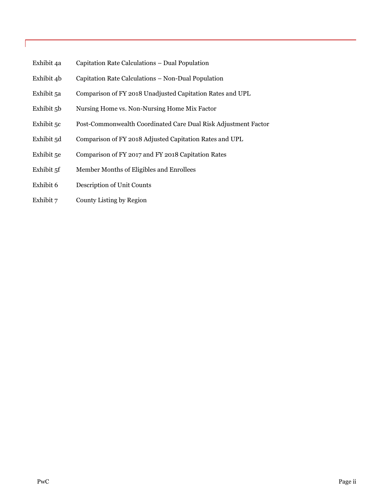- Exhibit 4a Capitation Rate Calculations Dual Population
- Exhibit 4b Capitation Rate Calculations Non-Dual Population
- Exhibit 5a Comparison of FY 2018 Unadjusted Capitation Rates and UPL
- Exhibit 5b Nursing Home vs. Non-Nursing Home Mix Factor
- Exhibit 5c Post-Commonwealth Coordinated Care Dual Risk Adjustment Factor
- Exhibit 5d Comparison of FY 2018 Adjusted Capitation Rates and UPL
- Exhibit 5e Comparison of FY 2017 and FY 2018 Capitation Rates
- Exhibit 5f Member Months of Eligibles and Enrollees
- Exhibit 6 Description of Unit Counts
- Exhibit 7 County Listing by Region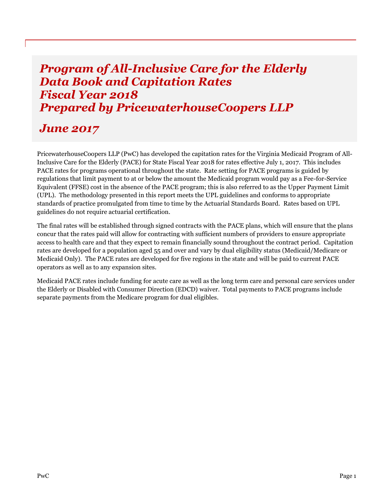# *Program of All-Inclusive Care for the Elderly Data Book and Capitation Rates Fiscal Year 2018 Prepared by PricewaterhouseCoopers LLP*

# *June 2017*

PricewaterhouseCoopers LLP (PwC) has developed the capitation rates for the Virginia Medicaid Program of All-Inclusive Care for the Elderly (PACE) for State Fiscal Year 2018 for rates effective July 1, 2017. This includes PACE rates for programs operational throughout the state. Rate setting for PACE programs is guided by regulations that limit payment to at or below the amount the Medicaid program would pay as a Fee-for-Service Equivalent (FFSE) cost in the absence of the PACE program; this is also referred to as the Upper Payment Limit (UPL). The methodology presented in this report meets the UPL guidelines and conforms to appropriate standards of practice promulgated from time to time by the Actuarial Standards Board. Rates based on UPL guidelines do not require actuarial certification.

The final rates will be established through signed contracts with the PACE plans, which will ensure that the plans concur that the rates paid will allow for contracting with sufficient numbers of providers to ensure appropriate access to health care and that they expect to remain financially sound throughout the contract period. Capitation rates are developed for a population aged 55 and over and vary by dual eligibility status (Medicaid/Medicare or Medicaid Only). The PACE rates are developed for five regions in the state and will be paid to current PACE operators as well as to any expansion sites.

Medicaid PACE rates include funding for acute care as well as the long term care and personal care services under the Elderly or Disabled with Consumer Direction (EDCD) waiver. Total payments to PACE programs include separate payments from the Medicare program for dual eligibles.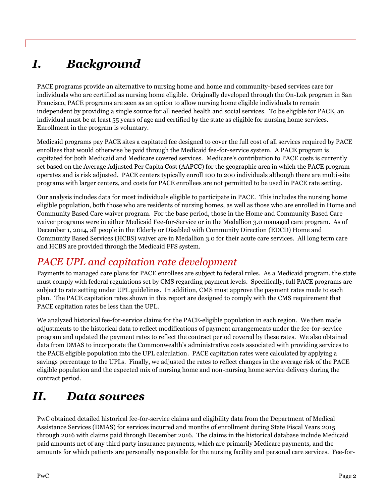# <span id="page-5-0"></span>*I. Background*

PACE programs provide an alternative to nursing home and home and community-based services care for individuals who are certified as nursing home eligible. Originally developed through the On-Lok program in San Francisco, PACE programs are seen as an option to allow nursing home eligible individuals to remain independent by providing a single source for all needed health and social services. To be eligible for PACE, an individual must be at least 55 years of age and certified by the state as eligible for nursing home services. Enrollment in the program is voluntary.

Medicaid programs pay PACE sites a capitated fee designed to cover the full cost of all services required by PACE enrollees that would otherwise be paid through the Medicaid fee-for-service system. A PACE program is capitated for both Medicaid and Medicare covered services. Medicare's contribution to PACE costs is currently set based on the Average Adjusted Per Capita Cost (AAPCC) for the geographic area in which the PACE program operates and is risk adjusted. PACE centers typically enroll 100 to 200 individuals although there are multi-site programs with larger centers, and costs for PACE enrollees are not permitted to be used in PACE rate setting.

Our analysis includes data for most individuals eligible to participate in PACE. This includes the nursing home eligible population, both those who are residents of nursing homes, as well as those who are enrolled in Home and Community Based Care waiver program. For the base period, those in the Home and Community Based Care waiver programs were in either Medicaid Fee-for-Service or in the Medallion 3.0 managed care program. As of December 1, 2014, all people in the Elderly or Disabled with Community Direction (EDCD) Home and Community Based Services (HCBS) waiver are in Medallion 3.0 for their acute care services. All long term care and HCBS are provided through the Medicaid FFS system.

# *PACE UPL and capitation rate development*

Payments to managed care plans for PACE enrollees are subject to federal rules. As a Medicaid program, the state must comply with federal regulations set by CMS regarding payment levels. Specifically, full PACE programs are subject to rate setting under UPL guidelines. In addition, CMS must approve the payment rates made to each plan. The PACE capitation rates shown in this report are designed to comply with the CMS requirement that PACE capitation rates be less than the UPL.

We analyzed historical fee-for-service claims for the PACE-eligible population in each region. We then made adjustments to the historical data to reflect modifications of payment arrangements under the fee-for-service program and updated the payment rates to reflect the contract period covered by these rates. We also obtained data from DMAS to incorporate the Commonwealth's administrative costs associated with providing services to the PACE eligible population into the UPL calculation. PACE capitation rates were calculated by applying a savings percentage to the UPLs. Finally, we adjusted the rates to reflect changes in the average risk of the PACE eligible population and the expected mix of nursing home and non-nursing home service delivery during the contract period.

# <span id="page-5-1"></span>*II. Data sources*

PwC obtained detailed historical fee-for-service claims and eligibility data from the Department of Medical Assistance Services (DMAS) for services incurred and months of enrollment during State Fiscal Years 2015 through 2016 with claims paid through December 2016. The claims in the historical database include Medicaid paid amounts net of any third party insurance payments, which are primarily Medicare payments, and the amounts for which patients are personally responsible for the nursing facility and personal care services. Fee-for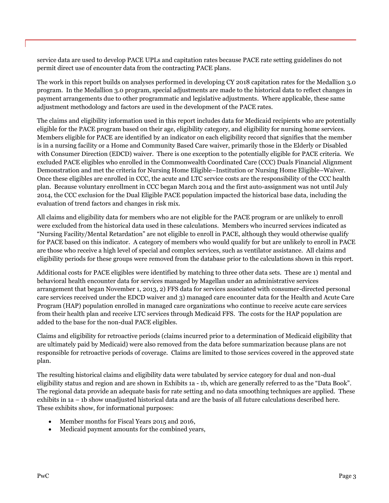service data are used to develop PACE UPLs and capitation rates because PACE rate setting guidelines do not permit direct use of encounter data from the contracting PACE plans.

The work in this report builds on analyses performed in developing CY 2018 capitation rates for the Medallion 3.0 program. In the Medallion 3.0 program, special adjustments are made to the historical data to reflect changes in payment arrangements due to other programmatic and legislative adjustments. Where applicable, these same adjustment methodology and factors are used in the development of the PACE rates.

The claims and eligibility information used in this report includes data for Medicaid recipients who are potentially eligible for the PACE program based on their age, eligibility category, and eligibility for nursing home services. Members eligible for PACE are identified by an indicator on each eligibility record that signifies that the member is in a nursing facility or a Home and Community Based Care waiver, primarily those in the Elderly or Disabled with Consumer Direction (EDCD) waiver. There is one exception to the potentially eligible for PACE criteria. We excluded PACE eligibles who enrolled in the Commonwealth Coordinated Care (CCC) Duals Financial Alignment Demonstration and met the criteria for Nursing Home Eligible–Institution or Nursing Home Eligible–Waiver. Once these eligibles are enrolled in CCC, the acute and LTC service costs are the responsibility of the CCC health plan. Because voluntary enrollment in CCC began March 2014 and the first auto-assignment was not until July 2014, the CCC exclusion for the Dual Eligible PACE population impacted the historical base data, including the evaluation of trend factors and changes in risk mix.

All claims and eligibility data for members who are not eligible for the PACE program or are unlikely to enroll were excluded from the historical data used in these calculations. Members who incurred services indicated as "Nursing Facility/Mental Retardation" are not eligible to enroll in PACE, although they would otherwise qualify for PACE based on this indicator. A category of members who would qualify for but are unlikely to enroll in PACE are those who receive a high level of special and complex services, such as ventilator assistance. All claims and eligibility periods for these groups were removed from the database prior to the calculations shown in this report.

Additional costs for PACE eligibles were identified by matching to three other data sets. These are 1) mental and behavioral health encounter data for services managed by Magellan under an administrative services arrangement that began November 1, 2013, 2) FFS data for services associated with consumer-directed personal care services received under the EDCD waiver and 3) managed care encounter data for the Health and Acute Care Program (HAP) population enrolled in managed care organizations who continue to receive acute care services from their health plan and receive LTC services through Medicaid FFS. The costs for the HAP population are added to the base for the non-dual PACE eligibles.

Claims and eligibility for retroactive periods (claims incurred prior to a determination of Medicaid eligibility that are ultimately paid by Medicaid) were also removed from the data before summarization because plans are not responsible for retroactive periods of coverage. Claims are limited to those services covered in the approved state plan.

The resulting historical claims and eligibility data were tabulated by service category for dual and non-dual eligibility status and region and are shown in Exhibits 1a - 1b, which are generally referred to as the "Data Book". The regional data provide an adequate basis for rate setting and no data smoothing techniques are applied. These exhibits in 1a – 1b show unadjusted historical data and are the basis of all future calculations described here. These exhibits show, for informational purposes:

- Member months for Fiscal Years 2015 and 2016,
- Medicaid payment amounts for the combined years,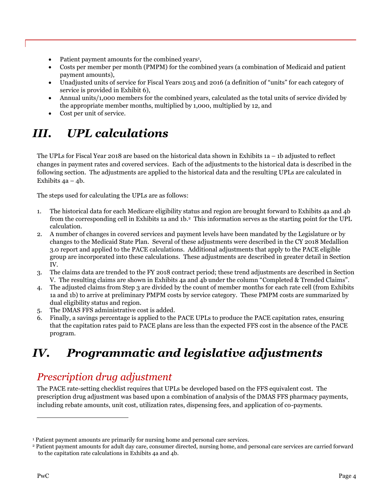- Patient payment amounts for the combined years<sup>1</sup>,
- Costs per member per month (PMPM) for the combined years (a combination of Medicaid and patient payment amounts),
- Unadjusted units of service for Fiscal Years 2015 and 2016 (a definition of "units" for each category of service is provided in Exhibit 6),
- Annual units/1,000 members for the combined years, calculated as the total units of service divided by the appropriate member months, multiplied by 1,000, multiplied by 12, and
- Cost per unit of service.

# <span id="page-7-0"></span>*III. UPL calculations*

The UPLs for Fiscal Year 2018 are based on the historical data shown in Exhibits 1a – 1b adjusted to reflect changes in payment rates and covered services. Each of the adjustments to the historical data is described in the following section. The adjustments are applied to the historical data and the resulting UPLs are calculated in Exhibits  $4a - 4b$ .

The steps used for calculating the UPLs are as follows:

- 1. The historical data for each Medicare eligibility status and region are brought forward to Exhibits 4a and 4b from the corresponding cell in Exhibits 1a and 1b. <sup>2</sup> This information serves as the starting point for the UPL calculation.
- 2. A number of changes in covered services and payment levels have been mandated by the Legislature or by changes to the Medicaid State Plan. Several of these adjustments were described in the CY 2018 Medallion 3.0 report and applied to the PACE calculations. Additional adjustments that apply to the PACE eligible group are incorporated into these calculations. These adjustments are described in greater detail in Section IV.
- 3. The claims data are trended to the FY 2018 contract period; these trend adjustments are described in Section V. The resulting claims are shown in Exhibits 4a and 4b under the column "Completed & Trended Claims".
- 4. The adjusted claims from Step 3 are divided by the count of member months for each rate cell (from Exhibits 1a and 1b) to arrive at preliminary PMPM costs by service category. These PMPM costs are summarized by dual eligibility status and region.
- 5. The DMAS FFS administrative cost is added.
- 6. Finally, a savings percentage is applied to the PACE UPLs to produce the PACE capitation rates, ensuring that the capitation rates paid to PACE plans are less than the expected FFS cost in the absence of the PACE program.

# <span id="page-7-1"></span>*IV. Programmatic and legislative adjustments*

# *Prescription drug adjustment*

The PACE rate-setting checklist requires that UPLs be developed based on the FFS equivalent cost. The prescription drug adjustment was based upon a combination of analysis of the DMAS FFS pharmacy payments, including rebate amounts, unit cost, utilization rates, dispensing fees, and application of co-payments.

 $\overline{a}$ 

<sup>&</sup>lt;sup>1</sup> Patient payment amounts are primarily for nursing home and personal care services.

<sup>2</sup> Patient payment amounts for adult day care, consumer directed, nursing home, and personal care services are carried forward to the capitation rate calculations in Exhibits 4a and 4b.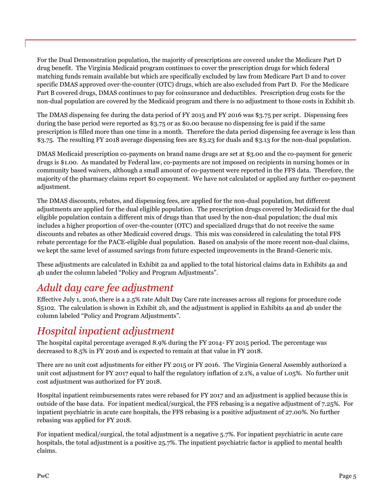For the Dual Demonstration population, the majority of prescriptions are covered under the Medicare Part D drug benefit. The Virginia Medicaid program continues to cover the prescription drugs for which federal matching funds remain available but which are specifically excluded by law from Medicare Part D and to cover specific DMAS approved over-the-counter (OTC) drugs, which are also excluded from Part D. For the Medicare Part B covered drugs, DMAS continues to pay for coinsurance and deductibles. Prescription drug costs for the non-dual population are covered by the Medicaid program and there is no adjustment to those costs in Exhibit 1b.

The DMAS dispensing fee during the data period of FY 2015 and FY 2016 was \$3.75 per script. Dispensing fees during the base period were reported as \$3.75 or as \$0.00 because no dispensing fee is paid if the same prescription is filled more than one time in a month. Therefore the data period dispensing fee average is less than \$3.75. The resulting FY 2018 average dispensing fees are \$3.23 for duals and \$3.13 for the non-dual population.

DMAS Medicaid prescription co-payments on brand name drugs are set at \$3.00 and the co-payment for generic drugs is \$1.00. As mandated by Federal law, co-payments are not imposed on recipients in nursing homes or in community based waivers, although a small amount of co-payment were reported in the FFS data. Therefore, the majority of the pharmacy claims report \$0 copayment. We have not calculated or applied any further co-payment adjustment.

The DMAS discounts, rebates, and dispensing fees, are applied for the non-dual population, but different adjustments are applied for the dual eligible population. The prescription drugs covered by Medicaid for the dual eligible population contain a different mix of drugs than that used by the non-dual population; the dual mix includes a higher proportion of over-the-counter (OTC) and specialized drugs that do not receive the same discounts and rebates as other Medicaid covered drugs. This mix was considered in calculating the total FFS rebate percentage for the PACE-eligible dual population. Based on analysis of the more recent non-dual claims, we kept the same level of assumed savings from future expected improvements in the Brand-Generic mix.

These adjustments are calculated in Exhibit 2a and applied to the total historical claims data in Exhibits 4a and 4b under the column labeled "Policy and Program Adjustments".

# *Adult day care fee adjustment*

Effective July 1, 2016, there is a 2.5% rate Adult Day Care rate increases across all regions for procedure code S5102. The calculation is shown in Exhibit 2b, and the adjustment is applied in Exhibits 4a and 4b under the column labeled "Policy and Program Adjustments".

# *Hospital inpatient adjustment*

The hospital capital percentage averaged 8.9% during the FY 2014- FY 2015 period. The percentage was decreased to 8.5% in FY 2016 and is expected to remain at that value in FY 2018.

There are no unit cost adjustments for either FY 2015 or FY 2016. The Virginia General Assembly authorized a unit cost adjustment for FY 2017 equal to half the regulatory inflation of 2.1%, a value of 1.05%. No further unit cost adjustment was authorized for FY 2018.

Hospital inpatient reimbursements rates were rebased for FY 2017 and an adjustment is applied because this is outside of the base data. For inpatient medical/surgical, the FFS rebasing is a negative adjustment of 7.25%. For inpatient psychiatric in acute care hospitals, the FFS rebasing is a positive adjustment of 27.00%. No further rebasing was applied for FY 2018.

For inpatient medical/surgical, the total adjustment is a negative 5.7%. For inpatient psychiatric in acute care hospitals, the total adjustment is a positive 25.7%. The inpatient psychiatric factor is applied to mental health claims.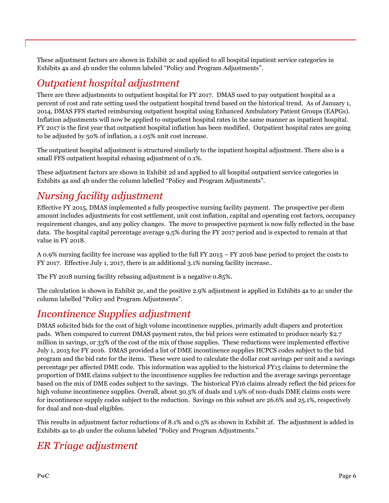These adjustment factors are shown in Exhibit 2c and applied to all hospital inpatient service categories in Exhibits 4a and 4b under the column labeled "Policy and Program Adjustments".

## *Outpatient hospital adjustment*

There are three adjustments to outpatient hospital for FY 2017. DMAS used to pay outpatient hospital as a percent of cost and rate setting used the outpatient hospital trend based on the historical trend. As of January 1, 2014, DMAS FFS started reimbursing outpatient hospital using Enhanced Ambulatory Patient Groups (EAPGs). Inflation adjustments will now be applied to outpatient hospital rates in the same manner as inpatient hospital. FY 2017 is the first year that outpatient hospital inflation has been modified. Outpatient hospital rates are going to be adjusted by 50% of inflation, a 1.05% unit cost increase.

The outpatient hospital adjustment is structured similarly to the inpatient hospital adjustment. There also is a small FFS outpatient hospital rebasing adjustment of 0.1%.

These adjustment factors are shown in Exhibit 2d and applied to all hospital outpatient service categories in Exhibits 4a and 4b under the column labelled "Policy and Program Adjustments".

# *Nursing facility adjustment*

Effective FY 2015, DMAS implemented a fully prospective nursing facility payment. The prospective per diem amount includes adjustments for cost settlement, unit cost inflation, capital and operating cost factors, occupancy requirement changes, and any policy changes. The move to prospective payment is now fully reflected in the base data. The hospital capital percentage average 9.5% during the FY 2017 period and is expected to remain at that value in FY 2018.

A 0.9% nursing facility fee increase was applied to the full FY 2015 – FY 2016 base period to project the costs to FY 2017. Effective July 1, 2017, there is an additional 3.1% nursing facility increase..

The FY 2018 nursing facility rebasing adjustment is a negative 0.85%.

The calculation is shown in Exhibit 2e, and the positive 2.9% adjustment is applied in Exhibits 4a to 4c under the column labelled "Policy and Program Adjustments".

# *Incontinence Supplies adjustment*

DMAS solicited bids for the cost of high volume incontinence supplies, primarily adult diapers and protection pads. When compared to current DMAS payment rates, the bid prices were estimated to produce nearly \$2.7 million in savings, or 33% of the cost of the mix of those supplies. These reductions were implemented effective July 1, 2015 for FY 2016. DMAS provided a list of DME incontinence supplies HCPCS codes subject to the bid program and the bid rate for the items. These were used to calculate the dollar cost savings per unit and a savings percentage per affected DME code. This information was applied to the historical FY15 claims to determine the proportion of DME claims subject to the incontinence supplies fee reduction and the average savings percentage based on the mix of DME codes subject to the savings. The historical FY16 claims already reflect the bid prices for high volume incontinence supplies. Overall, about 30.3% of duals and 1.9% of non-duals DME claims costs were for incontinence supply codes subject to the reduction. Savings on this subset are 26.6% and 25.1%, respectively for dual and non-dual eligibles.

This results in adjustment factor reductions of 8.1% and 0.5% as shown in Exhibit 2f. The adjustment is added in Exhibits 4a to 4b under the column labeled "Policy and Program Adjustments."

# *ER Triage adjustment*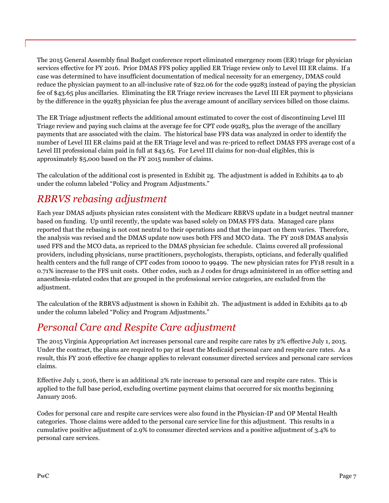The 2015 General Assembly final Budget conference report eliminated emergency room (ER) triage for physician services effective for FY 2016. Prior DMAS FFS policy applied ER Triage review only to Level III ER claims. If a case was determined to have insufficient documentation of medical necessity for an emergency, DMAS could reduce the physician payment to an all-inclusive rate of \$22.06 for the code 99283 instead of paying the physician fee of \$43.65 plus ancillaries. Eliminating the ER Triage review increases the Level III ER payment to physicians by the difference in the 99283 physician fee plus the average amount of ancillary services billed on those claims.

The ER Triage adjustment reflects the additional amount estimated to cover the cost of discontinuing Level III Triage review and paying such claims at the average fee for CPT code 99283, plus the average of the ancillary payments that are associated with the claim. The historical base FFS data was analyzed in order to identify the number of Level III ER claims paid at the ER Triage level and was re-priced to reflect DMAS FFS average cost of a Level III professional claim paid in full at \$43.65. For Level III claims for non-dual eligibles, this is approximately \$5,000 based on the FY 2015 number of claims.

The calculation of the additional cost is presented in Exhibit 2g. The adjustment is added in Exhibits 4a to 4b under the column labeled "Policy and Program Adjustments."

# *RBRVS rebasing adjustment*

Each year DMAS adjusts physician rates consistent with the Medicare RBRVS update in a budget neutral manner based on funding. Up until recently, the update was based solely on DMAS FFS data. Managed care plans reported that the rebasing is not cost neutral to their operations and that the impact on them varies. Therefore, the analysis was revised and the DMAS update now uses both FFS and MCO data. The FY 2018 DMAS analysis used FFS and the MCO data, as repriced to the DMAS physician fee schedule. Claims covered all professional providers, including physicians, nurse practitioners, psychologists, therapists, opticians, and federally qualified health centers and the full range of CPT codes from 10000 to 99499. The new physician rates for FY18 result in a 0.71% increase to the FFS unit costs. Other codes, such as J codes for drugs administered in an office setting and anaesthesia-related codes that are grouped in the professional service categories, are excluded from the adjustment.

The calculation of the RBRVS adjustment is shown in Exhibit 2h. The adjustment is added in Exhibits 4a to 4b under the column labeled "Policy and Program Adjustments."

# *Personal Care and Respite Care adjustment*

The 2015 Virginia Appropriation Act increases personal care and respite care rates by 2% effective July 1, 2015. Under the contract, the plans are required to pay at least the Medicaid personal care and respite care rates. As a result, this FY 2016 effective fee change applies to relevant consumer directed services and personal care services claims.

Effective July 1, 2016, there is an additional 2% rate increase to personal care and respite care rates. This is applied to the full base period, excluding overtime payment claims that occurred for six months beginning January 2016.

Codes for personal care and respite care services were also found in the Physician-IP and OP Mental Health categories. Those claims were added to the personal care service line for this adjustment. This results in a cumulative positive adjustment of 2.9% to consumer directed services and a positive adjustment of 3.4% to personal care services.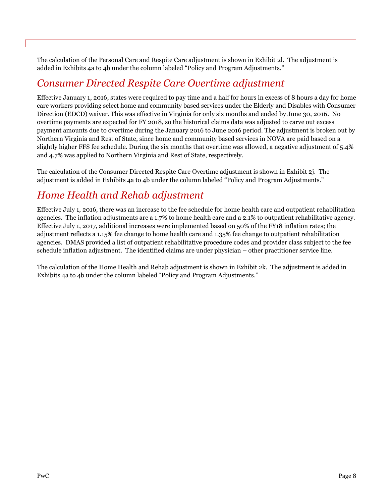The calculation of the Personal Care and Respite Care adjustment is shown in Exhibit 2l. The adjustment is added in Exhibits 4a to 4b under the column labeled "Policy and Program Adjustments."

## *Consumer Directed Respite Care Overtime adjustment*

Effective January 1, 2016, states were required to pay time and a half for hours in excess of 8 hours a day for home care workers providing select home and community based services under the Elderly and Disables with Consumer Direction (EDCD) waiver. This was effective in Virginia for only six months and ended by June 30, 2016. No overtime payments are expected for FY 2018, so the historical claims data was adjusted to carve out excess payment amounts due to overtime during the January 2016 to June 2016 period. The adjustment is broken out by Northern Virginia and Rest of State, since home and community based services in NOVA are paid based on a slightly higher FFS fee schedule. During the six months that overtime was allowed, a negative adjustment of 5.4% and 4.7% was applied to Northern Virginia and Rest of State, respectively.

The calculation of the Consumer Directed Respite Care Overtime adjustment is shown in Exhibit 2j. The adjustment is added in Exhibits 4a to 4b under the column labeled "Policy and Program Adjustments."

## *Home Health and Rehab adjustment*

Effective July 1, 2016, there was an increase to the fee schedule for home health care and outpatient rehabilitation agencies. The inflation adjustments are a 1.7% to home health care and a 2.1% to outpatient rehabilitative agency. Effective July 1, 2017, additional increases were implemented based on 50% of the FY18 inflation rates; the adjustment reflects a 1.15% fee change to home health care and 1.35% fee change to outpatient rehabilitation agencies. DMAS provided a list of outpatient rehabilitative procedure codes and provider class subject to the fee schedule inflation adjustment. The identified claims are under physician – other practitioner service line.

The calculation of the Home Health and Rehab adjustment is shown in Exhibit 2k. The adjustment is added in Exhibits 4a to 4b under the column labeled "Policy and Program Adjustments."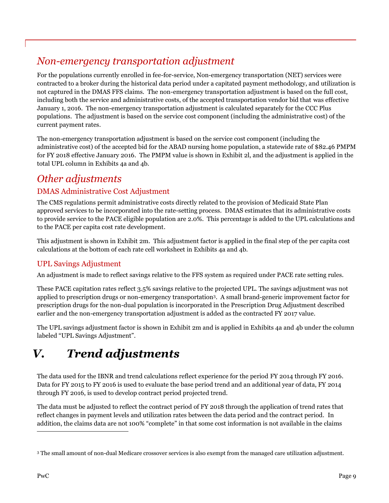# *Non-emergency transportation adjustment*

For the populations currently enrolled in fee-for-service, Non-emergency transportation (NET) services were contracted to a broker during the historical data period under a capitated payment methodology, and utilization is not captured in the DMAS FFS claims. The non-emergency transportation adjustment is based on the full cost, including both the service and administrative costs, of the accepted transportation vendor bid that was effective January 1, 2016. The non-emergency transportation adjustment is calculated separately for the CCC Plus populations. The adjustment is based on the service cost component (including the administrative cost) of the current payment rates.

The non-emergency transportation adjustment is based on the service cost component (including the administrative cost) of the accepted bid for the ABAD nursing home population, a statewide rate of \$82.46 PMPM for FY 2018 effective January 2016. The PMPM value is shown in Exhibit 2l, and the adjustment is applied in the total UPL column in Exhibits 4a and 4b.

# *Other adjustments*

### DMAS Administrative Cost Adjustment

The CMS regulations permit administrative costs directly related to the provision of Medicaid State Plan approved services to be incorporated into the rate-setting process. DMAS estimates that its administrative costs to provide service to the PACE eligible population are 2.0%. This percentage is added to the UPL calculations and to the PACE per capita cost rate development.

This adjustment is shown in Exhibit 2m. This adjustment factor is applied in the final step of the per capita cost calculations at the bottom of each rate cell worksheet in Exhibits 4a and 4b.

## UPL Savings Adjustment

An adjustment is made to reflect savings relative to the FFS system as required under PACE rate setting rules.

These PACE capitation rates reflect 3.5% savings relative to the projected UPL. The savings adjustment was not applied to prescription drugs or non-emergency transportation<sup>3</sup> . A small brand-generic improvement factor for prescription drugs for the non-dual population is incorporated in the Prescription Drug Adjustment described earlier and the non-emergency transportation adjustment is added as the contracted FY 2017 value.

The UPL savings adjustment factor is shown in Exhibit 2m and is applied in Exhibits 4a and 4b under the column labeled "UPL Savings Adjustment".

# <span id="page-12-0"></span>*V. Trend adjustments*

The data used for the IBNR and trend calculations reflect experience for the period FY 2014 through FY 2016. Data for FY 2015 to FY 2016 is used to evaluate the base period trend and an additional year of data, FY 2014 through FY 2016, is used to develop contract period projected trend.

The data must be adjusted to reflect the contract period of FY 2018 through the application of trend rates that reflect changes in payment levels and utilization rates between the data period and the contract period. In addition, the claims data are not 100% "complete" in that some cost information is not available in the claims

 $\overline{a}$ 

<sup>3</sup> The small amount of non-dual Medicare crossover services is also exempt from the managed care utilization adjustment.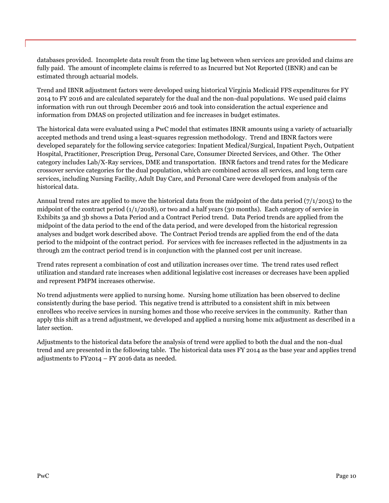databases provided. Incomplete data result from the time lag between when services are provided and claims are fully paid. The amount of incomplete claims is referred to as Incurred but Not Reported (IBNR) and can be estimated through actuarial models.

Trend and IBNR adjustment factors were developed using historical Virginia Medicaid FFS expenditures for FY 2014 to FY 2016 and are calculated separately for the dual and the non-dual populations. We used paid claims information with run out through December 2016 and took into consideration the actual experience and information from DMAS on projected utilization and fee increases in budget estimates.

The historical data were evaluated using a PwC model that estimates IBNR amounts using a variety of actuarially accepted methods and trend using a least-squares regression methodology. Trend and IBNR factors were developed separately for the following service categories: Inpatient Medical/Surgical, Inpatient Psych, Outpatient Hospital, Practitioner, Prescription Drug, Personal Care, Consumer Directed Services, and Other. The Other category includes Lab/X-Ray services, DME and transportation. IBNR factors and trend rates for the Medicare crossover service categories for the dual population, which are combined across all services, and long term care services, including Nursing Facility, Adult Day Care, and Personal Care were developed from analysis of the historical data.

Annual trend rates are applied to move the historical data from the midpoint of the data period (7/1/2015) to the midpoint of the contract period (1/1/2018), or two and a half years (30 months). Each category of service in Exhibits 3a and 3b shows a Data Period and a Contract Period trend. Data Period trends are applied from the midpoint of the data period to the end of the data period, and were developed from the historical regression analyses and budget work described above. The Contract Period trends are applied from the end of the data period to the midpoint of the contract period. For services with fee increases reflected in the adjustments in 2a through 2m the contract period trend is in conjunction with the planned cost per unit increase.

Trend rates represent a combination of cost and utilization increases over time. The trend rates used reflect utilization and standard rate increases when additional legislative cost increases or decreases have been applied and represent PMPM increases otherwise.

No trend adjustments were applied to nursing home. Nursing home utilization has been observed to decline consistently during the base period. This negative trend is attributed to a consistent shift in mix between enrollees who receive services in nursing homes and those who receive services in the community. Rather than apply this shift as a trend adjustment, we developed and applied a nursing home mix adjustment as described in a later section.

Adjustments to the historical data before the analysis of trend were applied to both the dual and the non-dual trend and are presented in the following table. The historical data uses FY 2014 as the base year and applies trend adjustments to FY2014 – FY 2016 data as needed.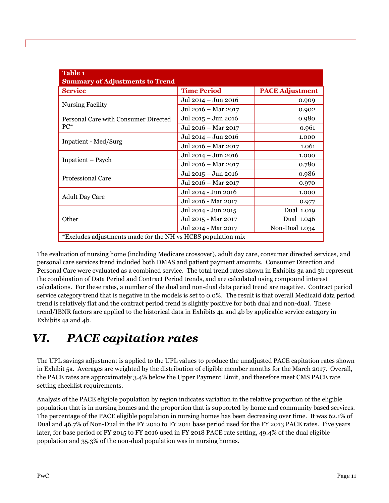| Table 1<br><b>Summary of Adjustments to Trend</b>            |                     |                        |
|--------------------------------------------------------------|---------------------|------------------------|
| <b>Service</b>                                               | <b>Time Period</b>  | <b>PACE Adjustment</b> |
| <b>Nursing Facility</b>                                      | Jul 2014 - Jun 2016 | 0.909                  |
|                                                              | Jul 2016 - Mar 2017 | 0.902                  |
| Personal Care with Consumer Directed                         | Jul 2015 – Jun 2016 | 0.980                  |
| $PC^*$                                                       | Jul 2016 - Mar 2017 | 0.961                  |
|                                                              | Jul 2014 - Jun 2016 | 1.000                  |
| Inpatient - Med/Surg                                         | Jul 2016 - Mar 2017 | 1.061                  |
|                                                              | Jul 2014 - Jun 2016 | 1.000                  |
| Inpatient – Psych                                            | Jul 2016 – Mar 2017 | 0.780                  |
|                                                              | Jul 2015 – Jun 2016 | 0.986                  |
| <b>Professional Care</b>                                     | Jul 2016 - Mar 2017 | 0.970                  |
|                                                              | Jul 2014 - Jun 2016 | 1.000                  |
| <b>Adult Day Care</b>                                        | Jul 2016 - Mar 2017 | 0.977                  |
|                                                              | Jul 2014 - Jun 2015 | Dual 1.019             |
| Other                                                        | Jul 2015 - Mar 2017 | Dual 1.046             |
|                                                              | Jul 2014 - Mar 2017 | Non-Dual 1.034         |
| *Excludes adjustments made for the NH vs HCBS population mix |                     |                        |

The evaluation of nursing home (including Medicare crossover), adult day care, consumer directed services, and personal care services trend included both DMAS and patient payment amounts. Consumer Direction and Personal Care were evaluated as a combined service. The total trend rates shown in Exhibits 3a and 3b represent the combination of Data Period and Contract Period trends, and are calculated using compound interest calculations. For these rates, a number of the dual and non-dual data period trend are negative. Contract period service category trend that is negative in the models is set to 0.0%. The result is that overall Medicaid data period trend is relatively flat and the contract period trend is slightly positive for both dual and non-dual. These trend/IBNR factors are applied to the historical data in Exhibits 4a and 4b by applicable service category in Exhibits 4a and 4b.

# <span id="page-14-0"></span>*VI. PACE capitation rates*

The UPL savings adjustment is applied to the UPL values to produce the unadjusted PACE capitation rates shown in Exhibit 5a. Averages are weighted by the distribution of eligible member months for the March 2017. Overall, the PACE rates are approximately 3.4% below the Upper Payment Limit, and therefore meet CMS PACE rate setting checklist requirements.

Analysis of the PACE eligible population by region indicates variation in the relative proportion of the eligible population that is in nursing homes and the proportion that is supported by home and community based services. The percentage of the PACE eligible population in nursing homes has been decreasing over time. It was 62.1% of Dual and 46.7% of Non-Dual in the FY 2010 to FY 2011 base period used for the FY 2013 PACE rates. Five years later, for base period of FY 2015 to FY 2016 used in FY 2018 PACE rate setting, 49.4% of the dual eligible population and 35.3% of the non-dual population was in nursing homes.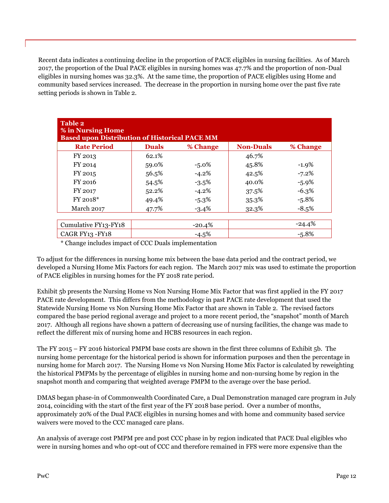Recent data indicates a continuing decline in the proportion of PACE eligibles in nursing facilities. As of March 2017, the proportion of the Dual PACE eligibles in nursing homes was 47.7% and the proportion of non-Dual eligibles in nursing homes was 32.3%. At the same time, the proportion of PACE eligibles using Home and community based services increased. The decrease in the proportion in nursing home over the past five rate setting periods is shown in Table 2.

| <b>Table 2</b><br>% in Nursing Home<br><b>Based upon Distribution of Historical PACE MM</b> |              |          |                  |          |
|---------------------------------------------------------------------------------------------|--------------|----------|------------------|----------|
| <b>Rate Period</b>                                                                          | <b>Duals</b> | % Change | <b>Non-Duals</b> | % Change |
| FY 2013                                                                                     | 62.1%        |          | 46.7%            |          |
| FY 2014                                                                                     | 59.0%        | $-5.0\%$ | 45.8%            | $-1.9%$  |
| FY 2015                                                                                     | 56.5%        | $-4.2%$  | 42.5%            | $-7.2%$  |
| FY 2016                                                                                     | 54.5%        | $-3.5\%$ | 40.0%            | $-5.9\%$ |
| FY 2017                                                                                     | 52.2%        | $-4.2\%$ | 37.5%            | $-6.3%$  |
| $FY$ 2018 $*$                                                                               | 49.4%        | $-5.3\%$ | 35.3%            | $-5.8%$  |
| March 2017                                                                                  | 47.7%        | $-3.4\%$ | 32.3%            | $-8.5%$  |
|                                                                                             |              |          |                  |          |
| Cumulative FY13-FY18                                                                        |              | $-20.4%$ |                  | $-24.4%$ |
| CAGR FY13 - FY18                                                                            |              | $-4.5%$  |                  | $-5.8%$  |

\* Change includes impact of CCC Duals implementation

To adjust for the differences in nursing home mix between the base data period and the contract period, we developed a Nursing Home Mix Factors for each region. The March 2017 mix was used to estimate the proportion of PACE eligibles in nursing homes for the FY 2018 rate period.

Exhibit 5b presents the Nursing Home vs Non Nursing Home Mix Factor that was first applied in the FY 2017 PACE rate development. This differs from the methodology in past PACE rate development that used the Statewide Nursing Home vs Non Nursing Home Mix Factor that are shown in Table 2. The revised factors compared the base period regional average and project to a more recent period, the "snapshot" month of March 2017. Although all regions have shown a pattern of decreasing use of nursing facilities, the change was made to reflect the different mix of nursing home and HCBS resources in each region.

The FY 2015 – FY 2016 historical PMPM base costs are shown in the first three columns of Exhibit 5b. The nursing home percentage for the historical period is shown for information purposes and then the percentage in nursing home for March 2017. The Nursing Home vs Non Nursing Home Mix Factor is calculated by reweighting the historical PMPMs by the percentage of eligibles in nursing home and non-nursing home by region in the snapshot month and comparing that weighted average PMPM to the average over the base period.

DMAS began phase-in of Commonwealth Coordinated Care, a Dual Demonstration managed care program in July 2014, coinciding with the start of the first year of the FY 2018 base period. Over a number of months, approximately 20% of the Dual PACE eligibles in nursing homes and with home and community based service waivers were moved to the CCC managed care plans.

An analysis of average cost PMPM pre and post CCC phase in by region indicated that PACE Dual eligibles who were in nursing homes and who opt-out of CCC and therefore remained in FFS were more expensive than the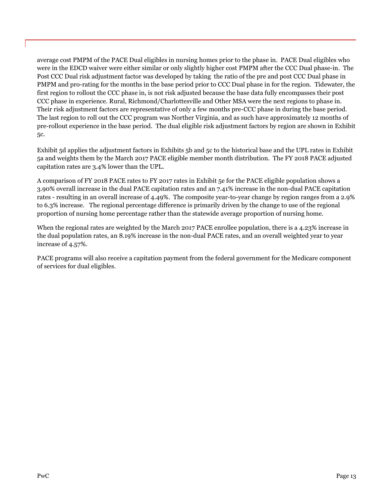average cost PMPM of the PACE Dual eligibles in nursing homes prior to the phase in. PACE Dual eligibles who were in the EDCD waiver were either similar or only slightly higher cost PMPM after the CCC Dual phase-in. The Post CCC Dual risk adjustment factor was developed by taking the ratio of the pre and post CCC Dual phase in PMPM and pro-rating for the months in the base period prior to CCC Dual phase in for the region. Tidewater, the first region to rollout the CCC phase in, is not risk adjusted because the base data fully encompasses their post CCC phase in experience. Rural, Richmond/Charlottesville and Other MSA were the next regions to phase in. Their risk adjustment factors are representative of only a few months pre-CCC phase in during the base period. The last region to roll out the CCC program was Norther Virginia, and as such have approximately 12 months of pre-rollout experience in the base period. The dual eligible risk adjustment factors by region are shown in Exhibit 5c.

Exhibit 5d applies the adjustment factors in Exhibits 5b and 5c to the historical base and the UPL rates in Exhibit 5a and weights them by the March 2017 PACE eligible member month distribution. The FY 2018 PACE adjusted capitation rates are 3.4% lower than the UPL.

A comparison of FY 2018 PACE rates to FY 2017 rates in Exhibit 5e for the PACE eligible population shows a 3.90% overall increase in the dual PACE capitation rates and an 7.41% increase in the non-dual PACE capitation rates - resulting in an overall increase of 4.49%. The composite year-to-year change by region ranges from a 2.9% to 6.3% increase. The regional percentage difference is primarily driven by the change to use of the regional proportion of nursing home percentage rather than the statewide average proportion of nursing home.

When the regional rates are weighted by the March 2017 PACE enrollee population, there is a 4.23% increase in the dual population rates, an 8.19% increase in the non-dual PACE rates, and an overall weighted year to year increase of 4.57%.

PACE programs will also receive a capitation payment from the federal government for the Medicare component of services for dual eligibles.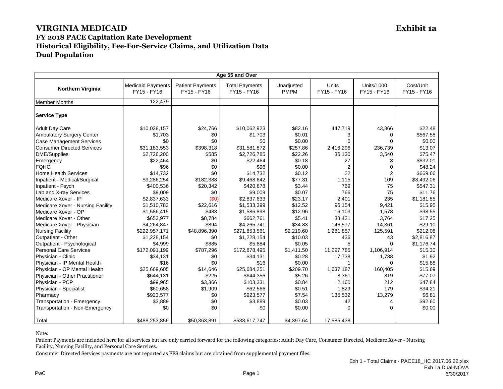| Age 55 and Over                   |                                         |                                        |                                      |                           |                      |                                  |                          |
|-----------------------------------|-----------------------------------------|----------------------------------------|--------------------------------------|---------------------------|----------------------|----------------------------------|--------------------------|
| <b>Northern Virginia</b>          | <b>Medicaid Payments</b><br>FY15 - FY16 | <b>Patient Payments</b><br>FY15 - FY16 | <b>Total Payments</b><br>FY15 - FY16 | Unadjusted<br><b>PMPM</b> | Units<br>FY15 - FY16 | <b>Units/1000</b><br>FY15 - FY16 | Cost/Unit<br>FY15 - FY16 |
| <b>Member Months</b>              | 122,479                                 |                                        |                                      |                           |                      |                                  |                          |
| <b>Service Type</b>               |                                         |                                        |                                      |                           |                      |                                  |                          |
| <b>Adult Day Care</b>             | \$10,038,157                            | \$24,766                               | \$10,062,923                         | \$82.16                   | 447,719              | 43,866                           | \$22.48                  |
| <b>Ambulatory Surgery Center</b>  | \$1,703                                 | \$0                                    | \$1,703                              | \$0.01                    | 3                    | 0                                | \$567.58                 |
| <b>Case Management Services</b>   | \$0                                     | \$0                                    | \$0                                  | \$0.00                    | $\Omega$             | $\Omega$                         | \$0.00                   |
| <b>Consumer Directed Services</b> | \$31,183,553                            | \$398,318                              | \$31,581,872                         | \$257.86                  | 2,416,296            | 236,739                          | \$13.07                  |
| <b>DME/Supplies</b>               | \$2,726,200                             | \$585                                  | \$2,726,785                          | \$22.26                   | 36,130               | 3,540                            | \$75.47                  |
| Emergency                         | \$22,464                                | \$0                                    | \$22,464                             | \$0.18                    | 27                   | 3                                | \$832.01                 |
| <b>FQHC</b>                       | \$96                                    | \$0                                    | \$96                                 | \$0.00                    | 2                    | 0                                | \$48.24                  |
| <b>Home Health Services</b>       | \$14,732                                | \$0                                    | \$14,732                             | \$0.12                    | 22                   | $\overline{2}$                   | \$669.66                 |
| Inpatient - Medical/Surgical      | \$9,286,254                             | \$182,388                              | \$9,468,642                          | \$77.31                   | 1,115                | 109                              | \$8,492.06               |
| Inpatient - Psych                 | \$400,536                               | \$20,342                               | \$420,878                            | \$3.44                    | 769                  | 75                               | \$547.31                 |
| Lab and X-ray Services            | \$9,009                                 | \$0                                    | \$9,009                              | \$0.07                    | 766                  | 75                               | \$11.76                  |
| Medicare Xover - IP               | \$2,837,633                             | (50)                                   | \$2,837,633                          | \$23.17                   | 2,401                | 235                              | \$1,181.85               |
| Medicare Xover - Nursing Facility | \$1,510,783                             | \$22,616                               | \$1,533,399                          | \$12.52                   | 96.154               | 9,421                            | \$15.95                  |
| Medicare Xover - OP               | \$1,586,415                             | \$483                                  | \$1,586,898                          | \$12.96                   | 16,103               | 1,578                            | \$98.55                  |
| Medicare Xover - Other            | \$653,977                               | \$8,784                                | \$662,761                            | \$5.41                    | 38,421               | 3,764                            | \$17.25                  |
| Medicare Xover - Physician        | \$4,264,847                             | \$894                                  | \$4,265,741                          | \$34.83                   | 146,577              | 14,361                           | \$29.10                  |
| <b>Nursing Facility</b>           | \$222,957,171                           | \$48,896,390                           | \$271,853,561                        | \$2,219.60                | 1,281,857            | 125,591                          | \$212.08                 |
| Outpatient - Other                | \$1,228,154                             | \$0                                    | \$1,228,154                          | \$10.03                   | 436                  | 43                               | \$2,816.87               |
| Outpatient - Psychological        | \$4,999                                 | \$885                                  | \$5,884                              | \$0.05                    | 5                    | $\Omega$                         | \$1,176.74               |
| <b>Personal Care Services</b>     | \$172,091,199                           | \$787,296                              | \$172,878,495                        | \$1,411.50                | 11,297,785           | 1,106,914                        | \$15.30                  |
| Physician - Clinic                | \$34,131                                | \$0                                    | \$34,131                             | \$0.28                    | 17,738               | 1,738                            | \$1.92                   |
| Physician - IP Mental Health      | \$16                                    | \$0                                    | \$16                                 | \$0.00                    | $\mathbf{1}$         | $\Omega$                         | \$15.88                  |
| Physician - OP Mental Health      | \$25,669,605                            | \$14,646                               | \$25,684,251                         | \$209.70                  | 1,637,187            | 160,405                          | \$15.69                  |
| Physician - Other Practitioner    | \$644,131                               | \$225                                  | \$644,356                            | \$5.26                    | 8,361                | 819                              | \$77.07                  |
| Physician - PCP                   | \$99,965                                | \$3,366                                | \$103,331                            | \$0.84                    | 2,160                | 212                              | \$47.84                  |
| Physician - Specialist            | \$60,658                                | \$1,909                                | \$62,566                             | \$0.51                    | 1,829                | 179                              | \$34.21                  |
| Pharmacy                          | \$923,577                               | \$0                                    | \$923,577                            | \$7.54                    | 135,532              | 13,279                           | \$6.81                   |
| Transportation - Emergency        | \$3,889                                 | \$0                                    | \$3,889                              | \$0.03                    | 42                   | 4                                | \$92.60                  |
| Transportation - Non-Emergency    | \$0                                     | \$0                                    | \$0                                  | \$0.00                    | $\Omega$             | $\Omega$                         | \$0.00                   |
| Total                             | \$488,253,856                           | \$50,363,891                           | \$538,617,747                        | \$4,397.64                | 17,585,438           |                                  |                          |

Note:

Patient Payments are included here for all services but are only carried forward for the following categories: Adult Day Care, Consumer Directed, Medicare Xover - Nursing Facility, Nursing Facility, and Personal Care Services.

Consumer Directed Services payments are not reported as FFS claims but are obtained from supplemental payment files.

PwC Page 1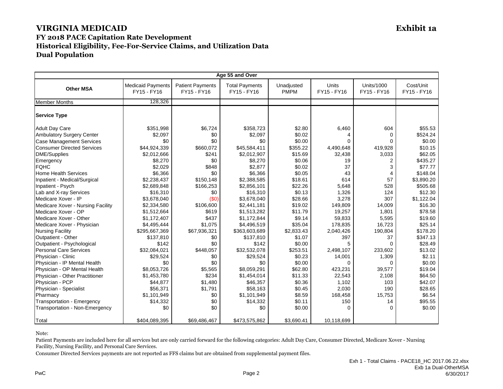| Age 55 and Over                   |                                         |                                        |                                      |                           |                             |                                  |                          |
|-----------------------------------|-----------------------------------------|----------------------------------------|--------------------------------------|---------------------------|-----------------------------|----------------------------------|--------------------------|
| <b>Other MSA</b>                  | <b>Medicaid Payments</b><br>FY15 - FY16 | <b>Patient Payments</b><br>FY15 - FY16 | <b>Total Payments</b><br>FY15 - FY16 | Unadjusted<br><b>PMPM</b> | <b>Units</b><br>FY15 - FY16 | <b>Units/1000</b><br>FY15 - FY16 | Cost/Unit<br>FY15 - FY16 |
| <b>Member Months</b>              | 128,326                                 |                                        |                                      |                           |                             |                                  |                          |
| <b>Service Type</b>               |                                         |                                        |                                      |                           |                             |                                  |                          |
| <b>Adult Day Care</b>             | \$351.998                               | \$6,724                                | \$358.723                            | \$2.80                    | 6,460                       | 604                              | \$55.53                  |
| <b>Ambulatory Surgery Center</b>  | \$2,097                                 | \$0                                    | \$2,097                              | \$0.02                    | 4                           | $\Omega$                         | \$524.24                 |
| <b>Case Management Services</b>   | \$0                                     | \$0                                    | \$0                                  | \$0.00                    | $\Omega$                    | 0                                | \$0.00                   |
| <b>Consumer Directed Services</b> | \$44,924,339                            | \$660,072                              | \$45,584,411                         | \$355.22                  | 4,490,648                   | 419,928                          | \$10.15                  |
| DME/Supplies                      | \$2,012,666                             | \$241                                  | \$2,012,907                          | \$15.69                   | 32,438                      | 3,033                            | \$62.05                  |
| Emergency                         | \$8,270                                 | \$0                                    | \$8,270                              | \$0.06                    | 19                          | $\overline{2}$                   | \$435.27                 |
| <b>FQHC</b>                       | \$2,029                                 | \$848                                  | \$2,877                              | \$0.02                    | 37                          | 3                                | \$77.77                  |
| <b>Home Health Services</b>       | \$6,366                                 | \$0                                    | \$6,366                              | \$0.05                    | 43                          | 4                                | \$148.04                 |
| Inpatient - Medical/Surgical      | \$2,238,437                             | \$150,148                              | \$2,388,585                          | \$18.61                   | 614                         | 57                               | \$3.890.20               |
| Inpatient - Psych                 | \$2,689,848                             | \$166,253                              | \$2,856,101                          | \$22.26                   | 5,648                       | 528                              | \$505.68                 |
| Lab and X-ray Services            | \$16,310                                | \$0                                    | \$16,310                             | \$0.13                    | 1,326                       | 124                              | \$12.30                  |
| Medicare Xover - IP               | \$3,678,040                             | (50)                                   | \$3,678,040                          | \$28.66                   | 3,278                       | 307                              | \$1,122.04               |
| Medicare Xover - Nursing Facility | \$2,334,580                             | \$106,600                              | \$2,441,181                          | \$19.02                   | 149.809                     | 14,009                           | \$16.30                  |
| Medicare Xover - OP               | \$1,512,664                             | \$619                                  | \$1,513,282                          | \$11.79                   | 19,257                      | 1,801                            | \$78.58                  |
| Medicare Xover - Other            | \$1,172,407                             | \$437                                  | \$1,172,844                          | \$9.14                    | 59,833                      | 5,595                            | \$19.60                  |
| Medicare Xover - Physician        | \$4,495,444                             | \$1,075                                | \$4,496,519                          | \$35.04                   | 178,835                     | 16,723                           | \$25.14                  |
| <b>Nursing Facility</b>           | \$295,667,369                           | \$67,936,321                           | \$363,603,689                        | \$2,833.43                | 2,040,426                   | 190,804                          | \$178.20                 |
| Outpatient - Other                | \$137,810                               | \$0                                    | \$137,810                            | \$1.07                    | 397                         | 37                               | \$347.13                 |
| Outpatient - Psychological        | \$142                                   | \$0                                    | \$142                                | \$0.00                    | 5                           | $\Omega$                         | \$28.49                  |
| <b>Personal Care Services</b>     | \$32,084,021                            | \$448,057                              | \$32,532,078                         | \$253.51                  | 2,498,107                   | 233,602                          | \$13.02                  |
| Physician - Clinic                | \$29,524                                | \$0                                    | \$29,524                             | \$0.23                    | 14,001                      | 1,309                            | \$2.11                   |
| Physician - IP Mental Health      | \$0                                     | \$0                                    | \$0                                  | \$0.00                    | $\Omega$                    | $\Omega$                         | \$0.00                   |
| Physician - OP Mental Health      | \$8,053,726                             | \$5,565                                | \$8,059,291                          | \$62.80                   | 423,231                     | 39,577                           | \$19.04                  |
| Physician - Other Practitioner    | \$1,453,780                             | \$234                                  | \$1,454,014                          | \$11.33                   | 22,543                      | 2,108                            | \$64.50                  |
| Physician - PCP                   | \$44,877                                | \$1,480                                | \$46,357                             | \$0.36                    | 1,102                       | 103                              | \$42.07                  |
| Physician - Specialist            | \$56,371                                | \$1,791                                | \$58,163                             | \$0.45                    | 2,030                       | 190                              | \$28.65                  |
| Pharmacy                          | \$1.101.949                             | \$0                                    | \$1,101,949                          | \$8.59                    | 168,458                     | 15,753                           | \$6.54                   |
| Transportation - Emergency        | \$14,332                                | \$0                                    | \$14,332                             | \$0.11                    | 150                         | 14                               | \$95.55                  |
| Transportation - Non-Emergency    | \$0                                     | \$0                                    | \$0                                  | \$0.00                    | $\Omega$                    | $\Omega$                         | \$0.00                   |
| <b>Total</b>                      | \$404,089,395                           | \$69,486,467                           | \$473,575,862                        | \$3,690.41                | 10,118,699                  |                                  |                          |

Note:

Patient Payments are included here for all services but are only carried forward for the following categories: Adult Day Care, Consumer Directed, Medicare Xover - Nursing Facility, Nursing Facility, and Personal Care Services.

Consumer Directed Services payments are not reported as FFS claims but are obtained from supplemental payment files.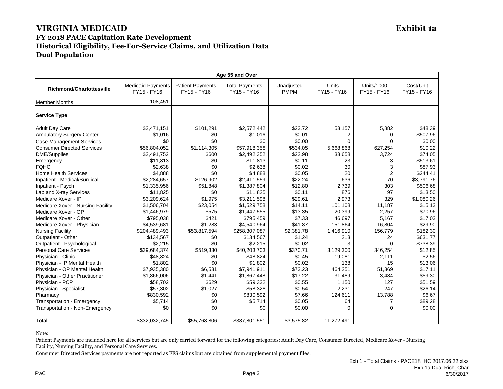| Age 55 and Over                   |                                         |                                        |                                      |                           |                      |                           |                          |  |
|-----------------------------------|-----------------------------------------|----------------------------------------|--------------------------------------|---------------------------|----------------------|---------------------------|--------------------------|--|
| <b>Richmond/Charlottesville</b>   | <b>Medicaid Payments</b><br>FY15 - FY16 | <b>Patient Payments</b><br>FY15 - FY16 | <b>Total Payments</b><br>FY15 - FY16 | Unadjusted<br><b>PMPM</b> | Units<br>FY15 - FY16 | Units/1000<br>FY15 - FY16 | Cost/Unit<br>FY15 - FY16 |  |
| <b>Member Months</b>              | 108,451                                 |                                        |                                      |                           |                      |                           |                          |  |
| <b>Service Type</b>               |                                         |                                        |                                      |                           |                      |                           |                          |  |
| <b>Adult Day Care</b>             | \$2,471,151                             | \$101,291                              | \$2,572,442                          | \$23.72                   | 53,157               | 5,882                     | \$48.39                  |  |
| Ambulatory Surgery Center         | \$1,016                                 | \$0                                    | \$1,016                              | \$0.01                    | 2                    | 0                         | \$507.96                 |  |
| <b>Case Management Services</b>   | \$0                                     | \$0                                    | \$0                                  | \$0.00                    | $\Omega$             | $\Omega$                  | \$0.00                   |  |
| <b>Consumer Directed Services</b> | \$56,804,052                            | \$1,114,305                            | \$57,918,358                         | \$534.05                  | 5,668,868            | 627,254                   | \$10.22                  |  |
| <b>DME/Supplies</b>               | \$2,491,752                             | \$600                                  | \$2,492,352                          | \$22.98                   | 33,658               | 3,724                     | \$74.05                  |  |
| Emergency                         | \$11,813                                | \$0                                    | \$11,813                             | \$0.11                    | 23                   | 3                         | \$513.61                 |  |
| <b>FQHC</b>                       | \$2,638                                 | \$0                                    | \$2,638                              | \$0.02                    | 30                   | 3                         | \$87.93                  |  |
| <b>Home Health Services</b>       | \$4,888                                 | \$0                                    | \$4,888                              | \$0.05                    | 20                   | $\overline{2}$            | \$244.41                 |  |
| Inpatient - Medical/Surgical      | \$2,284,657                             | \$126,902                              | \$2,411,559                          | \$22.24                   | 636                  | 70                        | \$3.791.76               |  |
| Inpatient - Psych                 | \$1,335,956                             | \$51,848                               | \$1,387,804                          | \$12.80                   | 2,739                | 303                       | \$506.68                 |  |
| Lab and X-ray Services            | \$11,825                                | \$0                                    | \$11,825                             | \$0.11                    | 876                  | 97                        | \$13.50                  |  |
| Medicare Xover - IP               | \$3,209,624                             | \$1,975                                | \$3,211,598                          | \$29.61                   | 2,973                | 329                       | \$1,080.26               |  |
| Medicare Xover - Nursing Facility | \$1,506,704                             | \$23,054                               | \$1,529,758                          | \$14.11                   | 101,108              | 11,187                    | \$15.13                  |  |
| Medicare Xover - OP               | \$1,446,979                             | \$575                                  | \$1,447,555                          | \$13.35                   | 20,399               | 2,257                     | \$70.96                  |  |
| Medicare Xover - Other            | \$795,038                               | \$421                                  | \$795,459                            | \$7.33                    | 46,697               | 5,167                     | \$17.03                  |  |
| Medicare Xover - Physician        | \$4,539,681                             | \$1,283                                | \$4,540,964                          | \$41.87                   | 151,864              | 16,804                    | \$29.90                  |  |
| <b>Nursing Facility</b>           | \$204,489,493                           | \$53,817,594                           | \$258,307,087                        | \$2,381.78                | 1,416,910            | 156,779                   | \$182.30                 |  |
| Outpatient - Other                | \$134,567                               | \$0                                    | \$134,567                            | \$1.24                    | 213                  | 24                        | \$631.77                 |  |
| Outpatient - Psychological        | \$2,215                                 | \$0                                    | \$2,215                              | \$0.02                    | 3                    | 0                         | \$738.39                 |  |
| <b>Personal Care Services</b>     | \$39,684,374                            | \$519,330                              | \$40,203,703                         | \$370.71                  | 3,129,300            | 346,254                   | \$12.85                  |  |
| Physician - Clinic                | \$48,824                                | \$0                                    | \$48,824                             | \$0.45                    | 19,081               | 2,111                     | \$2.56                   |  |
| Physician - IP Mental Health      | \$1,802                                 | \$0                                    | \$1,802                              | \$0.02                    | 138                  | 15                        | \$13.06                  |  |
| Physician - OP Mental Health      | \$7,935,380                             | \$6,531                                | \$7,941,911                          | \$73.23                   | 464,251              | 51,369                    | \$17.11                  |  |
| Physician - Other Practitioner    | \$1,866,006                             | \$1,441                                | \$1,867,448                          | \$17.22                   | 31,489               | 3,484                     | \$59.30                  |  |
| Physician - PCP                   | \$58,702                                | \$629                                  | \$59,332                             | \$0.55                    | 1,150                | 127                       | \$51.59                  |  |
| Physician - Specialist            | \$57,302                                | \$1,027                                | \$58,328                             | \$0.54                    | 2,231                | 247                       | \$26.14                  |  |
| Pharmacy                          | \$830,592                               | \$0                                    | \$830,592                            | \$7.66                    | 124,611              | 13,788                    | \$6.67                   |  |
| Transportation - Emergency        | \$5,714                                 | \$0                                    | \$5,714                              | \$0.05                    | 64                   | 7                         | \$89.28                  |  |
| Transportation - Non-Emergency    | \$0                                     | \$0                                    | \$0                                  | \$0.00                    | $\Omega$             | $\Omega$                  | \$0.00                   |  |
| Total                             | \$332,032,745                           | \$55,768,806                           | \$387,801,551                        | \$3,575.82                | 11,272,491           |                           |                          |  |

Note:

Patient Payments are included here for all services but are only carried forward for the following categories: Adult Day Care, Consumer Directed, Medicare Xover - Nursing Facility, Nursing Facility, and Personal Care Services.

Consumer Directed Services payments are not reported as FFS claims but are obtained from supplemental payment files.

PwC Processes and the contract of the contract of the contract of the contract of the contract of the contract of the contract of the contract of the contract of the contract of the contract of the contract of the contract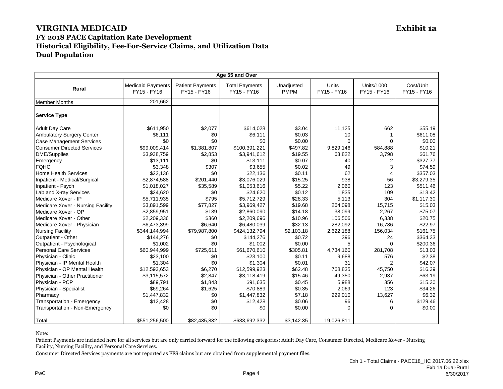| Age 55 and Over                   |                                         |                                        |                                      |                           |                             |                                  |                          |
|-----------------------------------|-----------------------------------------|----------------------------------------|--------------------------------------|---------------------------|-----------------------------|----------------------------------|--------------------------|
| <b>Rural</b>                      | <b>Medicaid Payments</b><br>FY15 - FY16 | <b>Patient Payments</b><br>FY15 - FY16 | <b>Total Payments</b><br>FY15 - FY16 | Unadjusted<br><b>PMPM</b> | <b>Units</b><br>FY15 - FY16 | <b>Units/1000</b><br>FY15 - FY16 | Cost/Unit<br>FY15 - FY16 |
| <b>Member Months</b>              | 201.662                                 |                                        |                                      |                           |                             |                                  |                          |
| <b>Service Type</b>               |                                         |                                        |                                      |                           |                             |                                  |                          |
| <b>Adult Day Care</b>             | \$611,950                               | \$2,077                                | \$614.028                            | \$3.04                    | 11,125                      | 662                              | \$55.19                  |
| <b>Ambulatory Surgery Center</b>  | \$6,111                                 | \$0                                    | \$6,111                              | \$0.03                    | 10                          |                                  | \$611.08                 |
| <b>Case Management Services</b>   | \$0                                     | \$0                                    | \$0                                  | \$0.00                    | $\Omega$                    | $\Omega$                         | \$0.00                   |
| <b>Consumer Directed Services</b> | \$99,009,414                            | \$1,381,807                            | \$100,391,221                        | \$497.82                  | 9,829,146                   | 584,888                          | \$10.21                  |
| DME/Supplies                      | \$3,938,759                             | \$2,853                                | \$3,941,612                          | \$19.55                   | 63,822                      | 3,798                            | \$61.76                  |
| Emergency                         | \$13,111                                | \$0                                    | \$13,111                             | \$0.07                    | 40                          | 2                                | \$327.77                 |
| <b>FQHC</b>                       | \$3,348                                 | \$307                                  | \$3,655                              | \$0.02                    | 49                          | 3                                | \$74.59                  |
| <b>Home Health Services</b>       | \$22,136                                | \$0                                    | \$22,136                             | \$0.11                    | 62                          | 4                                | \$357.03                 |
| Inpatient - Medical/Surgical      | \$2,874,588                             | \$201,440                              | \$3,076,029                          | \$15.25                   | 938                         | 56                               | \$3,279.35               |
| Inpatient - Psych                 | \$1,018,027                             | \$35,589                               | \$1,053,616                          | \$5.22                    | 2,060                       | 123                              | \$511.46                 |
| Lab and X-ray Services            | \$24,620                                | \$0                                    | \$24,620                             | \$0.12                    | 1,835                       | 109                              | \$13.42                  |
| Medicare Xover - IP               | \$5,711,935                             | \$795                                  | \$5,712,729                          | \$28.33                   | 5,113                       | 304                              | \$1,117.30               |
| Medicare Xover - Nursing Facility | \$3,891,599                             | \$77,827                               | \$3,969,427                          | \$19.68                   | 264.098                     | 15,715                           | \$15.03                  |
| Medicare Xover - OP               | \$2,859,951                             | \$139                                  | \$2,860,090                          | \$14.18                   | 38,099                      | 2,267                            | \$75.07                  |
| Medicare Xover - Other            | \$2,209,336                             | \$360                                  | \$2,209,696                          | \$10.96                   | 106,506                     | 6,338                            | \$20.75                  |
| Medicare Xover - Physician        | \$6,473,399                             | \$6,640                                | \$6,480,039                          | \$32.13                   | 282,092                     | 16,786                           | \$22.97                  |
| <b>Nursing Facility</b>           | \$344,144,994                           | \$79,987,800                           | \$424,132,794                        | \$2,103.18                | 2,622,188                   | 156,034                          | \$161.75                 |
| Outpatient - Other                | \$144,276                               | \$0                                    | \$144,276                            | \$0.72                    | 396                         | 24                               | \$364.33                 |
| Outpatient - Psychological        | \$1,002                                 | \$0                                    | \$1,002                              | \$0.00                    | 5                           | $\Omega$                         | \$200.36                 |
| <b>Personal Care Services</b>     | \$60,944,999                            | \$725,611                              | \$61,670,610                         | \$305.81                  | 4,734,160                   | 281,708                          | \$13.03                  |
| Physician - Clinic                | \$23,100                                | \$0                                    | \$23,100                             | \$0.11                    | 9,688                       | 576                              | \$2.38                   |
| Physician - IP Mental Health      | \$1,304                                 | \$0                                    | \$1,304                              | \$0.01                    | 31                          | 2                                | \$42.07                  |
| Physician - OP Mental Health      | \$12,593,653                            | \$6,270                                | \$12,599,923                         | \$62.48                   | 768,835                     | 45,750                           | \$16.39                  |
| Physician - Other Practitioner    | \$3,115,572                             | \$2,847                                | \$3,118,419                          | \$15.46                   | 49,350                      | 2,937                            | \$63.19                  |
| Physician - PCP                   | \$89,791                                | \$1,843                                | \$91,635                             | \$0.45                    | 5,988                       | 356                              | \$15.30                  |
| Physician - Specialist            | \$69,264                                | \$1,625                                | \$70,889                             | \$0.35                    | 2,069                       | 123                              | \$34.26                  |
| Pharmacy                          | \$1,447,832                             | \$0                                    | \$1,447,832                          | \$7.18                    | 229,010                     | 13,627                           | \$6.32                   |
| Transportation - Emergency        | \$12,428                                | \$0                                    | \$12,428                             | \$0.06                    | 96                          | 6                                | \$129.46                 |
| Transportation - Non-Emergency    | \$0                                     | \$0                                    | \$0                                  | \$0.00                    | 0                           | $\Omega$                         | \$0.00                   |
| <b>Total</b>                      | \$551,256,500                           | \$82,435,832                           | \$633,692,332                        | \$3,142.35                | 19,026,811                  |                                  |                          |

Note:

Patient Payments are included here for all services but are only carried forward for the following categories: Adult Day Care, Consumer Directed, Medicare Xover - Nursing Facility, Nursing Facility, and Personal Care Services.

Consumer Directed Services payments are not reported as FFS claims but are obtained from supplemental payment files.

PwC Processes and the contract of the contract of the contract of the contract of the contract of the contract of the contract of the contract of the contract of the contract of the contract of the contract of the contract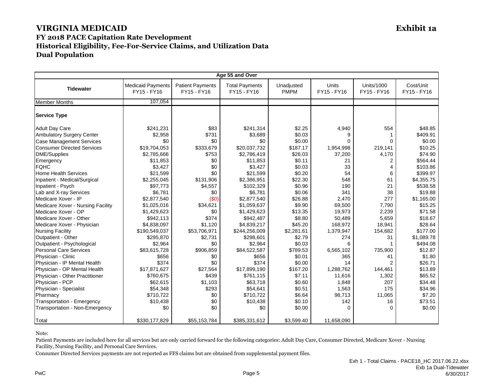| Age 55 and Over                   |                                         |                                        |                                      |                           |                      |                           |                          |
|-----------------------------------|-----------------------------------------|----------------------------------------|--------------------------------------|---------------------------|----------------------|---------------------------|--------------------------|
| <b>Tidewater</b>                  | <b>Medicaid Payments</b><br>FY15 - FY16 | <b>Patient Payments</b><br>FY15 - FY16 | <b>Total Payments</b><br>FY15 - FY16 | Unadjusted<br><b>PMPM</b> | Units<br>FY15 - FY16 | Units/1000<br>FY15 - FY16 | Cost/Unit<br>FY15 - FY16 |
| <b>Member Months</b>              | 107,054                                 |                                        |                                      |                           |                      |                           |                          |
| <b>Service Type</b>               |                                         |                                        |                                      |                           |                      |                           |                          |
| <b>Adult Day Care</b>             | \$241,231                               | \$83                                   | \$241,314                            | \$2.25                    | 4,940                | 554                       | \$48.85                  |
| Ambulatory Surgery Center         | \$2,958                                 | \$731                                  | \$3,689                              | \$0.03                    | 9                    |                           | \$409.91                 |
| <b>Case Management Services</b>   | \$0                                     | \$0                                    | \$0                                  | \$0.00                    | $\Omega$             | 0                         | \$0.00                   |
| <b>Consumer Directed Services</b> | \$19,704,053                            | \$333,679                              | \$20,037,732                         | \$187.17                  | 1,954,998            | 219,141                   | \$10.25                  |
| <b>DME/Supplies</b>               | \$2,785,666                             | \$753                                  | \$2,786,419                          | \$26.03                   | 37,200               | 4,170                     | \$74.90                  |
| Emergency                         | \$11,853                                | \$0                                    | \$11,853                             | \$0.11                    | 21                   | 2                         | \$564.44                 |
| <b>FQHC</b>                       | \$3,427                                 | \$0                                    | \$3,427                              | \$0.03                    | 33                   | 4                         | \$103.86                 |
| <b>Home Health Services</b>       | \$21,599                                | \$0                                    | \$21,599                             | \$0.20                    | 54                   | 6                         | \$399.97                 |
| Inpatient - Medical/Surgical      | \$2,255,045                             | \$131,906                              | \$2,386,951                          | \$22.30                   | 548                  | 61                        | \$4,355.75               |
| Inpatient - Psych                 | \$97,773                                | \$4,557                                | \$102,329                            | \$0.96                    | 190                  | 21                        | \$538.58                 |
| Lab and X-ray Services            | \$6,781                                 | \$0                                    | \$6,781                              | \$0.06                    | 341                  | 38                        | \$19.88                  |
| Medicare Xover - IP               | \$2,877,540                             | (50)                                   | \$2,877,540                          | \$26.88                   | 2,470                | 277                       | \$1,165.00               |
| Medicare Xover - Nursing Facility | \$1,025,016                             | \$34,621                               | \$1,059,637                          | \$9.90                    | 69,500               | 7,790                     | \$15.25                  |
| Medicare Xover - OP               | \$1,429,623                             | \$0                                    | \$1,429,623                          | \$13.35                   | 19,973               | 2,239                     | \$71.58                  |
| Medicare Xover - Other            | \$942,113                               | \$374                                  | \$942,487                            | \$8.80                    | 50,489               | 5,659                     | \$18.67                  |
| Medicare Xover - Physician        | \$4,838,097                             | \$1,120                                | \$4,839,217                          | \$45.20                   | 168,972              | 18,941                    | \$28.64                  |
| <b>Nursing Facility</b>           | \$190,549,037                           | \$53,706,971                           | \$244,256,009                        | \$2,281.61                | 1,379,947            | 154,682                   | \$177.00                 |
| Outpatient - Other                | \$295,870                               | \$2,731                                | \$298,601                            | \$2.79                    | 274                  | 31                        | \$1,089.78               |
| Outpatient - Psychological        | \$2,964                                 | \$0                                    | \$2,964                              | \$0.03                    | 6                    | 1                         | \$494.08                 |
| <b>Personal Care Services</b>     | \$83,615,728                            | \$906,859                              | \$84,522,587                         | \$789.53                  | 6,565,102            | 735,900                   | \$12.87                  |
| Physician - Clinic                | \$656                                   | \$0                                    | \$656                                | \$0.01                    | 365                  | 41                        | \$1.80                   |
| Physician - IP Mental Health      | \$374                                   | \$0                                    | \$374                                | \$0.00                    | 14                   | $\overline{2}$            | \$26.71                  |
| Physician - OP Mental Health      | \$17,871,627                            | \$27,564                               | \$17,899,190                         | \$167.20                  | 1,288,762            | 144,461                   | \$13.89                  |
| Physician - Other Practitioner    | \$760,675                               | \$439                                  | \$761,115                            | \$7.11                    | 11,616               | 1,302                     | \$65.52                  |
| Physician - PCP                   | \$62,615                                | \$1,103                                | \$63,718                             | \$0.60                    | 1,848                | 207                       | \$34.48                  |
| Physician - Specialist            | \$54,348                                | \$293                                  | \$54,641                             | \$0.51                    | 1,563                | 175                       | \$34.96                  |
| Pharmacy                          | \$710,722                               | \$0                                    | \$710,722                            | \$6.64                    | 98,713               | 11,065                    | \$7.20                   |
| Transportation - Emergency        | \$10,438                                | \$0                                    | \$10,438                             | \$0.10                    | 142                  | 16                        | \$73.51                  |
| Transportation - Non-Emergency    | \$0                                     | \$0                                    | \$0                                  | \$0.00                    | $\Omega$             | 0                         | \$0.00                   |
| Total                             | \$330,177,829                           | \$55,153,784                           | \$385,331,612                        | \$3,599.40                | 11,658,090           |                           |                          |

Note:

Patient Payments are included here for all services but are only carried forward for the following categories: Adult Day Care, Consumer Directed, Medicare Xover - Nursing Facility, Nursing Facility, and Personal Care Services.

Consumer Directed Services payments are not reported as FFS claims but are obtained from supplemental payment files.

PwC Product the product of the contract of the contract of the product of the product of the Page 5  $\sim$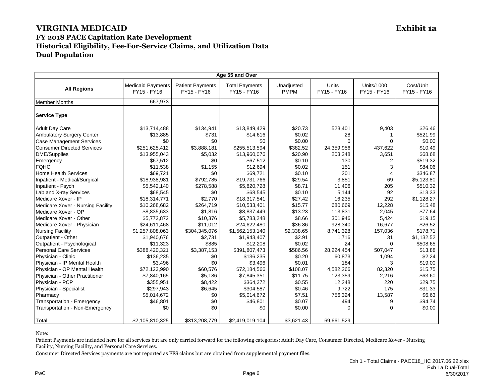| Age 55 and Over                   |                                         |                                        |                                      |                           |                             |                                  |                          |
|-----------------------------------|-----------------------------------------|----------------------------------------|--------------------------------------|---------------------------|-----------------------------|----------------------------------|--------------------------|
| <b>All Regions</b>                | <b>Medicaid Payments</b><br>FY15 - FY16 | <b>Patient Payments</b><br>FY15 - FY16 | <b>Total Payments</b><br>FY15 - FY16 | Unadjusted<br><b>PMPM</b> | <b>Units</b><br>FY15 - FY16 | <b>Units/1000</b><br>FY15 - FY16 | Cost/Unit<br>FY15 - FY16 |
| <b>Member Months</b>              | 667,973                                 |                                        |                                      |                           |                             |                                  |                          |
| <b>Service Type</b>               |                                         |                                        |                                      |                           |                             |                                  |                          |
| <b>Adult Day Care</b>             | \$13,714,488                            | \$134,941                              | \$13,849,429                         | \$20.73                   | 523,401                     | 9,403                            | \$26.46                  |
| Ambulatory Surgery Center         | \$13,885                                | \$731                                  | \$14,616                             | \$0.02                    | 28                          |                                  | \$521.99                 |
| <b>Case Management Services</b>   | \$0                                     | \$0                                    | \$0                                  | \$0.00                    | $\Omega$                    | $\Omega$                         | \$0.00                   |
| <b>Consumer Directed Services</b> | \$251,625,412                           | \$3,888,181                            | \$255,513,594                        | \$382.52                  | 24,359,956                  | 437,622                          | \$10.49                  |
| <b>DME/Supplies</b>               | \$13,955,043                            | \$5,032                                | \$13,960,076                         | \$20.90                   | 203,248                     | 3,651                            | \$68.68                  |
| Emergency                         | \$67,512                                | \$0                                    | \$67,512                             | \$0.10                    | 130                         | $\overline{2}$                   | \$519.32                 |
| <b>FQHC</b>                       | \$11,538                                | \$1,155                                | \$12,694                             | \$0.02                    | 151                         | 3                                | \$84.06                  |
| <b>Home Health Services</b>       | \$69,721                                | \$0                                    | \$69,721                             | \$0.10                    | 201                         |                                  | \$346.87                 |
| Inpatient - Medical/Surgical      | \$18,938,981                            | \$792,785                              | \$19,731,766                         | \$29.54                   | 3.851                       | 69                               | \$5,123.80               |
| Inpatient - Psych                 | \$5,542,140                             | \$278,588                              | \$5,820,728                          | \$8.71                    | 11,406                      | 205                              | \$510.32                 |
| Lab and X-ray Services            | \$68,545                                | \$0                                    | \$68,545                             | \$0.10                    | 5,144                       | 92                               | \$13.33                  |
| Medicare Xover - IP               | \$18,314,771                            | \$2,770                                | \$18,317,541                         | \$27.42                   | 16,235                      | 292                              | \$1,128.27               |
| Medicare Xover - Nursing Facility | \$10,268,682                            | \$264.719                              | \$10,533,401                         | \$15.77                   | 680.669                     | 12,228                           | \$15.48                  |
| Medicare Xover - OP               | \$8,835,633                             | \$1,816                                | \$8,837,449                          | \$13.23                   | 113,831                     | 2,045                            | \$77.64                  |
| Medicare Xover - Other            | \$5,772,872                             | \$10,376                               | \$5,783,248                          | \$8.66                    | 301,946                     | 5,424                            | \$19.15                  |
| Medicare Xover - Physician        | \$24,611,468                            | \$11,012                               | \$24,622,480                         | \$36.86                   | 928,340                     | 16,677                           | \$26.52                  |
| <b>Nursing Facility</b>           | \$1,257,808,063                         | \$304,345,076                          | \$1,562,153,140                      | \$2,338.65                | 8,741,328                   | 157,036                          | \$178.71                 |
| Outpatient - Other                | \$1,940,676                             | \$2,731                                | \$1,943,407                          | \$2.91                    | 1,716                       | 31                               | \$1,132.52               |
| Outpatient - Psychological        | \$11,323                                | \$885                                  | \$12,208                             | \$0.02                    | 24                          | $\Omega$                         | \$508.65                 |
| <b>Personal Care Services</b>     | \$388,420,321                           | \$3,387,153                            | \$391,807,473                        | \$586.56                  | 28,224,454                  | 507,047                          | \$13.88                  |
| Physician - Clinic                | \$136,235                               | \$0                                    | \$136,235                            | \$0.20                    | 60,873                      | 1,094                            | \$2.24                   |
| Physician - IP Mental Health      | \$3,496                                 | \$0                                    | \$3,496                              | \$0.01                    | 184                         | 3                                | \$19.00                  |
| Physician - OP Mental Health      | \$72,123,990                            | \$60,576                               | \$72,184,566                         | \$108.07                  | 4,582,266                   | 82,320                           | \$15.75                  |
| Physician - Other Practitioner    | \$7,840,165                             | \$5,186                                | \$7,845,351                          | \$11.75                   | 123,359                     | 2,216                            | \$63.60                  |
| Physician - PCP                   | \$355,951                               | \$8,422                                | \$364,372                            | \$0.55                    | 12,248                      | 220                              | \$29.75                  |
| Physician - Specialist            | \$297,943                               | \$6,645                                | \$304,587                            | \$0.46                    | 9,722                       | 175                              | \$31.33                  |
| Pharmacy                          | \$5,014,672                             | \$0                                    | \$5,014,672                          | \$7.51                    | 756,324                     | 13,587                           | \$6.63                   |
| Transportation - Emergency        | \$46,801                                | \$0                                    | \$46,801                             | \$0.07                    | 494                         | 9                                | \$94.74                  |
| Transportation - Non-Emergency    | \$0                                     | \$0                                    | \$0                                  | \$0.00                    | $\Omega$                    | $\Omega$                         | \$0.00                   |
| Total                             | \$2,105,810,325                         | \$313,208,779                          | \$2,419,019,104                      | \$3,621.43                | 69,661,529                  |                                  |                          |

Note:

Patient Payments are included here for all services but are only carried forward for the following categories: Adult Day Care, Consumer Directed, Medicare Xover - Nursing Facility, Nursing Facility, and Personal Care Services.

Consumer Directed Services payments are not reported as FFS claims but are obtained from supplemental payment files.

PwC Page 6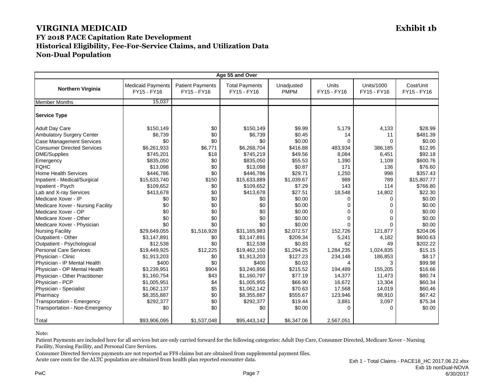| Age 55 and Over                   |                                         |                                        |                                      |                           |                      |                           |                          |
|-----------------------------------|-----------------------------------------|----------------------------------------|--------------------------------------|---------------------------|----------------------|---------------------------|--------------------------|
| <b>Northern Virginia</b>          | <b>Medicaid Payments</b><br>FY15 - FY16 | <b>Patient Payments</b><br>FY15 - FY16 | <b>Total Payments</b><br>FY15 - FY16 | Unadjusted<br><b>PMPM</b> | Units<br>FY15 - FY16 | Units/1000<br>FY15 - FY16 | Cost/Unit<br>FY15 - FY16 |
| <b>Member Months</b>              | 15.037                                  |                                        |                                      |                           |                      |                           |                          |
| <b>Service Type</b>               |                                         |                                        |                                      |                           |                      |                           |                          |
| <b>Adult Day Care</b>             | \$150,149                               | \$0                                    | \$150,149                            | \$9.99                    | 5,179                | 4,133                     | \$28.99                  |
| Ambulatory Surgery Center         | \$6,739                                 | \$0                                    | \$6,739                              | \$0.45                    | 14                   | 11                        | \$481.39                 |
| <b>Case Management Services</b>   | \$0                                     | \$0                                    | \$0                                  | \$0.00                    | $\Omega$             | $\Omega$                  | \$0.00                   |
| <b>Consumer Directed Services</b> | \$6,261,933                             | \$6,771                                | \$6,268,704                          | \$416.88                  | 483,934              | 386.185                   | \$12.95                  |
| <b>DME/Supplies</b>               | \$745,201                               | \$18                                   | \$745,219                            | \$49.56                   | 8,084                | 6,451                     | \$92.18                  |
| Emergency                         | \$835,050                               | \$0                                    | \$835,050                            | \$55.53                   | 1,390                | 1,109                     | \$600.76                 |
| <b>FQHC</b>                       | \$13,098                                | \$0                                    | \$13,098                             | \$0.87                    | 171                  | 136                       | \$76.60                  |
| <b>Home Health Services</b>       | \$446,786                               | \$0                                    | \$446,786                            | \$29.71                   | 1,250                | 998                       | \$357.43                 |
| Inpatient - Medical/Surgical      | \$15,633,740                            | \$150                                  | \$15,633,889                         | \$1,039.67                | 989                  | 789                       | \$15,807.77              |
| Inpatient - Psych                 | \$109,652                               | \$0                                    | \$109,652                            | \$7.29                    | 143                  | 114                       | \$766.80                 |
| Lab and X-ray Services            | \$413,678                               | \$0                                    | \$413,678                            | \$27.51                   | 18,548               | 14,802                    | \$22.30                  |
| Medicare Xover - IP               | \$0                                     | \$0                                    | \$0                                  | \$0.00                    | 0                    | $\Omega$                  | \$0.00                   |
| Medicare Xover - Nursing Facility | \$0                                     | \$0                                    | \$0                                  | \$0.00                    | $\Omega$             | 0                         | \$0.00                   |
| Medicare Xover - OP               | \$0                                     | \$0                                    | \$0                                  | \$0.00                    | $\Omega$             | $\Omega$                  | \$0.00                   |
| Medicare Xover - Other            | \$0                                     | \$0                                    | \$0                                  | \$0.00                    | $\Omega$             | $\Omega$                  | \$0.00                   |
| Medicare Xover - Physician        | \$0                                     | \$0                                    | \$0                                  | \$0.00                    | $\Omega$             | 0                         | \$0.00                   |
| <b>Nursing Facility</b>           | \$29,649,055                            | \$1,516,928                            | \$31,165,983                         | \$2,072.57                | 152,726              | 121,877                   | \$204.06                 |
| Outpatient - Other                | \$3,147,891                             | \$0                                    | \$3,147,891                          | \$209.34                  | 5,241                | 4,182                     | \$600.63                 |
| Outpatient - Psychological        | \$12,538                                | \$0                                    | \$12,538                             | \$0.83                    | 62                   | 49                        | \$202.22                 |
| <b>Personal Care Services</b>     | \$19,449,925                            | \$12,225                               | \$19,462,150                         | \$1,294.25                | 1,284,235            | 1,024,835                 | \$15.15                  |
| Physician - Clinic                | \$1,913,203                             | \$0                                    | \$1,913,203                          | \$127.23                  | 234,148              | 186,853                   | \$8.17                   |
| Physician - IP Mental Health      | \$400                                   | \$0                                    | \$400                                | \$0.03                    | 4                    | 3                         | \$99.98                  |
| Physician - OP Mental Health      | \$3,239,951                             | \$904                                  | \$3,240,856                          | \$215.52                  | 194,489              | 155,205                   | \$16.66                  |
| Physician - Other Practitioner    | \$1,160,754                             | \$43                                   | \$1,160,797                          | \$77.19                   | 14,377               | 11,473                    | \$80.74                  |
| Physician - PCP                   | \$1,005,951                             | \$4                                    | \$1,005,955                          | \$66.90                   | 16,672               | 13,304                    | \$60.34                  |
| Physician - Specialist            | \$1,062,137                             | \$5                                    | \$1,062,142                          | \$70.63                   | 17,568               | 14,019                    | \$60.46                  |
| Pharmacy                          | \$8,355,887                             | \$0                                    | \$8,355,887                          | \$555.67                  | 123,946              | 98,910                    | \$67.42                  |
| Transportation - Emergency        | \$292,377                               | \$0                                    | \$292,377                            | \$19.44                   | 3,881                | 3,097                     | \$75.34                  |
| Transportation - Non-Emergency    | \$0                                     | \$0                                    | \$0                                  | \$0.00                    | $\Omega$             | 0                         | \$0.00                   |
| Total                             | \$93,906,095                            | \$1,537,048                            | \$95,443,142                         | \$6,347.06                | 2,567,051            |                           |                          |

Note:

Patient Payments are included here for all services but are only carried forward for the following categories: Adult Day Care, Consumer Directed, Medicare Xover - Nursing Facility, Nursing Facility, and Personal Care Services.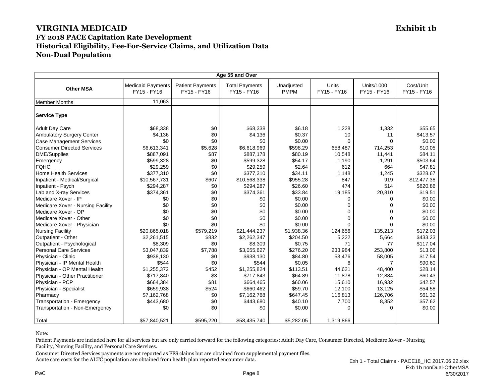| Age 55 and Over                   |                                         |                                        |                                      |                           |                             |                                  |                          |
|-----------------------------------|-----------------------------------------|----------------------------------------|--------------------------------------|---------------------------|-----------------------------|----------------------------------|--------------------------|
| <b>Other MSA</b>                  | <b>Medicaid Payments</b><br>FY15 - FY16 | <b>Patient Payments</b><br>FY15 - FY16 | <b>Total Payments</b><br>FY15 - FY16 | Unadjusted<br><b>PMPM</b> | <b>Units</b><br>FY15 - FY16 | <b>Units/1000</b><br>FY15 - FY16 | Cost/Unit<br>FY15 - FY16 |
| <b>Member Months</b>              | 11.063                                  |                                        |                                      |                           |                             |                                  |                          |
| <b>Service Type</b>               |                                         |                                        |                                      |                           |                             |                                  |                          |
| <b>Adult Day Care</b>             | \$68,338                                | \$0                                    | \$68,338                             | \$6.18                    | 1,228                       | 1,332                            | \$55.65                  |
| Ambulatory Surgery Center         | \$4,136                                 | \$0                                    | \$4,136                              | \$0.37                    | 10                          | 11                               | \$413.57                 |
| <b>Case Management Services</b>   | \$0                                     | \$0                                    | \$0                                  | \$0.00                    | $\Omega$                    | $\Omega$                         | \$0.00                   |
| Consumer Directed Services        | \$6,613,341                             | \$5,628                                | \$6,618,969                          | \$598.29                  | 658,487                     | 714,253                          | \$10.05                  |
| <b>DME/Supplies</b>               | \$887,091                               | \$87                                   | \$887,178                            | \$80.19                   | 10,548                      | 11,441                           | \$84.11                  |
| Emergency                         | \$599,328                               | \$0                                    | \$599,328                            | \$54.17                   | 1,190                       | 1,291                            | \$503.64                 |
| <b>FQHC</b>                       | \$29,259                                | \$0                                    | \$29,259                             | \$2.64                    | 612                         | 664                              | \$47.81                  |
| <b>Home Health Services</b>       | \$377,310                               | \$0                                    | \$377,310                            | \$34.11                   | 1,148                       | 1,245                            | \$328.67                 |
| Inpatient - Medical/Surgical      | \$10,567,731                            | \$607                                  | \$10,568,338                         | \$955.28                  | 847                         | 919                              | \$12,477.38              |
| Inpatient - Psych                 | \$294,287                               | \$0                                    | \$294,287                            | \$26.60                   | 474                         | 514                              | \$620.86                 |
| Lab and X-ray Services            | \$374,361                               | \$0                                    | \$374,361                            | \$33.84                   | 19,185                      | 20,810                           | \$19.51                  |
| Medicare Xover - IP               | \$0                                     | \$0                                    | \$0                                  | \$0.00                    | $\Omega$                    | 0                                | \$0.00                   |
| Medicare Xover - Nursing Facility | \$0                                     | \$0                                    | \$0                                  | \$0.00                    | $\Omega$                    | $\Omega$                         | \$0.00                   |
| Medicare Xover - OP               | \$0                                     | \$0                                    | \$0                                  | \$0.00                    | $\Omega$                    | 0                                | \$0.00                   |
| Medicare Xover - Other            | \$0                                     | \$0                                    | \$0                                  | \$0.00                    | $\Omega$                    | $\Omega$                         | \$0.00                   |
| Medicare Xover - Physician        | \$0                                     | \$0                                    | \$0                                  | \$0.00                    | $\Omega$                    | 0                                | \$0.00                   |
| <b>Nursing Facility</b>           | \$20,865,018                            | \$579,219                              | \$21,444,237                         | \$1,938.36                | 124,656                     | 135,213                          | \$172.03                 |
| Outpatient - Other                | \$2,261,515                             | \$832                                  | \$2,262,347                          | \$204.50                  | 5,222                       | 5,664                            | \$433.23                 |
| Outpatient - Psychological        | \$8,309                                 | \$0                                    | \$8,309                              | \$0.75                    | 71                          | 77                               | \$117.04                 |
| <b>Personal Care Services</b>     | \$3,047,839                             | \$7,788                                | \$3,055,627                          | \$276.20                  | 233,984                     | 253.800                          | \$13.06                  |
| Physician - Clinic                | \$938,130                               | \$0                                    | \$938,130                            | \$84.80                   | 53,476                      | 58,005                           | \$17.54                  |
| Physician - IP Mental Health      | \$544                                   | \$0                                    | \$544                                | \$0.05                    | 6                           | $\overline{7}$                   | \$90.60                  |
| Physician - OP Mental Health      | \$1,255,372                             | \$452                                  | \$1,255,824                          | \$113.51                  | 44,621                      | 48,400                           | \$28.14                  |
| Physician - Other Practitioner    | \$717,840                               | \$3                                    | \$717,843                            | \$64.89                   | 11,878                      | 12,884                           | \$60.43                  |
| Physician - PCP                   | \$664,384                               | \$81                                   | \$664,465                            | \$60.06                   | 15,610                      | 16,932                           | \$42.57                  |
| Physician - Specialist            | \$659,938                               | \$524                                  | \$660,462                            | \$59.70                   | 12,100                      | 13,125                           | \$54.58                  |
| Pharmacy                          | \$7,162,768                             | \$0                                    | \$7,162,768                          | \$647.45                  | 116,813                     | 126,706                          | \$61.32                  |
| Transportation - Emergency        | \$443,680                               | \$0                                    | \$443,680                            | \$40.10                   | 7,700                       | 8,352                            | \$57.62                  |
| Transportation - Non-Emergency    | \$0                                     | \$0                                    | \$0                                  | \$0.00                    | $\Omega$                    | 0                                | \$0.00                   |
| Total                             | \$57,840,521                            | \$595,220                              | \$58,435,740                         | \$5,282.05                | 1,319,866                   |                                  |                          |

Note:

Patient Payments are included here for all services but are only carried forward for the following categories: Adult Day Care, Consumer Directed, Medicare Xover - Nursing Facility, Nursing Facility, and Personal Care Services.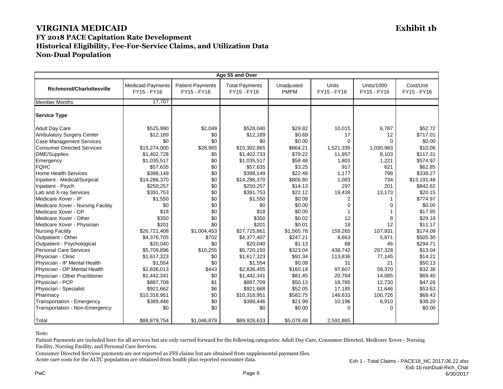| Age 55 and Over                                                                                                                                                                                                                                                                                                                                                                                                                                                                                                                                                                                                                              |                                                                                                                                                                                                                                                                                              |                                                                                                                                                                                         |                                                                                                                                                                                                                                                                                              |                                                                                                                                                                                                                                                         |                                                                                                                                                                                                              |                                                                                                                                                                             |                                                                                                                                                                                                                                                                      |
|----------------------------------------------------------------------------------------------------------------------------------------------------------------------------------------------------------------------------------------------------------------------------------------------------------------------------------------------------------------------------------------------------------------------------------------------------------------------------------------------------------------------------------------------------------------------------------------------------------------------------------------------|----------------------------------------------------------------------------------------------------------------------------------------------------------------------------------------------------------------------------------------------------------------------------------------------|-----------------------------------------------------------------------------------------------------------------------------------------------------------------------------------------|----------------------------------------------------------------------------------------------------------------------------------------------------------------------------------------------------------------------------------------------------------------------------------------------|---------------------------------------------------------------------------------------------------------------------------------------------------------------------------------------------------------------------------------------------------------|--------------------------------------------------------------------------------------------------------------------------------------------------------------------------------------------------------------|-----------------------------------------------------------------------------------------------------------------------------------------------------------------------------|----------------------------------------------------------------------------------------------------------------------------------------------------------------------------------------------------------------------------------------------------------------------|
| <b>Richmond/Charlottesville</b>                                                                                                                                                                                                                                                                                                                                                                                                                                                                                                                                                                                                              | <b>Medicaid Payments</b><br>FY15 - FY16                                                                                                                                                                                                                                                      | <b>Patient Payments</b><br>FY15 - FY16                                                                                                                                                  | <b>Total Payments</b><br>FY15 - FY16                                                                                                                                                                                                                                                         | Unadjusted<br><b>PMPM</b>                                                                                                                                                                                                                               | Units<br>FY15 - FY16                                                                                                                                                                                         | Units/1000<br>FY15 - FY16                                                                                                                                                   | Cost/Unit<br>FY15 - FY16                                                                                                                                                                                                                                             |
| <b>Member Months</b>                                                                                                                                                                                                                                                                                                                                                                                                                                                                                                                                                                                                                         | 17,707                                                                                                                                                                                                                                                                                       |                                                                                                                                                                                         |                                                                                                                                                                                                                                                                                              |                                                                                                                                                                                                                                                         |                                                                                                                                                                                                              |                                                                                                                                                                             |                                                                                                                                                                                                                                                                      |
| <b>Service Type</b>                                                                                                                                                                                                                                                                                                                                                                                                                                                                                                                                                                                                                          |                                                                                                                                                                                                                                                                                              |                                                                                                                                                                                         |                                                                                                                                                                                                                                                                                              |                                                                                                                                                                                                                                                         |                                                                                                                                                                                                              |                                                                                                                                                                             |                                                                                                                                                                                                                                                                      |
| <b>Adult Day Care</b><br>Ambulatory Surgery Center<br><b>Case Management Services</b><br><b>Consumer Directed Services</b><br><b>DME/Supplies</b><br>Emergency<br><b>FQHC</b><br><b>Home Health Services</b><br>Inpatient - Medical/Surgical<br>Inpatient - Psych<br>Lab and X-ray Services<br>Medicare Xover - IP<br>Medicare Xover - Nursing Facility<br>Medicare Xover - OP<br>Medicare Xover - Other<br>Medicare Xover - Physician<br><b>Nursing Facility</b><br>Outpatient - Other<br>Outpatient - Psychological<br><b>Personal Care Services</b><br>Physician - Clinic<br>Physician - IP Mental Health<br>Physician - OP Mental Health | \$525,990<br>\$12,189<br>\$0<br>\$15,274,000<br>\$1,402,728<br>\$1,035,517<br>\$57,635<br>\$398,149<br>\$14,286,370<br>\$250,257<br>\$391,753<br>\$1,550<br>\$0<br>\$18<br>\$350<br>\$201<br>\$26,721,408<br>\$4,376,705<br>\$20,040<br>\$5,709,896<br>\$1,617,323<br>\$1,554<br>\$2,836,013 | \$2,049<br>\$0<br>\$0<br>\$28,965<br>\$5<br>\$0<br>\$0<br>\$0<br>\$0<br>\$0<br>\$0<br>\$0<br>\$0<br>\$0<br>\$0<br>\$0<br>\$1,004,453<br>\$702<br>\$0<br>\$10,255<br>\$0<br>\$0<br>\$443 | \$528,040<br>\$12,189<br>\$0<br>\$15,302,965<br>\$1,402,733<br>\$1,035,517<br>\$57,635<br>\$398,149<br>\$14,286,370<br>\$250,257<br>\$391,753<br>\$1,550<br>\$0<br>\$18<br>\$350<br>\$201<br>\$27,725,861<br>\$4,377,407<br>\$20,040<br>\$5,720,150<br>\$1,617,323<br>\$1,554<br>\$2,836,455 | \$29.82<br>\$0.69<br>\$0.00<br>\$864.21<br>\$79.22<br>\$58.48<br>\$3.25<br>\$22.48<br>\$806.80<br>\$14.13<br>\$22.12<br>\$0.09<br>\$0.00<br>\$0.00<br>\$0.02<br>\$0.01<br>\$1,565.78<br>\$247.21<br>\$1.13<br>\$323.04<br>\$91.34<br>\$0.09<br>\$160.18 | 10,015<br>17<br>$\Omega$<br>1,521,335<br>11,957<br>1,801<br>917<br>1,177<br>1,083<br>297<br>19,438<br>$\overline{2}$<br>$\Omega$<br>12<br>18<br>159,265<br>8,663<br>68<br>438,742<br>113,836<br>31<br>87,607 | 6,787<br>12<br>$\Omega$<br>1,030,983<br>8,103<br>1,221<br>621<br>798<br>734<br>201<br>13,173<br>0<br>8<br>12<br>107,931<br>5,871<br>46<br>297,328<br>77,145<br>21<br>59,370 | \$52.72<br>\$717.01<br>\$0.00<br>\$10.06<br>\$117.31<br>\$574.97<br>\$62.85<br>\$338.27<br>\$13,191.48<br>\$842.62<br>\$20.15<br>\$774.97<br>\$0.00<br>\$17.95<br>\$29.18<br>\$11.17<br>\$174.09<br>\$505.30<br>\$294.71<br>\$13.04<br>\$14.21<br>\$50.13<br>\$32.38 |
| Physician - Other Practitioner<br>Physician - PCP<br>Physician - Specialist<br>Pharmacy<br>Transportation - Emergency<br>Transportation - Non-Emergency                                                                                                                                                                                                                                                                                                                                                                                                                                                                                      | \$1,442,341<br>\$887,708<br>\$921,662<br>\$10,318,951<br>\$389,446<br>\$0                                                                                                                                                                                                                    | \$0<br>\$1<br>\$6<br>\$0<br>\$0<br>\$0                                                                                                                                                  | \$1,442,341<br>\$887,709<br>\$921,668<br>\$10,318,951<br>\$389,446<br>\$0                                                                                                                                                                                                                    | \$81.45<br>\$50.13<br>\$52.05<br>\$582.75<br>\$21.99<br>\$0.00                                                                                                                                                                                          | 20,784<br>18,785<br>17,185<br>148,633<br>10,196<br>$\Omega$                                                                                                                                                  | 14,085<br>12,730<br>11,646<br>100,726<br>6,910<br>0                                                                                                                         | \$69.40<br>\$47.26<br>\$53.63<br>\$69.43<br>\$38.20<br>\$0.00                                                                                                                                                                                                        |
| Total                                                                                                                                                                                                                                                                                                                                                                                                                                                                                                                                                                                                                                        | \$88,879,754                                                                                                                                                                                                                                                                                 | \$1,046,879                                                                                                                                                                             | \$89,926,633                                                                                                                                                                                                                                                                                 | \$5,078.48                                                                                                                                                                                                                                              | 2,591,865                                                                                                                                                                                                    |                                                                                                                                                                             |                                                                                                                                                                                                                                                                      |

Note:

Patient Payments are included here for all services but are only carried forward for the following categories: Adult Day Care, Consumer Directed, Medicare Xover - Nursing Facility, Nursing Facility, and Personal Care Services.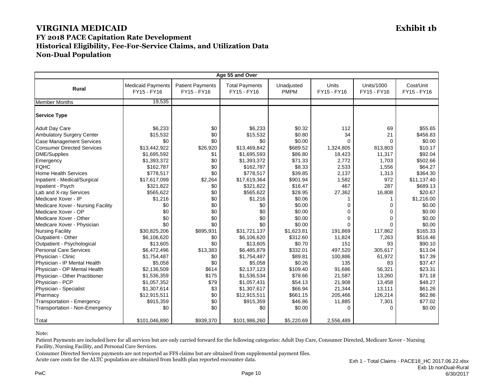| Age 55 and Over                   |                                         |                                        |                                      |                           |                      |                                  |                          |
|-----------------------------------|-----------------------------------------|----------------------------------------|--------------------------------------|---------------------------|----------------------|----------------------------------|--------------------------|
| <b>Rural</b>                      | <b>Medicaid Payments</b><br>FY15 - FY16 | <b>Patient Payments</b><br>FY15 - FY16 | <b>Total Payments</b><br>FY15 - FY16 | Unadjusted<br><b>PMPM</b> | Units<br>FY15 - FY16 | <b>Units/1000</b><br>FY15 - FY16 | Cost/Unit<br>FY15 - FY16 |
| <b>Member Months</b>              | 19,535                                  |                                        |                                      |                           |                      |                                  |                          |
| <b>Service Type</b>               |                                         |                                        |                                      |                           |                      |                                  |                          |
| <b>Adult Day Care</b>             | \$6,233                                 | \$0                                    | \$6,233                              | \$0.32                    | 112                  | 69                               | \$55.65                  |
| <b>Ambulatory Surgery Center</b>  | \$15,532                                | \$0                                    | \$15,532                             | \$0.80                    | 34                   | 21                               | \$456.83                 |
| <b>Case Management Services</b>   | \$0                                     | \$0                                    | \$0                                  | \$0.00                    | $\Omega$             | 0                                | \$0.00                   |
| <b>Consumer Directed Services</b> | \$13,442,922                            | \$26,920                               | \$13,469,842                         | \$689.52                  | 1,324,805            | 813,803                          | \$10.17                  |
| <b>DME/Supplies</b>               | \$1,695,592                             | \$1                                    | \$1,695,593                          | \$86.80                   | 18,423               | 11,317                           | \$92.04                  |
| Emergency                         | \$1,393,372                             | \$0                                    | \$1,393,372                          | \$71.33                   | 2,772                | 1,703                            | \$502.66                 |
| <b>FQHC</b>                       | \$162,787                               | \$0                                    | \$162,787                            | \$8.33                    | 2,533                | 1,556                            | \$64.27                  |
| <b>Home Health Services</b>       | \$778,517                               | \$0                                    | \$778,517                            | \$39.85                   | 2,137                | 1,313                            | \$364.30                 |
| Inpatient - Medical/Surgical      | \$17,617,099                            | \$2,264                                | \$17,619,364                         | \$901.94                  | 1,582                | 972                              | \$11,137.40              |
| Inpatient - Psych                 | \$321,822                               | \$0                                    | \$321,822                            | \$16.47                   | 467                  | 287                              | \$689.13                 |
| Lab and X-ray Services            | \$565,622                               | \$0                                    | \$565,622                            | \$28.95                   | 27,362               | 16,808                           | \$20.67                  |
| Medicare Xover - IP               | \$1,216                                 | \$0                                    | \$1,216                              | \$0.06                    |                      | 1                                | \$1,216.00               |
| Medicare Xover - Nursing Facility | \$0                                     | \$0                                    | \$0                                  | \$0.00                    | 0                    | 0                                | \$0.00                   |
| Medicare Xover - OP               | \$0                                     | \$0                                    | \$0                                  | \$0.00                    | $\Omega$             | $\Omega$                         | \$0.00                   |
| Medicare Xover - Other            | \$0                                     | \$0                                    | \$0                                  | \$0.00                    | $\Omega$             | $\Omega$                         | \$0.00                   |
| Medicare Xover - Physician        | \$0                                     | \$0                                    | \$0                                  | \$0.00                    | $\Omega$             | 0                                | \$0.00                   |
| <b>Nursing Facility</b>           | \$30,825,206                            | \$895,931                              | \$31,721,137                         | \$1,623.81                | 191,869              | 117,862                          | \$165.33                 |
| Outpatient - Other                | \$6,106,620                             | \$0                                    | \$6,106,620                          | \$312.60                  | 11,824               | 7,263                            | \$516.46                 |
| Outpatient - Psychological        | \$13,605                                | \$0                                    | \$13,605                             | \$0.70                    | 151                  | 93                               | \$90.10                  |
| <b>Personal Care Services</b>     | \$6,472,496                             | \$13,383                               | \$6,485,879                          | \$332.01                  | 497,520              | 305,617                          | \$13.04                  |
| Physician - Clinic                | \$1,754,487                             | \$0                                    | \$1,754,487                          | \$89.81                   | 100,886              | 61,972                           | \$17.39                  |
| Physician - IP Mental Health      | \$5,058                                 | \$0                                    | \$5,058                              | \$0.26                    | 135                  | 83                               | \$37.47                  |
| Physician - OP Mental Health      | \$2,136,509                             | \$614                                  | \$2,137,123                          | \$109.40                  | 91,686               | 56,321                           | \$23.31                  |
| Physician - Other Practitioner    | \$1,536,359                             | \$175                                  | \$1,536,534                          | \$78.66                   | 21,587               | 13,260                           | \$71.18                  |
| Physician - PCP                   | \$1,057,352                             | \$79                                   | \$1,057,431                          | \$54.13                   | 21,908               | 13,458                           | \$48.27                  |
| Physician - Specialist            | \$1,307,614                             | \$3                                    | \$1,307,617                          | \$66.94                   | 21,344               | 13,111                           | \$61.26                  |
| Pharmacy                          | \$12,915,511                            | \$0                                    | \$12,915,511                         | \$661.15                  | 205,466              | 126,214                          | \$62.86                  |
| Transportation - Emergency        | \$915,359                               | \$0                                    | \$915,359                            | \$46.86                   | 11,885               | 7,301                            | \$77.02                  |
| Transportation - Non-Emergency    | \$0                                     | \$0                                    | \$0                                  | \$0.00                    | $\Omega$             | $\Omega$                         | \$0.00                   |
| Total                             | \$101,046,890                           | \$939,370                              | \$101,986,260                        | \$5,220.69                | 2,556,489            |                                  |                          |

Note:

Patient Payments are included here for all services but are only carried forward for the following categories: Adult Day Care, Consumer Directed, Medicare Xover - Nursing Facility, Nursing Facility, and Personal Care Services.

Consumer Directed Services payments are not reported as FFS claims but are obtained from supplemental payment files. Acute care costs for the ALTC population are obtained from health plan reported encounter data.

PwC Processes and the contract of the contract of the contract of the contract of the contract of the contract of the contract of the contract of the contract of the contract of the contract of the contract of the contract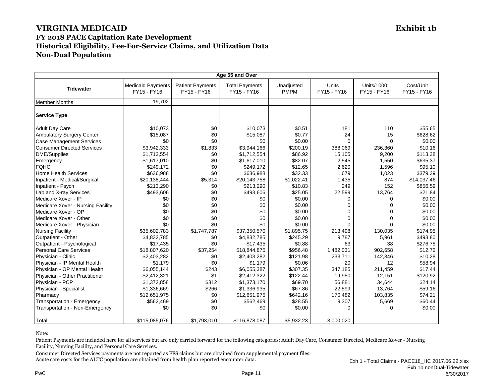| Age 55 and Over                                                      |                                         |                                        |                                      |                           |                      |                                  |                          |
|----------------------------------------------------------------------|-----------------------------------------|----------------------------------------|--------------------------------------|---------------------------|----------------------|----------------------------------|--------------------------|
| <b>Tidewater</b>                                                     | <b>Medicaid Payments</b><br>FY15 - FY16 | <b>Patient Payments</b><br>FY15 - FY16 | <b>Total Payments</b><br>FY15 - FY16 | Unadjusted<br><b>PMPM</b> | Units<br>FY15 - FY16 | <b>Units/1000</b><br>FY15 - FY16 | Cost/Unit<br>FY15 - FY16 |
| <b>Member Months</b>                                                 | 19.702                                  |                                        |                                      |                           |                      |                                  |                          |
| <b>Service Type</b>                                                  |                                         |                                        |                                      |                           |                      |                                  |                          |
| <b>Adult Day Care</b><br><b>Ambulatory Surgery Center</b>            | \$10.073<br>\$15,087                    | \$0<br>\$0                             | \$10.073<br>\$15,087                 | \$0.51<br>\$0.77          | 181<br>24            | 110<br>15                        | \$55.65<br>\$628.62      |
| <b>Case Management Services</b><br><b>Consumer Directed Services</b> | \$0<br>\$3,942,333                      | \$0<br>\$1,833                         | \$0<br>\$3,944,166                   | \$0.00<br>\$200.19        | $\Omega$<br>388,069  | 0<br>236,360                     | \$0.00<br>\$10.16        |
| <b>DME/Supplies</b><br>Emergency                                     | \$1,712,554<br>\$1,617,010              | \$0<br>\$0                             | \$1,712,554<br>\$1,617,010           | \$86.92<br>\$82.07        | 15,105<br>2,545      | 9,200<br>1,550                   | \$113.38<br>\$635.37     |
| <b>FQHC</b><br><b>Home Health Services</b>                           | \$249,172<br>\$636,988                  | \$0<br>\$0                             | \$249,172<br>\$636,988               | \$12.65<br>\$32.33        | 2,620<br>1,679       | 1,596<br>1,023                   | \$95.10<br>\$379.39      |
| Inpatient - Medical/Surgical<br>Inpatient - Psych                    | \$20,138,444<br>\$213,290               | \$5,314<br>\$0                         | \$20,143,758<br>\$213,290            | \$1,022.41<br>\$10.83     | 1,435<br>249         | 874<br>152                       | \$14,037.46<br>\$856.59  |
| Lab and X-ray Services<br>Medicare Xover - IP                        | \$493,606<br>\$0                        | \$0<br>\$0                             | \$493,606<br>\$0                     | \$25.05<br>\$0.00         | 22,599<br>$\Omega$   | 13,764<br>0                      | \$21.84<br>\$0.00        |
| Medicare Xover - Nursing Facility                                    | \$0                                     | \$0                                    | \$0                                  | \$0.00                    | 0                    | 0                                | \$0.00                   |
| Medicare Xover - OP<br>Medicare Xover - Other                        | \$0<br>\$0                              | \$0<br>\$0                             | \$0<br>\$0                           | \$0.00<br>\$0.00          | $\Omega$<br>$\Omega$ | $\Omega$<br>$\Omega$             | \$0.00                   |
| Medicare Xover - Physician                                           | \$0                                     | \$0                                    | \$0                                  | \$0.00                    | $\Omega$             | 0                                | \$0.00<br>\$0.00         |
| <b>Nursing Facility</b>                                              | \$35,602,783                            | \$1,747,787                            | \$37,350,570                         | \$1,895.75                | 213,498              | 130,035                          | \$174.95                 |
| Outpatient - Other<br>Outpatient - Psychological                     | \$4,832,785<br>\$17,435                 | \$0<br>\$0                             | \$4,832,785<br>\$17,435              | \$245.29<br>\$0.88        | 9.787<br>63          | 5,961<br>38                      | \$493.80<br>\$276.75     |
| <b>Personal Care Services</b>                                        | \$18,807,620                            | \$37,254                               | \$18,844,875                         | \$956.48                  | 1,482,031            | 902,658                          | \$12.72                  |
| Physician - Clinic                                                   | \$2,403,282                             | \$0                                    | \$2,403,282                          | \$121.98                  | 233,711              | 142,346                          | \$10.28                  |
| Physician - IP Mental Health<br>Physician - OP Mental Health         | \$1,179<br>\$6,055,144                  | \$0<br>\$243                           | \$1,179<br>\$6,055,387               | \$0.06<br>\$307.35        | 20<br>347,185        | 12<br>211,459                    | \$58.94<br>\$17.44       |
| Physician - Other Practitioner                                       | \$2,412,321                             | \$1                                    | \$2,412,322                          | \$122.44                  | 19,950               | 12,151                           | \$120.92                 |
| Physician - PCP<br>Physician - Specialist                            | \$1,372,858<br>\$1,336,669              | \$312<br>\$266                         | \$1,373,170<br>\$1,336,935           | \$69.70<br>\$67.86        | 56,881<br>22,599     | 34,644<br>13,764                 | \$24.14<br>\$59.16       |
| Pharmacy                                                             | \$12,651,975                            | \$0                                    | \$12,651,975                         | \$642.16                  | 170,482              | 103,835                          | \$74.21                  |
| Transportation - Emergency                                           | \$562,469                               | \$0<br>\$0                             | \$562,469<br>\$0                     | \$28.55<br>\$0.00         | 9,307<br>$\Omega$    | 5,669<br>0                       | \$60.44<br>\$0.00        |
| Transportation - Non-Emergency                                       | \$0                                     |                                        |                                      |                           |                      |                                  |                          |
| Total                                                                | \$115,085,076                           | \$1,793,010                            | \$116,878,087                        | \$5,932.23                | 3,000,020            |                                  |                          |

Note:

Patient Payments are included here for all services but are only carried forward for the following categories: Adult Day Care, Consumer Directed, Medicare Xover - Nursing Facility, Nursing Facility, and Personal Care Services.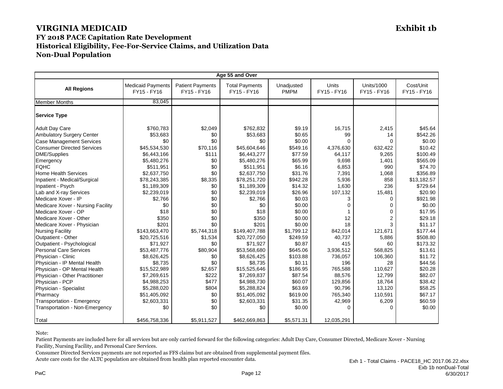| Age 55 and Over                                           |                                         |                                        |                                      |                           |                      |                                  |                          |
|-----------------------------------------------------------|-----------------------------------------|----------------------------------------|--------------------------------------|---------------------------|----------------------|----------------------------------|--------------------------|
| <b>All Regions</b>                                        | <b>Medicaid Payments</b><br>FY15 - FY16 | <b>Patient Payments</b><br>FY15 - FY16 | <b>Total Payments</b><br>FY15 - FY16 | Unadjusted<br><b>PMPM</b> | Units<br>FY15 - FY16 | <b>Units/1000</b><br>FY15 - FY16 | Cost/Unit<br>FY15 - FY16 |
| <b>Member Months</b>                                      | 83.045                                  |                                        |                                      |                           |                      |                                  |                          |
| <b>Service Type</b>                                       |                                         |                                        |                                      |                           |                      |                                  |                          |
| <b>Adult Day Care</b><br><b>Ambulatory Surgery Center</b> | \$760,783<br>\$53,683                   | \$2,049<br>\$0                         | \$762,832<br>\$53,683                | \$9.19<br>\$0.65          | 16,715<br>99         | 2,415<br>14                      | \$45.64<br>\$542.26      |
| <b>Case Management Services</b>                           | \$0                                     | \$0                                    | \$0                                  | \$0.00                    | $\Omega$             | 0                                | \$0.00                   |
| <b>Consumer Directed Services</b>                         | \$45,534,530                            | \$70,116                               | \$45,604,646                         | \$549.16                  | 4,376,630            | 632,422                          | \$10.42                  |
| <b>DME/Supplies</b>                                       | \$6,443,166                             | \$111                                  | \$6,443,277                          | \$77.59                   | 64,117               | 9,265                            | \$100.49                 |
| Emergency                                                 | \$5,480,276                             | \$0                                    | \$5,480,276                          | \$65.99                   | 9,698                | 1,401                            | \$565.09                 |
| <b>FQHC</b>                                               | \$511,951                               | \$0                                    | \$511,951                            | \$6.16                    | 6,853                | 990                              | \$74.70                  |
| <b>Home Health Services</b>                               | \$2,637,750                             | \$0                                    | \$2,637,750                          | \$31.76                   | 7,391                | 1,068                            | \$356.89                 |
| Inpatient - Medical/Surgical                              | \$78,243,385                            | \$8,335                                | \$78,251,720                         | \$942.28                  | 5,936                | 858                              | \$13,182.57              |
| Inpatient - Psych                                         | \$1,189,309                             | \$0                                    | \$1,189,309                          | \$14.32                   | 1,630                | 236                              | \$729.64                 |
| Lab and X-ray Services                                    | \$2,239,019                             | \$0                                    | \$2,239,019                          | \$26.96                   | 107,132              | 15,481                           | \$20.90                  |
| Medicare Xover - IP                                       | \$2,766                                 | \$0                                    | \$2,766                              | \$0.03                    | 3                    | 0                                | \$921.98                 |
| Medicare Xover - Nursing Facility                         | \$0                                     | \$0                                    | \$0                                  | \$0.00                    | $\Omega$             | 0                                | \$0.00                   |
| Medicare Xover - OP                                       | \$18                                    | \$0                                    | \$18                                 | \$0.00                    |                      | 0                                | \$17.95                  |
| Medicare Xover - Other                                    | \$350                                   | \$0                                    | \$350                                | \$0.00                    | 12                   | $\overline{2}$                   | \$29.18                  |
| Medicare Xover - Physician                                | \$201                                   | \$0                                    | \$201                                | \$0.00                    | 18                   | 3                                | \$11.17                  |
| <b>Nursing Facility</b>                                   | \$143,663,470                           | \$5,744,318                            | \$149,407,788                        | \$1,799.12                | 842.014              | 121,671                          | \$177.44                 |
| Outpatient - Other                                        | \$20,725,516                            | \$1,534                                | \$20,727,050                         | \$249.59                  | 40,737               | 5,886                            | \$508.80                 |
| Outpatient - Psychological                                | \$71,927                                | \$0                                    | \$71,927                             | \$0.87                    | 415                  | 60                               | \$173.32                 |
| <b>Personal Care Services</b>                             | \$53.487.776                            | \$80,904                               | \$53,568,680                         | \$645.06                  | 3.936.512            | 568.825                          | \$13.61                  |
| Physician - Clinic                                        | \$8,626,425                             | \$0                                    | \$8,626,425                          | \$103.88                  | 736,057              | 106,360                          | \$11.72                  |
| Physician - IP Mental Health                              | \$8,735                                 | \$0                                    | \$8,735                              | \$0.11                    | 196                  | 28                               | \$44.56                  |
| Physician - OP Mental Health                              | \$15,522,989                            | \$2,657                                | \$15,525,646                         | \$186.95                  | 765,588              | 110,627                          | \$20.28                  |
| Physician - Other Practitioner                            | \$7,269,615                             | \$222                                  | \$7,269,837                          | \$87.54                   | 88,576               | 12,799                           | \$82.07                  |
| Physician - PCP                                           | \$4,988,253                             | \$477                                  | \$4,988,730                          | \$60.07                   | 129,856              | 18,764                           | \$38.42                  |
| Physician - Specialist                                    | \$5,288,020                             | \$804                                  | \$5,288,824                          | \$63.69                   | 90,796               | 13,120                           | \$58.25                  |
| Pharmacy                                                  | \$51,405,092                            | \$0                                    | \$51,405,092                         | \$619.00                  | 765,340              | 110,591                          | \$67.17                  |
| Transportation - Emergency                                | \$2,603,331                             | \$0                                    | \$2,603,331                          | \$31.35                   | 42,969               | 6,209                            | \$60.59                  |
| Transportation - Non-Emergency                            | \$0                                     | \$0                                    | \$0                                  | \$0.00                    | 0                    | 0                                | \$0.00                   |
| Total                                                     | \$456,758,336                           | \$5,911,527                            | \$462,669,863                        | \$5,571.31                | 12,035,291           |                                  |                          |

Note:

Patient Payments are included here for all services but are only carried forward for the following categories: Adult Day Care, Consumer Directed, Medicare Xover - Nursing Facility, Nursing Facility, and Personal Care Services.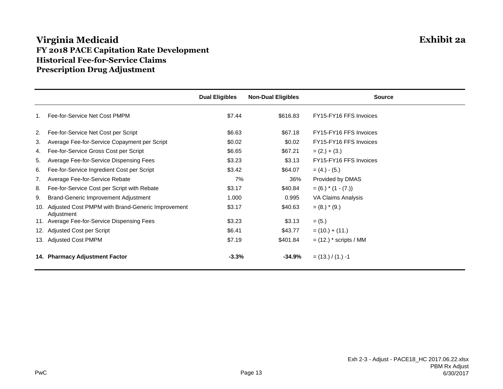## **Virginia Medicaid Exhibit 2a FY 2018 PACE Capitation Rate Development Historical Fee-for-Service Claims Prescription Drug Adjustment**

|    |                                                                     | <b>Dual Eligibles</b> | <b>Non-Dual Eligibles</b> | <b>Source</b>              |
|----|---------------------------------------------------------------------|-----------------------|---------------------------|----------------------------|
|    | Fee-for-Service Net Cost PMPM                                       | \$7.44                | \$616.83                  | FY15-FY16 FFS Invoices     |
| 2. | Fee-for-Service Net Cost per Script                                 | \$6.63                | \$67.18                   | FY15-FY16 FFS Invoices     |
| 3. | Average Fee-for-Service Copayment per Script                        | \$0.02                | \$0.02                    | FY15-FY16 FFS Invoices     |
| 4. | Fee-for-Service Gross Cost per Script                               | \$6.65                | \$67.21                   | $= (2.) + (3.)$            |
| 5. | Average Fee-for-Service Dispensing Fees                             | \$3.23                | \$3.13                    | FY15-FY16 FFS Invoices     |
| 6. | Fee-for-Service Ingredient Cost per Script                          | \$3.42                | \$64.07                   | $= (4.) - (5.)$            |
| 7. | Average Fee-for-Service Rebate                                      | 7%                    | 36%                       | Provided by DMAS           |
| 8. | Fee-for-Service Cost per Script with Rebate                         | \$3.17                | \$40.84                   | $= (6.) * (1 - (7.))$      |
| 9. | Brand-Generic Improvement Adjustment                                | 1.000                 | 0.995                     | VA Claims Analysis         |
|    | 10. Adjusted Cost PMPM with Brand-Generic Improvement<br>Adjustment | \$3.17                | \$40.63                   | $= (8.) * (9.)$            |
|    | 11. Average Fee-for-Service Dispensing Fees                         | \$3.23                | \$3.13                    | $= (5.)$                   |
|    | 12. Adjusted Cost per Script                                        | \$6.41                | \$43.77                   | $= (10.) + (11.)$          |
|    | 13. Adjusted Cost PMPM                                              | \$7.19                | \$401.84                  | $=$ (12.) $*$ scripts / MM |
|    | 14. Pharmacy Adjustment Factor                                      | $-3.3%$               | $-34.9%$                  | $=$ (13.) / (1.) -1        |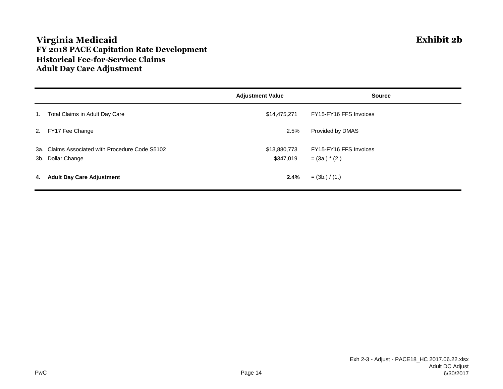## **Virginia Medicaid Exhibit 2b FY 2018 PACE Capitation Rate Development Historical Fee-for-Service Claims Adult Day Care Adjustment**

|    |                                                 | <b>Adjustment Value</b> | <b>Source</b>          |
|----|-------------------------------------------------|-------------------------|------------------------|
| 1. | Total Claims in Adult Day Care                  | \$14,475,271            | FY15-FY16 FFS Invoices |
|    | 2. FY17 Fee Change                              | 2.5%                    | Provided by DMAS       |
|    | 3a. Claims Associated with Procedure Code S5102 | \$13,880,773            | FY15-FY16 FFS Invoices |
|    | 3b. Dollar Change                               | \$347,019               | $=$ (3a.) $*$ (2.)     |
| 4. | <b>Adult Day Care Adjustment</b>                | 2.4%                    | $=$ (3b.) / (1.)       |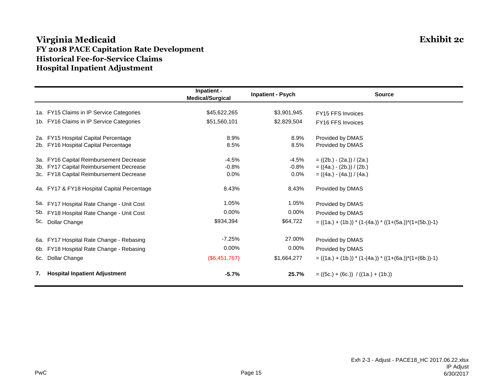## **Virginia Medicaid Exhibit 2c FY 2018 PACE Capitation Rate Development Historical Fee-for-Service Claims Hospital Inpatient Adjustment**

|                                              | Inpatient -<br><b>Medical/Surgical</b> | <b>Inpatient - Psych</b> | <b>Source</b>                                                 |
|----------------------------------------------|----------------------------------------|--------------------------|---------------------------------------------------------------|
| 1a. FY15 Claims in IP Service Categories     | \$45,622,265                           | \$3,901,945              | <b>FY15 FFS Invoices</b>                                      |
| 1b. FY16 Claims in IP Service Categories     | \$51,560,101                           | \$2,829,504              | FY16 FFS Invoices                                             |
| 2a. FY15 Hospital Capital Percentage         | 8.9%                                   | 8.9%                     | Provided by DMAS                                              |
| 2b. FY16 Hospital Capital Percentage         | 8.5%                                   | 8.5%                     | Provided by DMAS                                              |
| 3a. FY16 Capital Reimbursement Decrease      | $-4.5%$                                | $-4.5\%$                 | $= ((2b.) - (2a.)) / (2a.)$                                   |
| FY17 Capital Reimbursement Decrease<br>3b.   | $-0.8%$                                | -0.8%                    | $= ((4a.) - (2b.)) / (2b.)$                                   |
| 3c. FY18 Capital Reimbursement Decrease      | $0.0\%$                                | $0.0\%$                  | $= ((4a.) - (4a.)) / (4a.)$                                   |
| 4a. FY17 & FY18 Hospital Capital Percentage  | 8.43%                                  | 8.43%                    | Provided by DMAS                                              |
| 5a. FY17 Hospital Rate Change - Unit Cost    | 1.05%                                  | 1.05%                    | Provided by DMAS                                              |
| FY18 Hospital Rate Change - Unit Cost<br>5b. | $0.00\%$                               | 0.00%                    | Provided by DMAS                                              |
| 5c.<br>Dollar Change                         | \$934,394                              | \$64,722                 | $= ((1a.) + (1b.)) * (1-(4a.)) * ((1+(5a.)) * (1+(5b.)) - 1)$ |
| FY17 Hospital Rate Change - Rebasing<br>6а.  | $-7.25%$                               | 27.00%                   | Provided by DMAS                                              |
| FY18 Hospital Rate Change - Rebasing<br>6b.  | $0.00\%$                               | $0.00\%$                 | Provided by DMAS                                              |
| 6c. Dollar Change                            | (\$6,451,767)                          | \$1,664,277              | $= ((1a.) + (1b.)) * (1-(4a.)) * ((1+(6a.)) * (1+(6b.))-1)$   |
| <b>Hospital Inpatient Adjustment</b><br>7.   | $-5.7%$                                | 25.7%                    | $= ((5c.) + (6c.)) / ((1a.) + (1b.))$                         |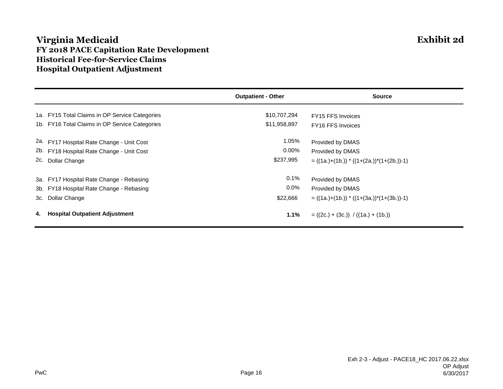## **Virginia Medicaid Exhibit 2d FY 2018 PACE Capitation Rate Development Historical Fee-for-Service Claims Hospital Outpatient Adjustment**

|    |                                                | <b>Outpatient - Other</b> | <b>Source</b>                                     |
|----|------------------------------------------------|---------------------------|---------------------------------------------------|
|    | 1a. FY15 Total Claims in OP Service Categories | \$10,707,294              | FY15 FFS Invoices                                 |
|    | 1b. FY16 Total Claims in OP Service Categories | \$11,958,897              | FY16 FFS Invoices                                 |
|    | 2a. FY17 Hospital Rate Change - Unit Cost      | 1.05%                     | Provided by DMAS                                  |
|    | 2b. FY18 Hospital Rate Change - Unit Cost      | $0.00\%$                  | Provided by DMAS                                  |
|    | 2c. Dollar Change                              | \$237,995                 | $= ((1a.)+(1b.))$ * $((1+(2a.))$ * $(1+(2b.))-1)$ |
|    | 3a. FY17 Hospital Rate Change - Rebasing       | $0.1\%$                   | Provided by DMAS                                  |
|    | 3b. FY18 Hospital Rate Change - Rebasing       | $0.0\%$                   | Provided by DMAS                                  |
|    | 3c. Dollar Change                              | \$22,666                  | $= ((1a.)+(1b.)) * ((1+(3a.)) * (1+(3b.))-1)$     |
| 4. | <b>Hospital Outpatient Adjustment</b>          | 1.1%                      | $= ((2c.) + (3c.)) / ((1a.) + (1b.))$             |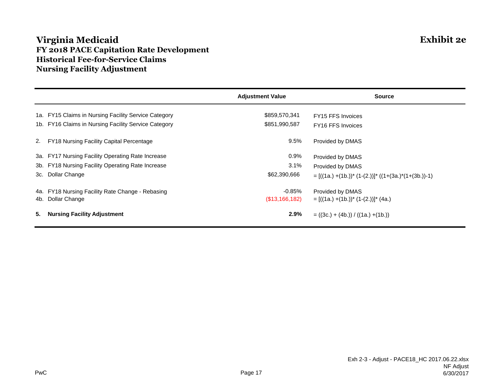## **Virginia Medicaid Exhibit 2e FY 2018 PACE Capitation Rate Development Historical Fee-for-Service Claims Nursing Facility Adjustment**

|    |                                                      | <b>Adjustment Value</b> | <b>Source</b>                                              |
|----|------------------------------------------------------|-------------------------|------------------------------------------------------------|
|    | 1a. FY15 Claims in Nursing Facility Service Category | \$859,570,341           | FY15 FFS Invoices                                          |
|    | 1b. FY16 Claims in Nursing Facility Service Category | \$851,990,587           | FY16 FFS Invoices                                          |
|    | 2. FY18 Nursing Facility Capital Percentage          | 9.5%                    | Provided by DMAS                                           |
|    | 3a. FY17 Nursing Facility Operating Rate Increase    | $0.9\%$                 | Provided by DMAS                                           |
|    | 3b. FY18 Nursing Facility Operating Rate Increase    | 3.1%                    | Provided by DMAS                                           |
|    | 3c. Dollar Change                                    | \$62,390,666            | $= [((1a.) + (1b.))^* (1-(2.))]^* ((1+(3a.)^*(1+(3b.))-1)$ |
|    | 4a. FY18 Nursing Facility Rate Change - Rebasing     | $-0.85\%$               | Provided by DMAS                                           |
|    | 4b. Dollar Change                                    | (\$13,166,182)          | $= [((1a.) + (1b.))^* (1-(2.))]^* (4a.)$                   |
| 5. | <b>Nursing Facility Adjustment</b>                   | $2.9\%$                 | $= ((3c.) + (4b.)) / ((1a.) + (1b.))$                      |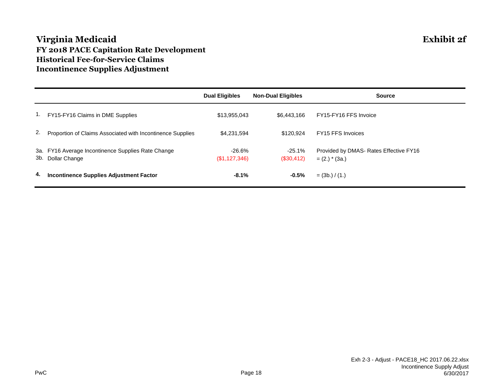## **Virginia Medicaid Exhibit 2f FY 2018 PACE Capitation Rate Development Historical Fee-for-Service Claims Incontinence Supplies Adjustment**

|    |                                                                         | <b>Dual Eligibles</b>   | <b>Non-Dual Eligibles</b> | <b>Source</b>                                              |
|----|-------------------------------------------------------------------------|-------------------------|---------------------------|------------------------------------------------------------|
| 1. | FY15-FY16 Claims in DME Supplies                                        | \$13,955,043            | \$6.443.166               | FY15-FY16 FFS Invoice                                      |
| 2. | Proportion of Claims Associated with Incontinence Supplies              | \$4,231,594             | \$120.924                 | FY15 FFS Invoices                                          |
|    | 3a. FY16 Average Incontinence Supplies Rate Change<br>3b. Dollar Change | -26.6%<br>(\$1,127,346) | -25.1%<br>$(\$30,412)$    | Provided by DMAS- Rates Effective FY16<br>$= (2.)$ * (3a.) |
| 4. | <b>Incontinence Supplies Adjustment Factor</b>                          | $-8.1%$                 | $-0.5%$                   | $=$ (3b.) / (1.)                                           |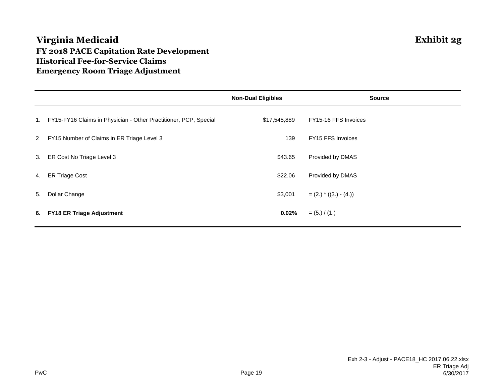## **Virginia Medicaid Exhibit 2g FY 2018 PACE Capitation Rate Development Historical Fee-for-Service Claims Emergency Room Triage Adjustment**

|    |                                                                  | <b>Non-Dual Eligibles</b> | <b>Source</b>            |
|----|------------------------------------------------------------------|---------------------------|--------------------------|
| 1. | FY15-FY16 Claims in Physician - Other Practitioner, PCP, Special | \$17,545,889              | FY15-16 FFS Invoices     |
| 2  | FY15 Number of Claims in ER Triage Level 3                       | 139                       | FY15 FFS Invoices        |
| 3. | ER Cost No Triage Level 3                                        | \$43.65                   | Provided by DMAS         |
| 4. | <b>ER Triage Cost</b>                                            | \$22.06                   | Provided by DMAS         |
| 5. | Dollar Change                                                    | \$3,001                   | $=(2.)$ * $((3.) - (4.)$ |
| 6. | <b>FY18 ER Triage Adjustment</b>                                 | 0.02%                     | $= (5.) / (1.)$          |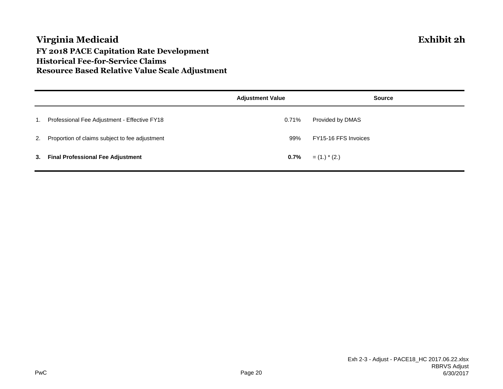## **Virginia Medicaid Exhibit 2h FY 2018 PACE Capitation Rate Development Historical Fee-for-Service Claims Resource Based Relative Value Scale Adjustment**

|    |                                                   | <b>Adjustment Value</b> | <b>Source</b>        |
|----|---------------------------------------------------|-------------------------|----------------------|
| 1. | Professional Fee Adjustment - Effective FY18      | 0.71%                   | Provided by DMAS     |
|    | 2. Proportion of claims subject to fee adjustment | 99%                     | FY15-16 FFS Invoices |
| 3. | <b>Final Professional Fee Adjustment</b>          | $0.7\%$                 | $=$ (1.) $*$ (2.)    |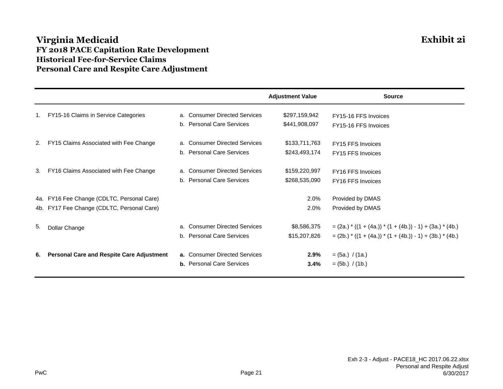## **Virginia Medicaid Exhibit 2i FY 2018 PACE Capitation Rate Development Historical Fee-for-Service Claims Personal Care and Respite Care Adjustment**

|    |                                                  |                                  | <b>Adjustment Value</b> | <b>Source</b>                                              |
|----|--------------------------------------------------|----------------------------------|-------------------------|------------------------------------------------------------|
| 1. | FY15-16 Claims in Service Categories             | a. Consumer Directed Services    | \$297,159,942           | FY15-16 FFS Invoices                                       |
|    |                                                  | b. Personal Care Services        | \$441,908,097           | FY15-16 FFS Invoices                                       |
| 2. | FY15 Claims Associated with Fee Change           | a. Consumer Directed Services    | \$133,711,763           | FY15 FFS Invoices                                          |
|    |                                                  | b. Personal Care Services        | \$243,493,174           | FY15 FFS Invoices                                          |
| 3. | FY16 Claims Associated with Fee Change           | a. Consumer Directed Services    | \$159,220,997           | FY16 FFS Invoices                                          |
|    |                                                  | b. Personal Care Services        | \$268,535,090           | FY16 FFS Invoices                                          |
|    | 4a. FY16 Fee Change (CDLTC, Personal Care)       |                                  | 2.0%                    | Provided by DMAS                                           |
|    | 4b. FY17 Fee Change (CDLTC, Personal Care)       |                                  | 2.0%                    | Provided by DMAS                                           |
| 5. | Dollar Change                                    | a. Consumer Directed Services    | \$8,586,375             | $=(2a.)$ * ((1 + (4a.)) * (1 + (4b.)) - 1) + (3a.) * (4b.) |
|    |                                                  | b. Personal Care Services        | \$15,207,826            | $=(2b.)$ * ((1 + (4a.)) * (1 + (4b.)) - 1) + (3b.) * (4b.) |
| 6. | <b>Personal Care and Respite Care Adjustment</b> | a. Consumer Directed Services    | 2.9%                    | $= (5a.)$ / (1a.)                                          |
|    |                                                  | <b>b.</b> Personal Care Services | $3.4\%$                 | $=$ (5b.) / (1b.)                                          |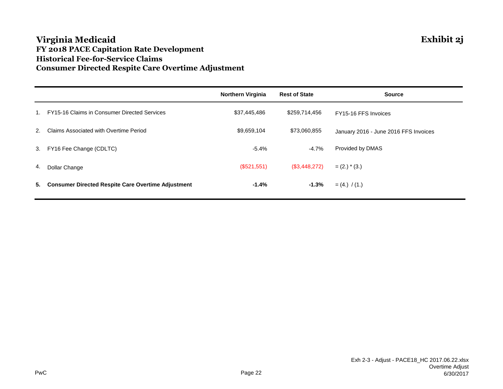### **Virginia Medicaid Exhibit 2j FY 2018 PACE Capitation Rate Development Historical Fee-for-Service Claims Consumer Directed Respite Care Overtime Adjustment**

|    |                                                           | <b>Northern Virginia</b> | <b>Rest of State</b> | <b>Source</b>                         |
|----|-----------------------------------------------------------|--------------------------|----------------------|---------------------------------------|
|    | FY15-16 Claims in Consumer Directed Services              | \$37,445,486             | \$259,714,456        | FY15-16 FFS Invoices                  |
| 2. | Claims Associated with Overtime Period                    | \$9,659,104              | \$73,060,855         | January 2016 - June 2016 FFS Invoices |
|    | 3. FY16 Fee Change (CDLTC)                                | $-5.4%$                  | $-4.7\%$             | Provided by DMAS                      |
| 4. | Dollar Change                                             | (\$521,551)              | (S3, 448, 272)       | $= (2.)$ * (3.)                       |
| 5. | <b>Consumer Directed Respite Care Overtime Adjustment</b> | -1.4%                    | $-1.3%$              | $= (4.) / (1.)$                       |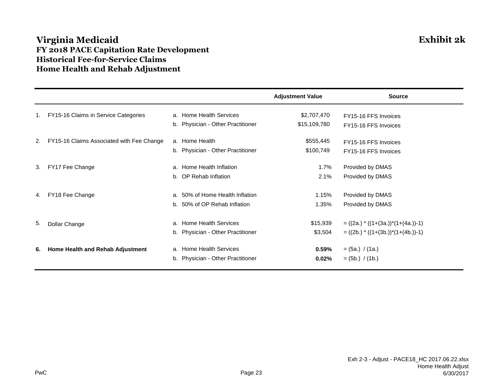## **Virginia Medicaid Exhibit 2k FY 2018 PACE Capitation Rate Development Historical Fee-for-Service Claims Home Health and Rehab Adjustment**

|    |                                           |                                   | <b>Adjustment Value</b> | <b>Source</b>                           |
|----|-------------------------------------------|-----------------------------------|-------------------------|-----------------------------------------|
| 1. | FY15-16 Claims in Service Categories      | a. Home Health Services           | \$2,707,470             | FY15-16 FFS Invoices                    |
|    |                                           | b. Physician - Other Practitioner | \$15,109,780            | FY15-16 FFS Invoices                    |
| 2. | FY15-16 Claims Associated with Fee Change | a. Home Health                    | \$555,445               | FY15-16 FFS Invoices                    |
|    |                                           | b. Physician - Other Practitioner | \$100,749               | FY15-16 FFS Invoices                    |
| 3. | FY17 Fee Change                           | a. Home Health Inflation          | 1.7%                    | Provided by DMAS                        |
|    |                                           | b. OP Rehab Inflation             | 2.1%                    | Provided by DMAS                        |
| 4. | FY18 Fee Change                           | a. 50% of Home Health Inflation   | 1.15%                   | Provided by DMAS                        |
|    |                                           | b. 50% of OP Rehab Inflation      | 1.35%                   | Provided by DMAS                        |
| 5. |                                           | a. Home Health Services           | \$15,939                | $= ((2a.) * ((1+(3a.)) * (1+(4a.))-1))$ |
|    | Dollar Change                             | b. Physician - Other Practitioner | \$3,504                 | $= ((2b.) * ((1+(3b.)) * (1+(4b.))-1))$ |
| 6. | Home Health and Rehab Adjustment          | a. Home Health Services           | 0.59%                   | $= (5a.) / (1a.)$                       |
|    |                                           | b. Physician - Other Practitioner | 0.02%                   | $= (5b.) / (1b.)$                       |
|    |                                           |                                   |                         |                                         |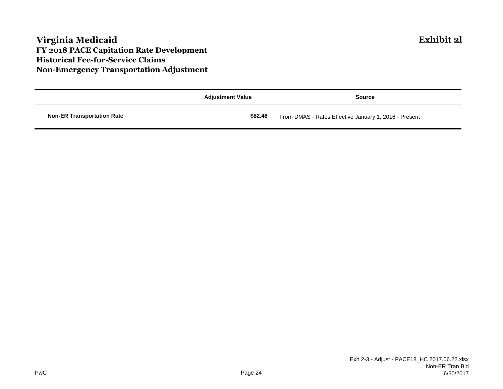## **Virginia Medicaid Exhibit 2l FY 2018 PACE Capitation Rate Development Historical Fee-for-Service Claims Non-Emergency Transportation Adjustment**

|                                   | <b>Adjustment Value</b> | Source                                                |
|-----------------------------------|-------------------------|-------------------------------------------------------|
| <b>Non-ER Transportation Rate</b> | \$82.46                 | From DMAS - Rates Effective January 1, 2016 - Present |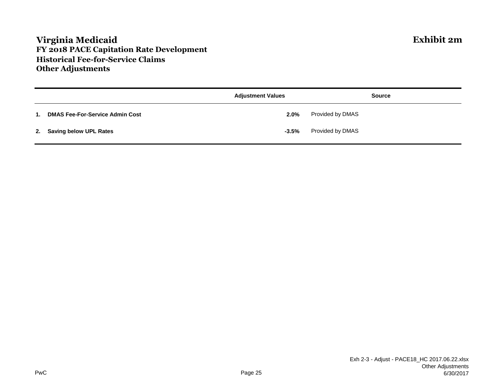## **Virginia Medicaid Exhibit 2m FY 2018 PACE Capitation Rate Development Historical Fee-for-Service Claims Other Adjustments**

|                |                                        | <b>Adjustment Values</b> | <b>Source</b>    |
|----------------|----------------------------------------|--------------------------|------------------|
| $\mathbf{1}$ . | <b>DMAS Fee-For-Service Admin Cost</b> | 2.0%                     | Provided by DMAS |
|                | 2. Saving below UPL Rates              | $-3.5\%$                 | Provided by DMAS |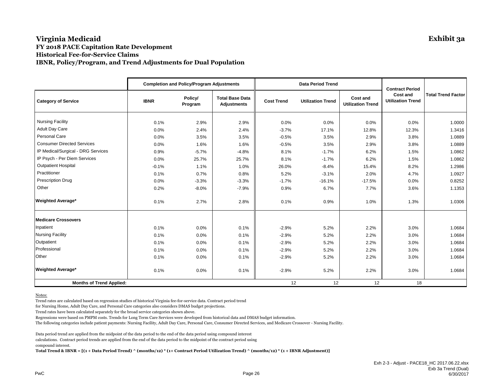#### **Virginia Medicaid Exhibit 3a FY 2018 PACE Capitation Rate Development Historical Fee-for-Service Claims IBNR, Policy/Program, and Trend Adjustments for Dual Population**

|                                    |             | <b>Completion and Policy/Program Adjustments</b> |                                              |                   | <b>Data Period Trend</b> | <b>Contract Period</b>               |                                             |                           |
|------------------------------------|-------------|--------------------------------------------------|----------------------------------------------|-------------------|--------------------------|--------------------------------------|---------------------------------------------|---------------------------|
| <b>Category of Service</b>         | <b>IBNR</b> | Policy/<br>Program                               | <b>Total Base Data</b><br><b>Adjustments</b> | <b>Cost Trend</b> | <b>Utilization Trend</b> | Cost and<br><b>Utilization Trend</b> | <b>Cost and</b><br><b>Utilization Trend</b> | <b>Total Trend Factor</b> |
| <b>Nursing Facility</b>            | 0.1%        | 2.9%                                             | 2.9%                                         | 0.0%              | 0.0%                     | 0.0%                                 | 0.0%                                        | 1.0000                    |
| <b>Adult Day Care</b>              | 0.0%        | 2.4%                                             | 2.4%                                         | $-3.7%$           | 17.1%                    | 12.8%                                | 12.3%                                       | 1.3416                    |
| Personal Care                      | 0.0%        | 3.5%                                             | 3.5%                                         | $-0.5%$           | 3.5%                     | 2.9%                                 | 3.8%                                        | 1.0889                    |
| <b>Consumer Directed Services</b>  | 0.0%        | 1.6%                                             | 1.6%                                         | $-0.5%$           | 3.5%                     | 2.9%                                 | 3.8%                                        | 1.0889                    |
| IP Medical/Surgical - DRG Services | 0.9%        | $-5.7%$                                          | $-4.8%$                                      | 8.1%              | $-1.7%$                  | 6.2%                                 | 1.5%                                        | 1.0862                    |
| IP Psych - Per Diem Services       | 0.0%        | 25.7%                                            | 25.7%                                        | 8.1%              | $-1.7%$                  | 6.2%                                 | 1.5%                                        | 1.0862                    |
| <b>Outpatient Hospital</b>         | $-0.1%$     | 1.1%                                             | 1.0%                                         | 26.0%             | $-8.4%$                  | 15.4%                                | 8.2%                                        | 1.2986                    |
| Practitioner                       | 0.1%        | 0.7%                                             | 0.8%                                         | 5.2%              | $-3.1%$                  | 2.0%                                 | 4.7%                                        | 1.0927                    |
| <b>Prescription Drug</b>           | 0.0%        | $-3.3%$                                          | $-3.3%$                                      | $-1.7%$           | $-16.1%$                 | $-17.5%$                             | 0.0%                                        | 0.8252                    |
| Other                              | 0.2%        | $-8.0%$                                          | $-7.9%$                                      | 0.9%              | 6.7%                     | 7.7%                                 | 3.6%                                        | 1.1353                    |
| <b>Weighted Average*</b>           | 0.1%        | 2.7%                                             | 2.8%                                         | 0.1%              | 0.9%                     | 1.0%                                 | 1.3%                                        | 1.0306                    |
| <b>Medicare Crossovers</b>         |             |                                                  |                                              |                   |                          |                                      |                                             |                           |
| Inpatient                          | 0.1%        | 0.0%                                             | 0.1%                                         | $-2.9%$           | 5.2%                     | 2.2%                                 | 3.0%                                        | 1.0684                    |
| <b>Nursing Facility</b>            | 0.1%        | 0.0%                                             | 0.1%                                         | $-2.9%$           | 5.2%                     | 2.2%                                 | 3.0%                                        | 1.0684                    |
| Outpatient                         | 0.1%        | 0.0%                                             | 0.1%                                         | $-2.9%$           | 5.2%                     | 2.2%                                 | 3.0%                                        | 1.0684                    |
| Professional                       | 0.1%        | 0.0%                                             | 0.1%                                         | $-2.9%$           | 5.2%                     | 2.2%                                 | 3.0%                                        | 1.0684                    |
| Other                              | 0.1%        | 0.0%                                             | 0.1%                                         | $-2.9%$           | 5.2%                     | 2.2%                                 | 3.0%                                        | 1.0684                    |
| <b>Weighted Average*</b>           | 0.1%        | 0.0%                                             | 0.1%                                         | $-2.9%$           | 5.2%                     | 2.2%                                 | 3.0%                                        | 1.0684                    |
| <b>Months of Trend Applied:</b>    |             |                                                  |                                              | 12                | 12                       | 12                                   | 18                                          |                           |

Notes:

Trend rates are calculated based on regression studies of historical Virginia fee-for-service data. Contract period trend

for Nursing Home, Adult Day Care, and Personal Care categories also considers DMAS budget projections.

Trend rates have been calculated separately for the broad service categories shown above.

Regressions were based on PMPM costs. Trends for Long Term Care Services were developed from historical data and DMAS budget information.

The following categories include patient payments: Nursing Facility, Adult Day Care, Personal Care, Consumer Directed Services, and Medicare Crossover - Nursing Facility.

Data period trend are applied from the midpoint of the data period to the end of the data period using compound interest calculations. Contract period trends are applied from the end of the data period to the midpoint of the contract period using compound interest.

**Total Trend & IBNR = [(1 + Data Period Trend) ^ (months/12) \* (1+ Contract Period Utilization Trend) ^ (months/12) \* (1 + IBNR Adjustment)]**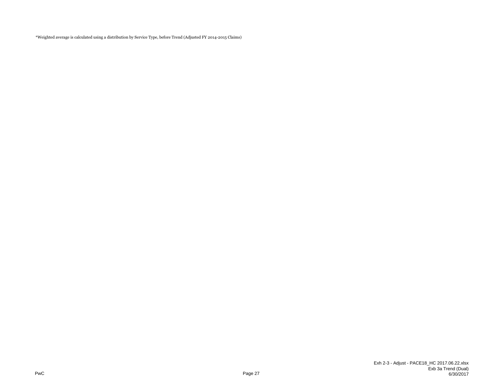\*Weighted average is calculated using a distribution by Service Type, before Trend (Adjusted FY 2014-2015 Claims)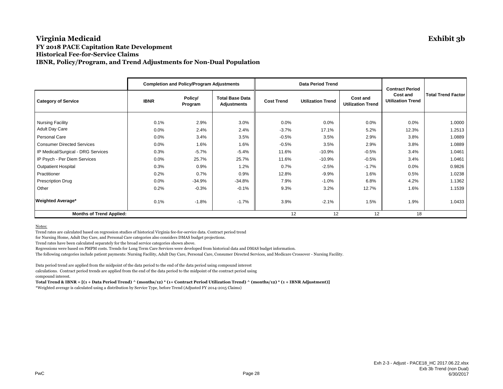#### **Virginia Medicaid Exhibit 3b FY 2018 PACE Capitation Rate Development Historical Fee-for-Service Claims IBNR, Policy/Program, and Trend Adjustments for Non-Dual Population**

|                                                  |                 | <b>Completion and Policy/Program Adjustments</b> |                                              |                   | <b>Data Period Trend</b> | <b>Contract Period</b>               |                                             |                           |
|--------------------------------------------------|-----------------|--------------------------------------------------|----------------------------------------------|-------------------|--------------------------|--------------------------------------|---------------------------------------------|---------------------------|
| <b>Category of Service</b>                       | <b>IBNR</b>     | Policy/<br>Program                               | <b>Total Base Data</b><br><b>Adjustments</b> | <b>Cost Trend</b> | <b>Utilization Trend</b> | Cost and<br><b>Utilization Trend</b> | <b>Cost and</b><br><b>Utilization Trend</b> | <b>Total Trend Factor</b> |
| <b>Nursing Facility</b><br><b>Adult Day Care</b> | 0.1%<br>$0.0\%$ | 2.9%<br>2.4%                                     | 3.0%<br>2.4%                                 | 0.0%<br>$-3.7%$   | 0.0%<br>17.1%            | 0.0%<br>5.2%                         | $0.0\%$<br>12.3%                            | 1.0000<br>1.2513          |
| Personal Care                                    | $0.0\%$         | 3.4%                                             | 3.5%                                         | $-0.5%$           | 3.5%                     | 2.9%                                 | 3.8%                                        | 1.0889                    |
| <b>Consumer Directed Services</b>                | 0.0%            | 1.6%                                             | 1.6%                                         | $-0.5%$           | 3.5%                     | 2.9%                                 | 3.8%                                        | 1.0889                    |
| IP Medical/Surgical - DRG Services               | 0.3%            | $-5.7%$                                          | $-5.4%$                                      | 11.6%             | $-10.9%$                 | $-0.5%$                              | 3.4%                                        | 1.0461                    |
| IP Psych - Per Diem Services                     | $0.0\%$         | 25.7%                                            | 25.7%                                        | 11.6%             | $-10.9%$                 | $-0.5%$                              | 3.4%                                        | 1.0461                    |
| <b>Outpatient Hospital</b>                       | 0.3%            | 0.9%                                             | 1.2%                                         | 0.7%              | $-2.5%$                  | $-1.7%$                              | $0.0\%$                                     | 0.9826                    |
| Practitioner                                     | 0.2%            | 0.7%                                             | 0.9%                                         | 12.8%             | $-9.9%$                  | 1.6%                                 | 0.5%                                        | 1.0238                    |
| <b>Prescription Drug</b>                         | $0.0\%$         | $-34.9%$                                         | $-34.8%$                                     | 7.9%              | $-1.0%$                  | 6.8%                                 | 4.2%                                        | 1.1362                    |
| Other                                            | 0.2%            | $-0.3%$                                          | $-0.1%$                                      | 9.3%              | 3.2%                     | 12.7%                                | 1.6%                                        | 1.1539                    |
| <b>Weighted Average*</b>                         | 0.1%            | $-1.8%$                                          | $-1.7%$                                      | 3.9%              | $-2.1%$                  | 1.5%                                 | 1.9%                                        | 1.0433                    |
| <b>Months of Trend Applied:</b>                  |                 |                                                  |                                              | 12                | 12                       | 12                                   | 18                                          |                           |

Notes:

Trend rates are calculated based on regression studies of historical Virginia fee-for-service data. Contract period trend

for Nursing Home, Adult Day Care, and Personal Care categories also considers DMAS budget projections.

Trend rates have been calculated separately for the broad service categories shown above.

Regressions were based on PMPM costs. Trends for Long Term Care Services were developed from historical data and DMAS budget information.

The following categories include patient payments: Nursing Facility, Adult Day Care, Personal Care, Consumer Directed Services, and Medicare Crossover - Nursing Facility.

Data period trend are applied from the midpoint of the data period to the end of the data period using compound interest

calculations. Contract period trends are applied from the end of the data period to the midpoint of the contract period using compound interest.

**Total Trend & IBNR = [(1 + Data Period Trend) ^ (months/12) \* (1+ Contract Period Utilization Trend) ^ (months/12) \* (1 + IBNR Adjustment)]**

\*Weighted average is calculated using a distribution by Service Type, before Trend (Adjusted FY 2014-2015 Claims)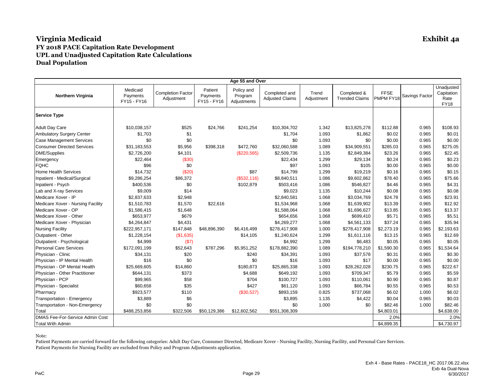|                                   |                                     |                                        |                                    | Age 55 and Over                      |                                         |                     |                                      |                          |                |                                                 |
|-----------------------------------|-------------------------------------|----------------------------------------|------------------------------------|--------------------------------------|-----------------------------------------|---------------------|--------------------------------------|--------------------------|----------------|-------------------------------------------------|
| <b>Northern Virginia</b>          | Medicaid<br>Payments<br>FY15 - FY16 | <b>Completion Factor</b><br>Adjustment | Patient<br>Payments<br>FY15 - FY16 | Policy and<br>Program<br>Adjustments | Completed and<br><b>Adjusted Claims</b> | Trend<br>Adjustment | Completed &<br><b>Trended Claims</b> | <b>FFSE</b><br>PMPM FY18 | Savings Factor | Unadjusted<br>Capitation<br>Rate<br><b>FY18</b> |
| <b>Service Type</b>               |                                     |                                        |                                    |                                      |                                         |                     |                                      |                          |                |                                                 |
| <b>Adult Day Care</b>             | \$10,038,157                        | \$525                                  | \$24,766                           | \$241,254                            | \$10,304,702                            | 1.342               | \$13,825,278                         | \$112.88                 | 0.965          | \$108.93                                        |
| <b>Ambulatory Surgery Center</b>  | \$1,703                             | \$1                                    |                                    |                                      | \$1,704                                 | 1.093               | \$1,862                              | \$0.02                   | 0.965          | \$0.01                                          |
| <b>Case Management Services</b>   | \$0                                 | \$0                                    |                                    |                                      | \$0                                     | 1.093               | \$0                                  | \$0.00                   | 0.965          | \$0.00                                          |
| <b>Consumer Directed Services</b> | \$31,183,553                        | \$5,956                                | \$398,318                          | \$472,760                            | \$32,060,588                            | 1.089               | \$34,909,551                         | \$285.03                 | 0.965          | \$275.05                                        |
| <b>DME/Supplies</b>               | \$2,726,200                         | \$4,101                                |                                    | (\$220,565)                          | \$2,509,736                             | 1.135               | \$2,849,384                          | \$23.26                  | 0.965          | \$22.45                                         |
| Emergency                         | \$22,464                            | (\$30)                                 |                                    |                                      | \$22,434                                | 1.299               | \$29,134                             | \$0.24                   | 0.965          | \$0.23                                          |
| <b>FQHC</b>                       | \$96                                | \$0                                    |                                    |                                      | \$97                                    | 1.093               | \$105                                | \$0.00                   | 0.965          | \$0.00                                          |
| <b>Home Health Services</b>       | \$14,732                            | (\$20)                                 |                                    | \$87                                 | \$14,799                                | 1.299               | \$19,219                             | \$0.16                   | 0.965          | \$0.15                                          |
| Inpatient - Medical/Surgical      | \$9,286,254                         | \$86,372                               |                                    | (\$532,116)                          | \$8,840,511                             | 1.086               | \$9,602,862                          | \$78.40                  | 0.965          | \$75.66                                         |
| Inpatient - Psych                 | \$400,536                           | \$0                                    |                                    | \$102,879                            | \$503,416                               | 1.086               | \$546,827                            | \$4.46                   | 0.965          | \$4.31                                          |
| Lab and X-ray Services            | \$9,009                             | \$14                                   |                                    |                                      | \$9,023                                 | 1.135               | \$10,244                             | \$0.08                   | 0.965          | \$0.08                                          |
| Medicare Xover - IP               | \$2,837,633                         | \$2,948                                |                                    |                                      | \$2,840,581                             | 1.068               | \$3,034,769                          | \$24.78                  | 0.965          | \$23.91                                         |
| Medicare Xover - Nursing Facility | \$1,510,783                         | \$1,570                                | \$22,616                           |                                      | \$1,534,968                             | 1.068               | \$1,639,902                          | \$13.39                  | 0.965          | \$12.92                                         |
| Medicare Xover - OP               | \$1,586,415                         | \$1,648                                |                                    |                                      | \$1,588,064                             | 1.068               | \$1,696,627                          | \$13.85                  | 0.965          | \$13.37                                         |
| Medicare Xover - Other            | \$653,977                           | \$679                                  |                                    |                                      | \$654,656                               | 1.068               | \$699,410                            | \$5.71                   | 0.965          | \$5.51                                          |
| Medicare Xover - Physician        | \$4,264,847                         | \$4,431                                |                                    |                                      | \$4,269,277                             | 1.068               | \$4,561,133                          | \$37.24                  | 0.965          | \$35.94                                         |
| <b>Nursing Facility</b>           | \$222,957,171                       | \$147,848                              | \$48,896,390                       | \$6,416,499                          | \$278,417,908                           | 1.000               | \$278,417,908                        | \$2,273.19               | 0.965          | \$2,193.63                                      |
| Outpatient - Other                | \$1,228,154                         | (\$1,635)                              |                                    | \$14,105                             | \$1,240,624                             | 1.299               | \$1,611,116                          | \$13.15                  | 0.965          | \$12.69                                         |
| Outpatient - Psychological        | \$4,999                             | $(\$7)$                                |                                    |                                      | \$4,992                                 | 1.299               | \$6,483                              | \$0.05                   | 0.965          | \$0.05                                          |
| <b>Personal Care Services</b>     | \$172,091,199                       | \$52,643                               | \$787,296                          | \$5,951,252                          | \$178,882,390                           | 1.089               | \$194,778,210                        | \$1,590.30               | 0.965          | \$1,534.64                                      |
| Physician - Clinic                | \$34,131                            | \$20                                   |                                    | \$240                                | \$34,391                                | 1.093               | \$37,578                             | \$0.31                   | 0.965          | \$0.30                                          |
| Physician - IP Mental Health      | \$16                                | \$0                                    |                                    | \$0                                  | \$16                                    | 1.093               | \$17                                 | \$0.00                   | 0.965          | \$0.00                                          |
| Physician - OP Mental Health      | \$25,669,605                        | \$14,860                               |                                    | \$180,873                            | \$25,865,338                            | 1.093               | \$28,262,028                         | \$230.75                 | 0.965          | \$222.67                                        |
| Physician - Other Practitioner    | \$644,131                           | \$373                                  |                                    | \$4,688                              | \$649,192                               | 1.093               | \$709,347                            | \$5.79                   | 0.965          | \$5.59                                          |
| Physician - PCP                   | \$99,965                            | \$58                                   |                                    | \$704                                | \$100,727                               | 1.093               | \$110,061                            | \$0.90                   | 0.965          | \$0.87                                          |
| Physician - Specialist            | \$60,658                            | \$35                                   |                                    | \$427                                | \$61,120                                | 1.093               | \$66,784                             | \$0.55                   | 0.965          | \$0.53                                          |
| Pharmacy                          | \$923,577                           | \$110                                  |                                    | (\$30,527)                           | \$893,159                               | 0.825               | \$737,068                            | \$6.02                   | 1.000          | \$6.02                                          |
| Transportation - Emergency        | \$3,889                             | \$6                                    |                                    |                                      | \$3,895                                 | 1.135               | \$4,422                              | \$0.04                   | 0.965          | \$0.03                                          |
| Transportation - Non-Emergency    | \$0                                 | \$0                                    |                                    |                                      | \$0                                     | 1.000               | \$0                                  | \$82.46                  | 1.000          | \$82.46                                         |
| Total                             | \$488,253,856                       | \$322,506                              | \$50,129,386                       | \$12,602,562                         | \$551,308,309                           |                     |                                      | \$4,803.01               |                | \$4,638.00                                      |
| DMAS Fee-For-Service Admin Cost   |                                     |                                        |                                    |                                      |                                         |                     |                                      | 2.0%                     |                | 2.0%                                            |
| <b>Total With Admin</b>           |                                     |                                        |                                    |                                      |                                         |                     |                                      | \$4,899.35               |                | \$4,730.97                                      |

Note: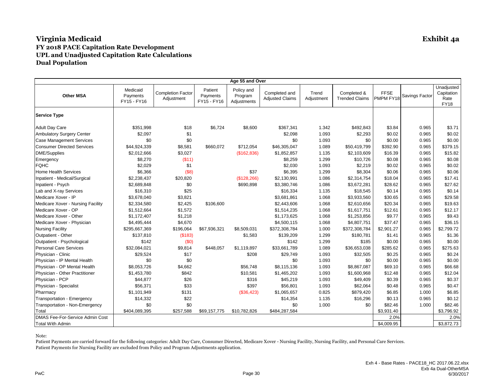|                                   |                                     |                                        |                                    | Age 55 and Over                      |                                         |                     |                                      |                          |                |                                                 |
|-----------------------------------|-------------------------------------|----------------------------------------|------------------------------------|--------------------------------------|-----------------------------------------|---------------------|--------------------------------------|--------------------------|----------------|-------------------------------------------------|
| <b>Other MSA</b>                  | Medicaid<br>Payments<br>FY15 - FY16 | <b>Completion Factor</b><br>Adjustment | Patient<br>Payments<br>FY15 - FY16 | Policy and<br>Program<br>Adjustments | Completed and<br><b>Adjusted Claims</b> | Trend<br>Adjustment | Completed &<br><b>Trended Claims</b> | <b>FFSE</b><br>PMPM FY18 | Savings Factor | Unadjusted<br>Capitation<br>Rate<br><b>FY18</b> |
| <b>Service Type</b>               |                                     |                                        |                                    |                                      |                                         |                     |                                      |                          |                |                                                 |
| <b>Adult Day Care</b>             | \$351,998                           | \$18                                   | \$6,724                            | \$8,600                              | \$367,341                               | 1.342               | \$492,843                            | \$3.84                   | 0.965          | \$3.71                                          |
| <b>Ambulatory Surgery Center</b>  | \$2,097                             | \$1                                    |                                    |                                      | \$2,098                                 | 1.093               | \$2,293                              | \$0.02                   | 0.965          | \$0.02                                          |
| <b>Case Management Services</b>   | \$0                                 | \$0                                    |                                    |                                      | \$0                                     | 1.093               | \$0                                  | \$0.00                   | 0.965          | \$0.00                                          |
| <b>Consumer Directed Services</b> | \$44,924,339                        | \$8,581                                | \$660,072                          | \$712,054                            | \$46,305,047                            | 1.089               | \$50,419,799                         | \$392.90                 | 0.965          | \$379.15                                        |
| DME/Supplies                      | \$2,012,666                         | \$3,027                                |                                    | (\$162,836)                          | \$1,852,857                             | 1.135               | \$2,103,609                          | \$16.39                  | 0.965          | \$15.82                                         |
| Emergency                         | \$8,270                             | (\$11)                                 |                                    |                                      | \$8,259                                 | 1.299               | \$10,726                             | \$0.08                   | 0.965          | \$0.08                                          |
| <b>FQHC</b>                       | \$2,029                             | \$1                                    |                                    |                                      | \$2,030                                 | 1.093               | \$2,219                              | \$0.02                   | 0.965          | \$0.02                                          |
| <b>Home Health Services</b>       | \$6,366                             | $($ \$8)                               |                                    | \$37                                 | \$6,395                                 | 1.299               | \$8,304                              | \$0.06                   | 0.965          | \$0.06                                          |
| Inpatient - Medical/Surgical      | \$2,238,437                         | \$20,820                               |                                    | (\$128, 266)                         | \$2,130,991                             | 1.086               | \$2,314,754                          | \$18.04                  | 0.965          | \$17.41                                         |
| Inpatient - Psych                 | \$2,689,848                         | \$0                                    |                                    | \$690,898                            | \$3,380,746                             | 1.086               | \$3,672,281                          | \$28.62                  | 0.965          | \$27.62                                         |
| Lab and X-ray Services            | \$16,310                            | \$25                                   |                                    |                                      | \$16,334                                | 1.135               | \$18,545                             | \$0.14                   | 0.965          | \$0.14                                          |
| Medicare Xover - IP               | \$3,678,040                         | \$3,821                                |                                    |                                      | \$3,681,861                             | 1.068               | \$3,933,560                          | \$30.65                  | 0.965          | \$29.58                                         |
| Medicare Xover - Nursing Facility | \$2,334,580                         | \$2,425                                | \$106,600                          |                                      | \$2,443,606                             | 1.068               | \$2,610,656                          | \$20.34                  | 0.965          | \$19.63                                         |
| Medicare Xover - OP               | \$1,512,664                         | \$1,572                                |                                    |                                      | \$1,514,235                             | 1.068               | \$1,617,751                          | \$12.61                  | 0.965          | \$12.17                                         |
| Medicare Xover - Other            | \$1,172,407                         | \$1,218                                |                                    |                                      | \$1,173,625                             | 1.068               | \$1,253,856                          | \$9.77                   | 0.965          | \$9.43                                          |
| Medicare Xover - Physician        | \$4,495,444                         | \$4,670                                |                                    |                                      | \$4,500,115                             | 1.068               | \$4,807,751                          | \$37.47                  | 0.965          | \$36.15                                         |
| <b>Nursing Facility</b>           | \$295,667,369                       | \$196,064                              | \$67,936,321                       | \$8,509,031                          | \$372,308,784                           | 1.000               | \$372,308,784                        | \$2,901.27               | 0.965          | \$2,799.72                                      |
| Outpatient - Other                | \$137,810                           | (S183)                                 |                                    | \$1,583                              | \$139,209                               | 1.299               | \$180,781                            | \$1.41                   | 0.965          | \$1.36                                          |
| Outpatient - Psychological        | \$142                               | (\$0)                                  |                                    |                                      | \$142                                   | 1.299               | \$185                                | \$0.00                   | 0.965          | \$0.00                                          |
| <b>Personal Care Services</b>     | \$32,084,021                        | \$9,814                                | \$448,057                          | \$1,119,897                          | \$33,661,789                            | 1.089               | \$36,653,038                         | \$285.62                 | 0.965          | \$275.63                                        |
| Physician - Clinic                | \$29,524                            | \$17                                   |                                    | \$208                                | \$29,749                                | 1.093               | \$32,505                             | \$0.25                   | 0.965          | \$0.24                                          |
| Physician - IP Mental Health      | \$0                                 | \$0                                    |                                    |                                      | \$0                                     | 1.093               | \$0                                  | \$0.00                   | 0.965          | \$0.00                                          |
| Physician - OP Mental Health      | \$8,053,726                         | \$4,662                                |                                    | \$56,748                             | \$8,115,136                             | 1.093               | \$8,867,087                          | \$69.10                  | 0.965          | \$66.68                                         |
| Physician - Other Practitioner    | \$1,453,780                         | \$842                                  |                                    | \$10,581                             | \$1,465,202                             | 1.093               | \$1,600,968                          | \$12.48                  | 0.965          | \$12.04                                         |
| Physician - PCP                   | \$44,877                            | \$26                                   |                                    | \$316                                | \$45,219                                | 1.093               | \$49,409                             | \$0.39                   | 0.965          | \$0.37                                          |
| Physician - Specialist            | \$56,371                            | \$33                                   |                                    | \$397                                | \$56,801                                | 1.093               | \$62,064                             | \$0.48                   | 0.965          | \$0.47                                          |
| Pharmacy                          | \$1,101,949                         | \$131                                  |                                    | (\$36,423)                           | \$1,065,657                             | 0.825               | \$879,420                            | \$6.85                   | 1.000          | \$6.85                                          |
| Transportation - Emergency        | \$14,332                            | \$22                                   |                                    |                                      | \$14,354                                | 1.135               | \$16,296                             | \$0.13                   | 0.965          | \$0.12                                          |
| Transportation - Non-Emergency    | \$0                                 | \$0                                    |                                    |                                      | \$0                                     | 1.000               | \$0                                  | \$82.46                  | 1.000          | \$82.46                                         |
| Total                             | \$404,089,395                       | \$257,588                              | \$69,157,775                       | \$10,782,826                         | \$484,287,584                           |                     |                                      | \$3,931.40               |                | \$3,796.92                                      |
| DMAS Fee-For-Service Admin Cost   |                                     |                                        |                                    |                                      |                                         |                     |                                      | 2.0%                     |                | 2.0%                                            |
| <b>Total With Admin</b>           |                                     |                                        |                                    |                                      |                                         |                     |                                      | \$4,009.95               |                | \$3,872.73                                      |

Note: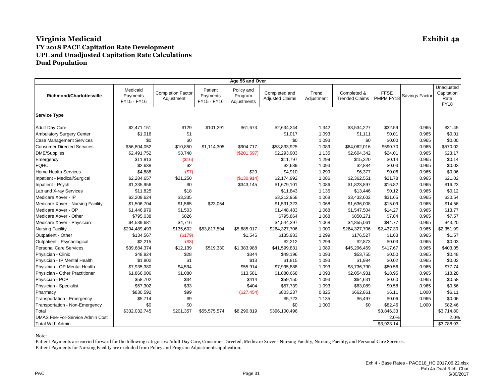|                                   |                                     |                                        |                                    | Age 55 and Over                      |                                         |                     |                                      |                          |                |                                                 |
|-----------------------------------|-------------------------------------|----------------------------------------|------------------------------------|--------------------------------------|-----------------------------------------|---------------------|--------------------------------------|--------------------------|----------------|-------------------------------------------------|
| <b>Richmond/Charlottesville</b>   | Medicaid<br>Payments<br>FY15 - FY16 | <b>Completion Factor</b><br>Adjustment | Patient<br>Payments<br>FY15 - FY16 | Policy and<br>Program<br>Adjustments | Completed and<br><b>Adjusted Claims</b> | Trend<br>Adjustment | Completed &<br><b>Trended Claims</b> | <b>FFSE</b><br>PMPM FY18 | Savings Factor | Unadjusted<br>Capitation<br>Rate<br><b>FY18</b> |
| <b>Service Type</b>               |                                     |                                        |                                    |                                      |                                         |                     |                                      |                          |                |                                                 |
| <b>Adult Day Care</b>             | \$2,471,151                         | \$129                                  | \$101,291                          | \$61,673                             | \$2,634,244                             | 1.342               | \$3,534,227                          | \$32.59                  | 0.965          | \$31.45                                         |
| Ambulatory Surgery Center         | \$1,016                             | \$1                                    |                                    |                                      | \$1,017                                 | 1.093               | \$1,111                              | \$0.01                   | 0.965          | \$0.01                                          |
| <b>Case Management Services</b>   | \$0                                 | \$0                                    |                                    |                                      | \$0                                     | 1.093               | \$0                                  | \$0.00                   | 0.965          | \$0.00                                          |
| <b>Consumer Directed Services</b> | \$56,804,052                        | \$10,850                               | \$1,114,305                        | \$904,717                            | \$58,833,925                            | 1.089               | \$64,062,016                         | \$590.70                 | 0.965          | \$570.02                                        |
| <b>DME/Supplies</b>               | \$2,491,752                         | \$3,748                                |                                    | (\$201,597)                          | \$2,293,903                             | 1.135               | \$2,604,342                          | \$24.01                  | 0.965          | \$23.17                                         |
| Emergency                         | \$11,813                            | (\$16)                                 |                                    |                                      | \$11,797                                | 1.299               | \$15,320                             | \$0.14                   | 0.965          | \$0.14                                          |
| <b>FQHC</b>                       | \$2,638                             | \$2                                    |                                    |                                      | \$2,639                                 | 1.093               | \$2,884                              | \$0.03                   | 0.965          | \$0.03                                          |
| <b>Home Health Services</b>       | \$4,888                             | (S7)                                   |                                    | \$29                                 | \$4,910                                 | 1.299               | \$6,377                              | \$0.06                   | 0.965          | \$0.06                                          |
| Inpatient - Medical/Surgical      | \$2,284,657                         | \$21,250                               |                                    | (\$130,914)                          | \$2,174,992                             | 1.086               | \$2,362,551                          | \$21.78                  | 0.965          | \$21.02                                         |
| Inpatient - Psych                 | \$1,335,956                         | \$0                                    |                                    | \$343,145                            | \$1,679,101                             | 1.086               | \$1,823,897                          | \$16.82                  | 0.965          | \$16.23                                         |
| Lab and X-ray Services            | \$11,825                            | \$18                                   |                                    |                                      | \$11,843                                | 1.135               | \$13,446                             | \$0.12                   | 0.965          | \$0.12                                          |
| Medicare Xover - IP               | \$3,209,624                         | \$3,335                                |                                    |                                      | \$3,212,958                             | 1.068               | \$3,432,602                          | \$31.65                  | 0.965          | \$30.54                                         |
| Medicare Xover - Nursing Facility | \$1,506,704                         | \$1,565                                | \$23,054                           |                                      | \$1,531,323                             | 1.068               | \$1,636,008                          | \$15.09                  | 0.965          | \$14.56                                         |
| Medicare Xover - OP               | \$1,446,979                         | \$1,503                                |                                    |                                      | \$1,448,483                             | 1.068               | \$1,547,504                          | \$14.27                  | 0.965          | \$13.77                                         |
| Medicare Xover - Other            | \$795,038                           | \$826                                  |                                    |                                      | \$795,864                               | 1.068               | \$850,271                            | \$7.84                   | 0.965          | \$7.57                                          |
| Medicare Xover - Physician        | \$4,539,681                         | \$4,716                                |                                    |                                      | \$4,544,397                             | 1.068               | \$4,855,061                          | \$44.77                  | 0.965          | \$43.20                                         |
| <b>Nursing Facility</b>           | \$204,489,493                       | \$135,602                              | \$53,817,594                       | \$5,885,017                          | \$264,327,706                           | 1.000               | \$264,327,706                        | \$2,437.30               | 0.965          | \$2,351.99                                      |
| Outpatient - Other                | \$134,567                           | (S179)                                 |                                    | \$1,545                              | \$135,933                               | 1.299               | \$176,527                            | \$1.63                   | 0.965          | \$1.57                                          |
| Outpatient - Psychological        | \$2,215                             | (\$3)                                  |                                    |                                      | \$2,212                                 | 1.299               | \$2,873                              | \$0.03                   | 0.965          | \$0.03                                          |
| <b>Personal Care Services</b>     | \$39,684,374                        | \$12,139                               | \$519,330                          | \$1,383,988                          | \$41,599,831                            | 1.089               | \$45,296,469                         | \$417.67                 | 0.965          | \$403.05                                        |
| Physician - Clinic                | \$48,824                            | \$28                                   |                                    | \$344                                | \$49,196                                | 1.093               | \$53,755                             | \$0.50                   | 0.965          | \$0.48                                          |
| Physician - IP Mental Health      | \$1,802                             | \$1                                    |                                    | \$13                                 | \$1,815                                 | 1.093               | \$1,984                              | \$0.02                   | 0.965          | \$0.02                                          |
| Physician - OP Mental Health      | \$7,935,380                         | \$4,594                                |                                    | \$55,914                             | \$7,995,888                             | 1.093               | \$8,736,790                          | \$80.56                  | 0.965          | \$77.74                                         |
| Physician - Other Practitioner    | \$1,866,006                         | \$1,080                                |                                    | \$13,581                             | \$1,880,668                             | 1.093               | \$2,054,931                          | \$18.95                  | 0.965          | \$18.28                                         |
| Physician - PCP                   | \$58,702                            | \$34                                   |                                    | \$414                                | \$59,150                                | 1.093               | \$64,631                             | \$0.60                   | 0.965          | \$0.58                                          |
| Physician - Specialist            | \$57,302                            | \$33                                   |                                    | \$404                                | \$57,739                                | 1.093               | \$63,089                             | \$0.58                   | 0.965          | \$0.56                                          |
| Pharmacy                          | \$830,592                           | \$99                                   |                                    | (\$27,454)                           | \$803,237                               | 0.825               | \$662,861                            | \$6.11                   | 1.000          | \$6.11                                          |
| Transportation - Emergency        | \$5,714                             | \$9                                    |                                    |                                      | \$5,723                                 | 1.135               | \$6,497                              | \$0.06                   | 0.965          | \$0.06                                          |
| Transportation - Non-Emergency    | \$0                                 | \$0                                    |                                    |                                      | \$0                                     | 1.000               | \$0                                  | \$82.46                  | 1.000          | \$82.46                                         |
| Total                             | \$332,032,745                       | \$201,357                              | \$55,575,574                       | \$8,290,819                          | \$396,100,496                           |                     |                                      | \$3,846.33               |                | \$3,714.80                                      |
| DMAS Fee-For-Service Admin Cost   |                                     |                                        |                                    |                                      |                                         |                     |                                      | 2.0%                     |                | 2.0%                                            |
| <b>Total With Admin</b>           |                                     |                                        |                                    |                                      |                                         |                     |                                      | \$3,923.14               |                | \$3,788.93                                      |

Note: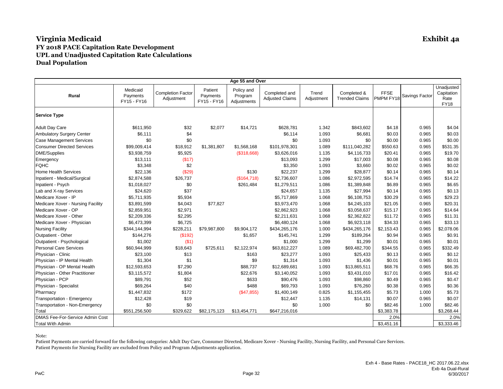|                                   |                                     |                                        |                                    | Age 55 and Over                      |                                         |                     |                                      |                          |                |                                                 |
|-----------------------------------|-------------------------------------|----------------------------------------|------------------------------------|--------------------------------------|-----------------------------------------|---------------------|--------------------------------------|--------------------------|----------------|-------------------------------------------------|
| Rural                             | Medicaid<br>Payments<br>FY15 - FY16 | <b>Completion Factor</b><br>Adjustment | Patient<br>Payments<br>FY15 - FY16 | Policy and<br>Program<br>Adjustments | Completed and<br><b>Adjusted Claims</b> | Trend<br>Adjustment | Completed &<br><b>Trended Claims</b> | <b>FFSE</b><br>PMPM FY18 | Savings Factor | Unadjusted<br>Capitation<br>Rate<br><b>FY18</b> |
| <b>Service Type</b>               |                                     |                                        |                                    |                                      |                                         |                     |                                      |                          |                |                                                 |
| <b>Adult Day Care</b>             | \$611,950                           | \$32                                   | \$2,077                            | \$14,721                             | \$628,781                               | 1.342               | \$843,602                            | \$4.18                   | 0.965          | \$4.04                                          |
| <b>Ambulatory Surgery Center</b>  | \$6,111                             | \$4                                    |                                    |                                      | \$6,114                                 | 1.093               | \$6,681                              | \$0.03                   | 0.965          | \$0.03                                          |
| <b>Case Management Services</b>   | \$0                                 | \$0                                    |                                    |                                      | \$0                                     | 1.093               | \$0                                  | \$0.00                   | 0.965          | \$0.00                                          |
| <b>Consumer Directed Services</b> | \$99,009,414                        | \$18,912                               | \$1,381,807                        | \$1,568,168                          | \$101,978,301                           | 1.089               | \$111,040,282                        | \$550.63                 | 0.965          | \$531.35                                        |
| DME/Supplies                      | \$3,938,759                         | \$5,925                                |                                    | (\$318,668)                          | \$3,626,016                             | 1.135               | \$4,116,733                          | \$20.41                  | 0.965          | \$19.70                                         |
| Emergency                         | \$13,111                            | (\$17)                                 |                                    |                                      | \$13,093                                | 1.299               | \$17,003                             | \$0.08                   | 0.965          | \$0.08                                          |
| <b>FQHC</b>                       | \$3,348                             | \$2                                    |                                    |                                      | \$3,350                                 | 1.093               | \$3,660                              | \$0.02                   | 0.965          | \$0.02                                          |
| <b>Home Health Services</b>       | \$22,136                            | (\$29)                                 |                                    | \$130                                | \$22,237                                | 1.299               | \$28,877                             | \$0.14                   | 0.965          | \$0.14                                          |
| Inpatient - Medical/Surgical      | \$2,874,588                         | \$26,737                               |                                    | (\$164,718)                          | \$2,736,607                             | 1.086               | \$2,972,595                          | \$14.74                  | 0.965          | \$14.22                                         |
| Inpatient - Psych                 | \$1,018,027                         | \$0                                    |                                    | \$261,484                            | \$1,279,511                             | 1.086               | \$1,389,848                          | \$6.89                   | 0.965          | \$6.65                                          |
| Lab and X-ray Services            | \$24,620                            | \$37                                   |                                    |                                      | \$24,657                                | 1.135               | \$27,994                             | \$0.14                   | 0.965          | \$0.13                                          |
| Medicare Xover - IP               | \$5,711,935                         | \$5,934                                |                                    |                                      | \$5,717,869                             | 1.068               | \$6,108,753                          | \$30.29                  | 0.965          | \$29.23                                         |
| Medicare Xover - Nursing Facility | \$3,891,599                         | \$4,043                                | \$77,827                           |                                      | \$3,973,470                             | 1.068               | \$4,245,103                          | \$21.05                  | 0.965          | \$20.31                                         |
| Medicare Xover - OP               | \$2,859,951                         | \$2,971                                |                                    |                                      | \$2,862,923                             | 1.068               | \$3,058,637                          | \$15.17                  | 0.965          | \$14.64                                         |
| Medicare Xover - Other            | \$2,209,336                         | \$2,295                                |                                    |                                      | \$2,211,631                             | 1.068               | \$2,362,822                          | \$11.72                  | 0.965          | \$11.31                                         |
| Medicare Xover - Physician        | \$6,473,399                         | \$6,725                                |                                    |                                      | \$6,480,124                             | 1.068               | \$6,923,118                          | \$34.33                  | 0.965          | \$33.13                                         |
| <b>Nursing Facility</b>           | \$344,144,994                       | \$228,211                              | \$79,987,800                       | \$9,904,172                          | \$434,265,176                           | 1.000               | \$434,265,176                        | \$2,153.43               | 0.965          | \$2,078.06                                      |
| Outpatient - Other                | \$144,276                           | (\$192)                                |                                    | \$1,657                              | \$145,741                               | 1.299               | \$189,264                            | \$0.94                   | 0.965          | \$0.91                                          |
| Outpatient - Psychological        | \$1,002                             | ( \$1)                                 |                                    |                                      | \$1,000                                 | 1.299               | \$1,299                              | \$0.01                   | 0.965          | \$0.01                                          |
| <b>Personal Care Services</b>     | \$60,944,999                        | \$18,643                               | \$725,611                          | \$2,122,974                          | \$63,812,227                            | 1.089               | \$69,482,700                         | \$344.55                 | 0.965          | \$332.49                                        |
| Physician - Clinic                | \$23,100                            | \$13                                   |                                    | \$163                                | \$23,277                                | 1.093               | \$25,433                             | \$0.13                   | 0.965          | \$0.12                                          |
| Physician - IP Mental Health      | \$1,304                             | \$1                                    |                                    | \$9                                  | \$1,314                                 | 1.093               | \$1,436                              | \$0.01                   | 0.965          | \$0.01                                          |
| Physician - OP Mental Health      | \$12,593,653                        | \$7,290                                |                                    | \$88,737                             | \$12,689,681                            | 1.093               | \$13,865,511                         | \$68.76                  | 0.965          | \$66.35                                         |
| Physician - Other Practitioner    | \$3,115,572                         | \$1,804                                |                                    | \$22,676                             | \$3,140,052                             | 1.093               | \$3,431,010                          | \$17.01                  | 0.965          | \$16.42                                         |
| Physician - PCP                   | \$89,791                            | \$52                                   |                                    | \$633                                | \$90,476                                | 1.093               | \$98,860                             | \$0.49                   | 0.965          | \$0.47                                          |
| Physician - Specialist            | \$69,264                            | \$40                                   |                                    | \$488                                | \$69,793                                | 1.093               | \$76,260                             | \$0.38                   | 0.965          | \$0.36                                          |
| Pharmacy                          | \$1,447,832                         | \$172                                  |                                    | (\$47,855)                           | \$1,400,149                             | 0.825               | \$1,155,455                          | \$5.73                   | 1.000          | \$5.73                                          |
| Transportation - Emergency        | \$12,428                            | \$19                                   |                                    |                                      | \$12,447                                | 1.135               | \$14,131                             | \$0.07                   | 0.965          | \$0.07                                          |
| Transportation - Non-Emergency    | \$0                                 | \$0                                    |                                    |                                      | \$0                                     | 1.000               | \$0                                  | \$82.46                  | 1.000          | \$82.46                                         |
| Total                             | \$551,256,500                       | \$329,622                              | \$82,175,123                       | \$13,454,771                         | \$647,216,016                           |                     |                                      | \$3,383.78               |                | \$3,268.44                                      |
| DMAS Fee-For-Service Admin Cost   |                                     |                                        |                                    |                                      |                                         |                     |                                      | 2.0%                     |                | 2.0%                                            |
| <b>Total With Admin</b>           |                                     |                                        |                                    |                                      |                                         |                     |                                      | \$3,451.16               |                | \$3,333.46                                      |

Note: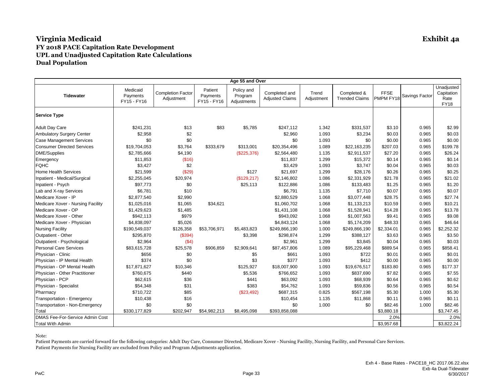|                                       |                                     |                                        |                                    | Age 55 and Over                      |                                         |                     |                                      |                          |                |                                                 |
|---------------------------------------|-------------------------------------|----------------------------------------|------------------------------------|--------------------------------------|-----------------------------------------|---------------------|--------------------------------------|--------------------------|----------------|-------------------------------------------------|
| <b>Tidewater</b>                      | Medicaid<br>Payments<br>FY15 - FY16 | <b>Completion Factor</b><br>Adjustment | Patient<br>Payments<br>FY15 - FY16 | Policy and<br>Program<br>Adjustments | Completed and<br><b>Adjusted Claims</b> | Trend<br>Adjustment | Completed &<br><b>Trended Claims</b> | <b>FFSE</b><br>PMPM FY18 | Savings Factor | Unadjusted<br>Capitation<br>Rate<br><b>FY18</b> |
| <b>Service Type</b>                   |                                     |                                        |                                    |                                      |                                         |                     |                                      |                          |                |                                                 |
| <b>Adult Day Care</b>                 | \$241,231                           | \$13                                   | \$83                               | \$5,785                              | \$247,112                               | 1.342               | \$331,537                            | \$3.10                   | 0.965          | \$2.99                                          |
| <b>Ambulatory Surgery Center</b>      | \$2,958                             | \$2                                    |                                    |                                      | \$2,960                                 | 1.093               | \$3,234                              | \$0.03                   | 0.965          | \$0.03                                          |
| <b>Case Management Services</b>       | \$0                                 | \$0                                    |                                    |                                      | \$0                                     | 1.093               | \$0                                  | \$0.00                   | 0.965          | \$0.00                                          |
| <b>Consumer Directed Services</b>     | \$19,704,053                        | \$3,764                                | \$333,679                          | \$313,001                            | \$20,354,496                            | 1.089               | \$22,163,235                         | \$207.03                 | 0.965          | \$199.78                                        |
| <b>DME/Supplies</b>                   | \$2,785,666                         | \$4,190                                |                                    | (\$225,376)                          | \$2,564,480                             | 1.135               | \$2,911,537                          | \$27.20                  | 0.965          | \$26.24                                         |
| Emergency                             | \$11,853                            | (\$16)                                 |                                    |                                      | \$11,837                                | 1.299               | \$15,372                             | \$0.14                   | 0.965          | \$0.14                                          |
| <b>FQHC</b>                           | \$3,427                             | \$2                                    |                                    |                                      | \$3,429                                 | 1.093               | \$3,747                              | \$0.04                   | 0.965          | \$0.03                                          |
| <b>Home Health Services</b>           | \$21,599                            | (\$29)                                 |                                    | \$127                                | \$21,697                                | 1.299               | \$28,176                             | \$0.26                   | 0.965          | \$0.25                                          |
| Inpatient - Medical/Surgical          | \$2,255,045                         | \$20,974                               |                                    | (\$129,217)                          | \$2,146,802                             | 1.086               | \$2,331,929                          | \$21.78                  | 0.965          | \$21.02                                         |
| Inpatient - Psych                     | \$97,773                            | \$0                                    |                                    | \$25,113                             | \$122,886                               | 1.086               | \$133,483                            | \$1.25                   | 0.965          | \$1.20                                          |
| Lab and X-ray Services                | \$6,781                             | \$10                                   |                                    |                                      | \$6,791                                 | 1.135               | \$7,710                              | \$0.07                   | 0.965          | \$0.07                                          |
| Medicare Xover - IP                   | \$2,877,540                         | \$2,990                                |                                    |                                      | \$2,880,529                             | 1.068               | \$3,077,448                          | \$28.75                  | 0.965          | \$27.74                                         |
| Medicare Xover - Nursing Facility     | \$1,025,016                         | \$1,065                                | \$34,621                           |                                      | \$1,060,702                             | 1.068               | \$1,133,213                          | \$10.59                  | 0.965          | \$10.21                                         |
| Medicare Xover - OP                   | \$1,429,623                         | \$1,485                                |                                    |                                      | \$1,431,108                             | 1.068               | \$1,528,941                          | \$14.28                  | 0.965          | \$13.78                                         |
| Medicare Xover - Other                | \$942,113                           | \$979                                  |                                    |                                      | \$943,092                               | 1.068               | \$1,007,563                          | \$9.41                   | 0.965          | \$9.08                                          |
| Medicare Xover - Physician            | \$4,838,097                         | \$5,026                                |                                    |                                      | \$4,843,124                             | 1.068               | \$5,174,209                          | \$48.33                  | 0.965          | \$46.64                                         |
| <b>Nursing Facility</b>               | \$190,549,037                       | \$126,358                              | \$53,706,971                       | \$5,483,823                          | \$249,866,190                           | 1.000               | \$249,866,190                        | \$2,334.01               | 0.965          | \$2,252.32                                      |
| Outpatient - Other                    | \$295,870                           | (\$394)                                |                                    | \$3,398                              | \$298,874                               | 1.299               | \$388,127                            | \$3.63                   | 0.965          | \$3.50                                          |
| Outpatient - Psychological            | \$2,964                             | (\$4)                                  |                                    |                                      | \$2,961                                 | 1.299               | \$3,845                              | \$0.04                   | 0.965          | \$0.03                                          |
| <b>Personal Care Services</b>         | \$83,615,728                        | \$25,578                               | \$906,859                          | \$2,909,641                          | \$87,457,806                            | 1.089               | \$95,229,468                         | \$889.54                 | 0.965          | \$858.41                                        |
| Physician - Clinic                    | \$656                               | \$0                                    |                                    | \$5                                  | \$661                                   | 1.093               | \$722                                | \$0.01                   | 0.965          | \$0.01                                          |
| Physician - IP Mental Health          | \$374                               | \$0                                    |                                    | \$3                                  | \$377                                   | 1.093               | \$412                                | \$0.00                   | 0.965          | \$0.00                                          |
| Physician - OP Mental Health          | \$17,871,627                        | \$10,346                               |                                    | \$125,927                            | \$18,007,900                            | 1.093               | \$19,676,517                         | \$183.80                 | 0.965          | \$177.37                                        |
| Physician - Other Practitioner        | \$760,675                           | \$440                                  |                                    | \$5,536                              | \$766,652                               | 1.093               | \$837,690                            | \$7.82                   | 0.965          | \$7.55                                          |
| Physician - PCP                       | \$62,615                            | \$36                                   |                                    | \$441                                | \$63,092                                | 1.093               | \$68,939                             | \$0.64                   | 0.965          | \$0.62                                          |
| Physician - Specialist                | \$54,348                            | \$31                                   |                                    | \$383                                | \$54,762                                | 1.093               | \$59,836                             | \$0.56                   | 0.965          | \$0.54                                          |
| Pharmacy                              | \$710,722                           | \$85                                   |                                    | (\$23,492)                           | \$687,315                               | 0.825               | \$567,198                            | \$5.30                   | 1.000          | \$5.30                                          |
| Transportation - Emergency            | \$10,438                            | \$16                                   |                                    |                                      | \$10,454                                | 1.135               | \$11,868                             | \$0.11                   | 0.965          | \$0.11                                          |
| <b>Transportation - Non-Emergency</b> | \$0                                 | \$0                                    |                                    |                                      | \$0                                     | 1.000               | \$0                                  | \$82.46                  | 1.000          | \$82.46                                         |
| Total                                 | \$330,177,829                       | \$202,947                              | \$54,982,213                       | \$8,495,098                          | \$393,858,088                           |                     |                                      | \$3,880.18               |                | \$3,747.45                                      |
| DMAS Fee-For-Service Admin Cost       |                                     |                                        |                                    |                                      |                                         |                     |                                      | 2.0%                     |                | 2.0%                                            |
| <b>Total With Admin</b>               |                                     |                                        |                                    |                                      |                                         |                     |                                      | \$3,957.68               |                | \$3,822.24                                      |

Note: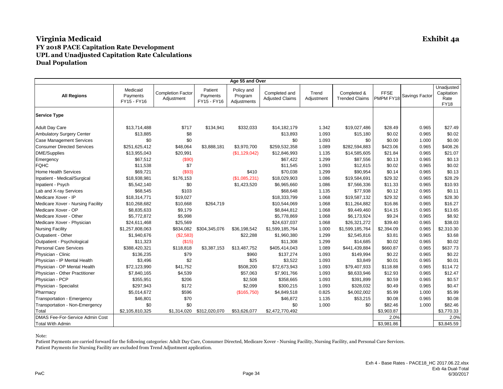| Age 55 and Over                       |                                     |                                        |                                    |                                      |                                         |                     |                                      |                          |                |                                                 |
|---------------------------------------|-------------------------------------|----------------------------------------|------------------------------------|--------------------------------------|-----------------------------------------|---------------------|--------------------------------------|--------------------------|----------------|-------------------------------------------------|
| <b>All Regions</b>                    | Medicaid<br>Payments<br>FY15 - FY16 | <b>Completion Factor</b><br>Adjustment | Patient<br>Payments<br>FY15 - FY16 | Policy and<br>Program<br>Adjustments | Completed and<br><b>Adjusted Claims</b> | Trend<br>Adjustment | Completed &<br><b>Trended Claims</b> | <b>FFSE</b><br>PMPM FY18 | Savings Factor | Unadjusted<br>Capitation<br>Rate<br><b>FY18</b> |
| <b>Service Type</b>                   |                                     |                                        |                                    |                                      |                                         |                     |                                      |                          |                |                                                 |
| <b>Adult Day Care</b>                 | \$13,714,488                        | \$717                                  | \$134,941                          | \$332,033                            | \$14,182,179                            | 1.342               | \$19,027,486                         | \$28.49                  | 0.965          | \$27.49                                         |
| <b>Ambulatory Surgery Center</b>      | \$13,885                            | \$8                                    |                                    |                                      | \$13,893                                | 1.093               | \$15,180                             | \$0.02                   | 0.965          | \$0.02                                          |
| <b>Case Management Services</b>       | \$0                                 | \$0                                    |                                    |                                      | \$0                                     | 1.093               | \$0                                  | \$0.00                   | 1.000          | \$0.00                                          |
| <b>Consumer Directed Services</b>     | \$251,625,412                       | \$48,064                               | \$3,888,181                        | \$3,970,700                          | \$259,532,358                           | 1.089               | \$282,594,883                        | \$423.06                 | 0.965          | \$408.26                                        |
| <b>DME/Supplies</b>                   | \$13,955,043                        | \$20,991                               |                                    | (\$1,129,042)                        | \$12,846,993                            | 1.135               | \$14,585,605                         | \$21.84                  | 0.965          | \$21.07                                         |
| Emergency                             | \$67,512                            | (\$90)                                 |                                    |                                      | \$67,422                                | 1.299               | \$87,556                             | \$0.13                   | 0.965          | \$0.13                                          |
| <b>FQHC</b>                           | \$11,538                            | \$7                                    |                                    |                                      | \$11,545                                | 1.093               | \$12,615                             | \$0.02                   | 0.965          | \$0.02                                          |
| <b>Home Health Services</b>           | \$69,721                            | (\$93)                                 |                                    | \$410                                | \$70,038                                | 1.299               | \$90,954                             | \$0.14                   | 0.965          | \$0.13                                          |
| Inpatient - Medical/Surgical          | \$18,938,981                        | \$176,153                              |                                    | (\$1,085,231)                        | \$18,029,903                            | 1.086               | \$19,584,691                         | \$29.32                  | 0.965          | \$28.29                                         |
| Inpatient - Psych                     | \$5,542,140                         | \$0                                    |                                    | \$1,423,520                          | \$6,965,660                             | 1.086               | \$7,566,336                          | \$11.33                  | 0.965          | \$10.93                                         |
| Lab and X-ray Services                | \$68,545                            | \$103                                  |                                    |                                      | \$68,648                                | 1.135               | \$77,938                             | \$0.12                   | 0.965          | \$0.11                                          |
| Medicare Xover - IP                   | \$18,314,771                        | \$19,027                               |                                    |                                      | \$18,333,799                            | 1.068               | \$19,587,132                         | \$29.32                  | 0.965          | \$28.30                                         |
| Medicare Xover - Nursing Facility     | \$10,268,682                        | \$10,668                               | \$264,719                          |                                      | \$10,544,069                            | 1.068               | \$11,264,882                         | \$16.86                  | 0.965          | \$16.27                                         |
| Medicare Xover - OP                   | \$8,835,633                         | \$9,179                                |                                    |                                      | \$8,844,812                             | 1.068               | \$9,449,460                          | \$14.15                  | 0.965          | \$13.65                                         |
| Medicare Xover - Other                | \$5,772,872                         | \$5,998                                |                                    |                                      | \$5,778,869                             | 1.068               | \$6,173,924                          | \$9.24                   | 0.965          | \$8.92                                          |
| Medicare Xover - Physician            | \$24,611,468                        | \$25,569                               |                                    |                                      | \$24,637,037                            | 1.068               | \$26,321,272                         | \$39.40                  | 0.965          | \$38.03                                         |
| <b>Nursing Facility</b>               | \$1,257,808,063                     | \$834,082                              | \$304,345,076                      | \$36,198,542                         | \$1,599,185,764                         | 1.000               | \$1,599,185,764                      | \$2,394.09               | 0.965          | \$2,310.30                                      |
| Outpatient - Other                    | \$1,940,676                         | (\$2,583)                              |                                    | \$22,288                             | \$1,960,380                             | 1.299               | \$2,545,816                          | \$3.81                   | 0.965          | \$3.68                                          |
| Outpatient - Psychological            | \$11,323                            | (\$15)                                 |                                    |                                      | \$11,308                                | 1.299               | \$14,685                             | \$0.02                   | 0.965          | \$0.02                                          |
| <b>Personal Care Services</b>         | \$388,420,321                       | \$118,818                              | \$3,387,153                        | \$13,487,752                         | \$405,414,043                           | 1.089               | \$441,439,884                        | \$660.87                 | 0.965          | \$637.73                                        |
| Physician - Clinic                    | \$136,235                           | \$79                                   |                                    | \$960                                | \$137,274                               | 1.093               | \$149,994                            | \$0.22                   | 0.965          | \$0.22                                          |
| Physician - IP Mental Health          | \$3,496                             | \$2                                    |                                    | \$25                                 | \$3,522                                 | 1.093               | \$3,849                              | \$0.01                   | 0.965          | \$0.01                                          |
| Physician - OP Mental Health          | \$72,123,990                        | \$41,752                               |                                    | \$508,200                            | \$72,673,943                            | 1.093               | \$79,407,933                         | \$118.88                 | 0.965          | \$114.72                                        |
| Physician - Other Practitioner        | \$7,840,165                         | \$4,539                                |                                    | \$57,063                             | \$7,901,766                             | 1.093               | \$8,633,946                          | \$12.93                  | 0.965          | \$12.47                                         |
| Physician - PCP                       | \$355,951                           | \$206                                  |                                    | \$2,508                              | \$358,665                               | 1.093               | \$391,899                            | \$0.59                   | 0.965          | \$0.57                                          |
| Physician - Specialist                | \$297,943                           | \$172                                  |                                    | \$2,099                              | \$300,215                               | 1.093               | \$328,032                            | \$0.49                   | 0.965          | \$0.47                                          |
| Pharmacy                              | \$5,014,672                         | \$596                                  |                                    | (\$165,750)                          | \$4,849,518                             | 0.825               | \$4,002,002                          | \$5.99                   | 1.000          | \$5.99                                          |
| Transportation - Emergency            | \$46,801                            | \$70                                   |                                    |                                      | \$46,872                                | 1.135               | \$53,215                             | \$0.08                   | 0.965          | \$0.08                                          |
| <b>Transportation - Non-Emergency</b> | \$0                                 | \$0                                    |                                    |                                      | \$0                                     | 1.000               | \$0                                  | \$82.46                  | 1.000          | \$82.46                                         |
| Total                                 | \$2,105,810,325                     | \$1,314,020                            | \$312,020,070                      | \$53,626,077                         | \$2,472,770,492                         |                     |                                      | \$3,903.87               |                | \$3,770.33                                      |
| DMAS Fee-For-Service Admin Cost       |                                     |                                        |                                    |                                      |                                         |                     |                                      | 2.0%                     |                | 2.0%                                            |
| <b>Total With Admin</b>               |                                     |                                        |                                    |                                      |                                         |                     |                                      | \$3,981.86               |                | \$3,845.59                                      |

Note: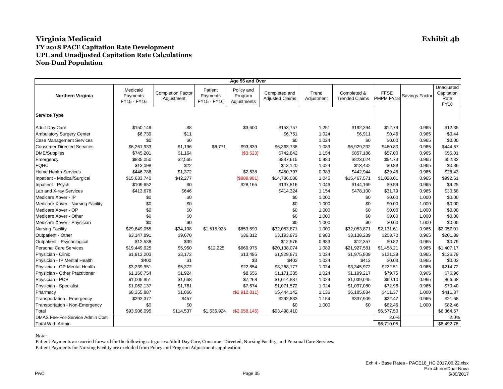| Age 55 and Over                        |                                     |                                        |                                    |                                      |                                         |                     |                                      |                          |                |                                                 |
|----------------------------------------|-------------------------------------|----------------------------------------|------------------------------------|--------------------------------------|-----------------------------------------|---------------------|--------------------------------------|--------------------------|----------------|-------------------------------------------------|
| <b>Northern Virginia</b>               | Medicaid<br>Payments<br>FY15 - FY16 | <b>Completion Factor</b><br>Adjustment | Patient<br>Payments<br>FY15 - FY16 | Policy and<br>Program<br>Adjustments | Completed and<br><b>Adjusted Claims</b> | Trend<br>Adjustment | Completed &<br><b>Trended Claims</b> | <b>FFSE</b><br>PMPM FY18 | Savings Factor | Unadjusted<br>Capitation<br>Rate<br><b>FY18</b> |
| <b>Service Type</b>                    |                                     |                                        |                                    |                                      |                                         |                     |                                      |                          |                |                                                 |
| <b>Adult Day Care</b>                  | \$150,149                           | \$8                                    |                                    | \$3,600                              | \$153,757                               | 1.251               | \$192,394                            | \$12.79                  | 0.965          | \$12.35                                         |
| <b>Ambulatory Surgery Center</b>       | \$6,739                             | \$11                                   |                                    |                                      | \$6,751                                 | 1.024               | \$6,911                              | \$0.46                   | 0.965          | \$0.44                                          |
| <b>Case Management Services</b>        | \$0                                 | \$0                                    |                                    |                                      | \$0                                     | 1.024               | \$0                                  | \$0.00                   | 0.965          | \$0.00                                          |
| <b>Consumer Directed Services</b>      | \$6,261,933                         | \$1,196                                | \$6,771                            | \$93,839                             | \$6,363,738                             | 1.089               | \$6,929,232                          | \$460.80                 | 0.965          | \$444.67                                        |
| <b>DME/Supplies</b>                    | \$745,201                           | \$1,164                                |                                    | (\$3,523)                            | \$742,842                               | 1.154               | \$857,186                            | \$57.00                  | 0.965          | \$55.01                                         |
| Emergency                              | \$835,050                           | \$2,565                                |                                    |                                      | \$837,615                               | 0.983               | \$823,024                            | \$54.73                  | 0.965          | \$52.82                                         |
| <b>FQHC</b>                            | \$13,098                            | \$22                                   |                                    |                                      | \$13,120                                | 1.024               | \$13,432                             | \$0.89                   | 0.965          | \$0.86                                          |
| <b>Home Health Services</b>            | \$446,786                           | \$1,372                                |                                    | \$2,638                              | \$450,797                               | 0.983               | \$442,944                            | \$29.46                  | 0.965          | \$28.43                                         |
| Inpatient - Medical/Surgical           | \$15,633,740                        | \$42,277                               |                                    | (\$889,981)                          | \$14,786,036                            | 1.046               | \$15,467,571                         | \$1,028.61               | 0.965          | \$992.61                                        |
| Inpatient - Psych                      | \$109,652                           | \$0                                    |                                    | \$28,165                             | \$137,816                               | 1.046               | \$144,169                            | \$9.59                   | 0.965          | \$9.25                                          |
| Lab and X-ray Services                 | \$413,678                           | \$646                                  |                                    |                                      | \$414,324                               | 1.154               | \$478,100                            | \$31.79                  | 0.965          | \$30.68                                         |
| Medicare Xover - IP                    | \$0                                 | \$0                                    |                                    |                                      | \$0                                     | 1.000               | \$0                                  | \$0.00                   | 1.000          | \$0.00                                          |
| Medicare Xover - Nursing Facility      | \$0                                 | \$0                                    |                                    |                                      | \$0                                     | 1.000               | \$0                                  | \$0.00                   | 1.000          | \$0.00                                          |
| Medicare Xover - OP                    | \$0                                 | \$0                                    |                                    |                                      | \$0                                     | 1.000               | \$0                                  | \$0.00                   | 1.000          | \$0.00                                          |
| Medicare Xover - Other                 | \$0                                 | \$0                                    |                                    |                                      | \$0                                     | 1.000               | \$0                                  | \$0.00                   | 1.000          | \$0.00                                          |
| Medicare Xover - Physician             | \$0                                 | \$0                                    |                                    |                                      | \$0                                     | 1.000               | \$0                                  | \$0.00                   | 1.000          | \$0.00                                          |
| <b>Nursing Facility</b>                | \$29,649,055                        | \$34,198                               | \$1,516,928                        | \$853,690                            | \$32,053,871                            | 1.000               | \$32,053,871                         | \$2,131.61               | 0.965          | \$2,057.01                                      |
| Outpatient - Other                     | \$3,147,891                         | \$9,670                                |                                    | \$36,312                             | \$3,193,873                             | 0.983               | \$3,138,239                          | \$208.70                 | 0.965          | \$201.39                                        |
| Outpatient - Psychological             | \$12,538                            | \$39                                   |                                    |                                      | \$12,576                                | 0.983               | \$12,357                             | \$0.82                   | 0.965          | \$0.79                                          |
| <b>Personal Care Services</b>          | \$19,449,925                        | \$5,950                                | \$12,225                           | \$669,975                            | \$20,138,074                            | 1.089               | \$21,927,581                         | \$1,458.21               | 0.965          | \$1,407.17                                      |
| Physician - Clinic                     | \$1,913,203                         | \$3,172                                |                                    | \$13,495                             | \$1,929,871                             | 1.024               | \$1,975,809                          | \$131.39                 | 0.965          | \$126.79                                        |
| Physician - IP Mental Health           | \$400                               | \$1                                    |                                    | \$3                                  | \$403                                   | 1.024               | \$413                                | \$0.03                   | 0.965          | \$0.03                                          |
| Physician - OP Mental Health           | \$3,239,951                         | \$5,372                                |                                    | \$22,854                             | \$3,268,177                             | 1.024               | \$3,345,972                          | \$222.51                 | 0.965          | \$214.72                                        |
| Physician - Other Practitioner         | \$1,160,754                         | \$1,924                                |                                    | \$8,656                              | \$1,171,335                             | 1.024               | \$1,199,217                          | \$79.75                  | 0.965          | \$76.96                                         |
| Physician - PCP                        | \$1,005,951                         | \$1,668                                |                                    | \$7,268                              | \$1,014,887                             | 1.024               | \$1,039,045                          | \$69.10                  | 0.965          | \$66.68                                         |
| Physician - Specialist                 | \$1,062,137                         | \$1,761                                |                                    | \$7,674                              | \$1,071,572                             | 1.024               | \$1,097,080                          | \$72.96                  | 0.965          | \$70.40                                         |
| Pharmacy                               | \$8,355,887                         | \$1,066                                |                                    | (\$2,912,811)                        | \$5,444,142                             | 1.136               | \$6,185,884                          | \$411.37                 | 1.000          | \$411.37                                        |
| Transportation - Emergency             | \$292,377                           | \$457                                  |                                    |                                      | \$292,833                               | 1.154               | \$337,909                            | \$22.47                  | 0.965          | \$21.68                                         |
| Transportation - Non-Emergency         | \$0                                 | \$0                                    |                                    |                                      | \$0                                     | 1.000               | \$0                                  | \$82.46                  | 1.000          | \$82.46                                         |
| Total                                  | \$93,906,095                        | \$114,537                              | \$1,535,924                        | (\$2,058,145)                        | \$93,498,410                            |                     |                                      | \$6,577.50               |                | \$6,364.57                                      |
| <b>DMAS Fee-For-Service Admin Cost</b> |                                     |                                        |                                    |                                      |                                         |                     |                                      | 2.0%                     |                | 2.0%                                            |
| <b>Total With Admin</b>                |                                     |                                        |                                    |                                      |                                         |                     |                                      | \$6,710.05               |                | \$6,492.78                                      |

Note: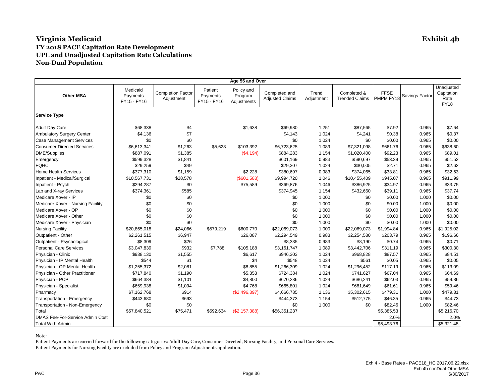| Age 55 and Over                        |                                     |                                        |                                    |                                      |                                         |                     |                                      |                          |                |                                                 |
|----------------------------------------|-------------------------------------|----------------------------------------|------------------------------------|--------------------------------------|-----------------------------------------|---------------------|--------------------------------------|--------------------------|----------------|-------------------------------------------------|
| <b>Other MSA</b>                       | Medicaid<br>Payments<br>FY15 - FY16 | <b>Completion Factor</b><br>Adjustment | Patient<br>Payments<br>FY15 - FY16 | Policy and<br>Program<br>Adjustments | Completed and<br><b>Adjusted Claims</b> | Trend<br>Adjustment | Completed &<br><b>Trended Claims</b> | <b>FFSE</b><br>PMPM FY18 | Savings Factor | Unadjusted<br>Capitation<br>Rate<br><b>FY18</b> |
| <b>Service Type</b>                    |                                     |                                        |                                    |                                      |                                         |                     |                                      |                          |                |                                                 |
| <b>Adult Day Care</b>                  | \$68,338                            | \$4                                    |                                    | \$1,638                              | \$69,980                                | 1.251               | \$87,565                             | \$7.92                   | 0.965          | \$7.64                                          |
| <b>Ambulatory Surgery Center</b>       | \$4,136                             | \$7                                    |                                    |                                      | \$4,143                                 | 1.024               | \$4,241                              | \$0.38                   | 0.965          | \$0.37                                          |
| <b>Case Management Services</b>        | \$0                                 | \$0                                    |                                    |                                      | \$0                                     | 1.024               | \$0                                  | \$0.00                   | 0.965          | \$0.00                                          |
| <b>Consumer Directed Services</b>      | \$6,613,341                         | \$1,263                                | \$5,628                            | \$103,392                            | \$6,723,625                             | 1.089               | \$7,321,098                          | \$661.76                 | 0.965          | \$638.60                                        |
| <b>DME/Supplies</b>                    | \$887,091                           | \$1,385                                |                                    | (\$4,194)                            | \$884,283                               | 1.154               | \$1,020,400                          | \$92.23                  | 0.965          | \$89.01                                         |
| Emergency                              | \$599,328                           | \$1,841                                |                                    |                                      | \$601,169                               | 0.983               | \$590,697                            | \$53.39                  | 0.965          | \$51.52                                         |
| <b>FQHC</b>                            | \$29,259                            | \$49                                   |                                    |                                      | \$29,307                                | 1.024               | \$30,005                             | \$2.71                   | 0.965          | \$2.62                                          |
| <b>Home Health Services</b>            | \$377,310                           | \$1,159                                |                                    | \$2,228                              | \$380,697                               | 0.983               | \$374,065                            | \$33.81                  | 0.965          | \$32.63                                         |
| Inpatient - Medical/Surgical           | \$10,567,731                        | \$28,578                               |                                    | (S601, 588)                          | \$9,994,720                             | 1.046               | \$10,455,409                         | \$945.07                 | 0.965          | \$911.99                                        |
| Inpatient - Psych                      | \$294,287                           | \$0                                    |                                    | \$75,589                             | \$369,876                               | 1.046               | \$386,925                            | \$34.97                  | 0.965          | \$33.75                                         |
| Lab and X-ray Services                 | \$374,361                           | \$585                                  |                                    |                                      | \$374,945                               | 1.154               | \$432,660                            | \$39.11                  | 0.965          | \$37.74                                         |
| Medicare Xover - IP                    | \$0                                 | \$0                                    |                                    |                                      | \$0                                     | 1.000               | \$0                                  | \$0.00                   | 1.000          | \$0.00                                          |
| Medicare Xover - Nursing Facility      | \$0                                 | \$0                                    |                                    |                                      | \$0                                     | 1.000               | \$0                                  | \$0.00                   | 1.000          | \$0.00                                          |
| Medicare Xover - OP                    | \$0                                 | \$0                                    |                                    |                                      | \$0                                     | 1.000               | \$0                                  | \$0.00                   | 1.000          | \$0.00                                          |
| Medicare Xover - Other                 | \$0                                 | \$0                                    |                                    |                                      | \$0                                     | 1.000               | \$0                                  | \$0.00                   | 1.000          | \$0.00                                          |
| Medicare Xover - Physician             | \$0                                 | \$0                                    |                                    |                                      | \$0                                     | 1.000               | \$0                                  | \$0.00                   | 1.000          | \$0.00                                          |
| <b>Nursing Facility</b>                | \$20,865,018                        | \$24,066                               | \$579,219                          | \$600,770                            | \$22,069,073                            | 1.000               | \$22,069,073                         | \$1,994.84               | 0.965          | \$1,925.02                                      |
| Outpatient - Other                     | \$2,261,515                         | \$6,947                                |                                    | \$26,087                             | \$2,294,549                             | 0.983               | \$2,254,580                          | \$203.79                 | 0.965          | \$196.66                                        |
| Outpatient - Psychological             | \$8,309                             | \$26                                   |                                    |                                      | \$8,335                                 | 0.983               | \$8,190                              | \$0.74                   | 0.965          | \$0.71                                          |
| <b>Personal Care Services</b>          | \$3,047,839                         | \$932                                  | \$7,788                            | \$105,188                            | \$3,161,747                             | 1.089               | \$3,442,706                          | \$311.19                 | 0.965          | \$300.30                                        |
| Physician - Clinic                     | \$938,130                           | \$1,555                                |                                    | \$6,617                              | \$946,303                               | 1.024               | \$968,828                            | \$87.57                  | 0.965          | \$84.51                                         |
| Physician - IP Mental Health           | \$544                               | \$1                                    |                                    | \$4                                  | \$548                                   | 1.024               | \$561                                | \$0.05                   | 0.965          | \$0.05                                          |
| Physician - OP Mental Health           | \$1,255,372                         | \$2,081                                |                                    | \$8,855                              | \$1,266,309                             | 1.024               | \$1,296,452                          | \$117.19                 | 0.965          | \$113.09                                        |
| Physician - Other Practitioner         | \$717,840                           | \$1,190                                |                                    | \$5,353                              | \$724,384                               | 1.024               | \$741,627                            | \$67.04                  | 0.965          | \$64.69                                         |
| Physician - PCP                        | \$664,384                           | \$1,101                                |                                    | \$4,800                              | \$670,286                               | 1.024               | \$686,241                            | \$62.03                  | 0.965          | \$59.86                                         |
| Physician - Specialist                 | \$659,938                           | \$1,094                                |                                    | \$4,768                              | \$665,801                               | 1.024               | \$681,649                            | \$61.61                  | 0.965          | \$59.46                                         |
| Pharmacy                               | \$7,162,768                         | \$914                                  |                                    | (\$2,496,897)                        | \$4,666,785                             | 1.136               | \$5,302,615                          | \$479.31                 | 1.000          | \$479.31                                        |
| Transportation - Emergency             | \$443,680                           | \$693                                  |                                    |                                      | \$444,373                               | 1.154               | \$512,775                            | \$46.35                  | 0.965          | \$44.73                                         |
| Transportation - Non-Emergency         | \$0                                 | \$0                                    |                                    |                                      | \$0                                     | 1.000               | \$0                                  | \$82.46                  | 1.000          | \$82.46                                         |
| Total                                  | \$57,840,521                        | \$75,471                               | \$592,634                          | (\$2,157,388)                        | \$56,351,237                            |                     |                                      | \$5,385.53               |                | \$5,216.70                                      |
| <b>DMAS Fee-For-Service Admin Cost</b> |                                     |                                        |                                    |                                      |                                         |                     |                                      | 2.0%                     |                | 2.0%                                            |
| <b>Total With Admin</b>                |                                     |                                        |                                    |                                      |                                         |                     |                                      | \$5,493.76               |                | \$5,321.48                                      |

Note: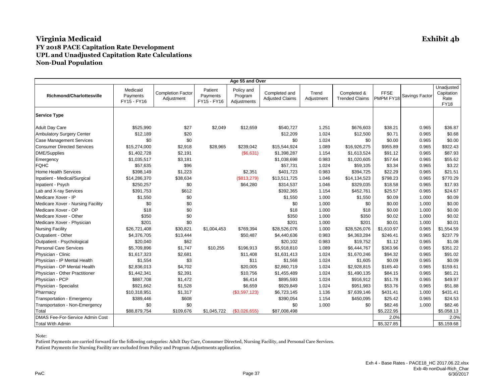| Age 55 and Over                   |                                     |                                        |                                    |                                      |                                         |                     |                                      |                          |                |                                                 |
|-----------------------------------|-------------------------------------|----------------------------------------|------------------------------------|--------------------------------------|-----------------------------------------|---------------------|--------------------------------------|--------------------------|----------------|-------------------------------------------------|
| <b>Richmond/Charlottesville</b>   | Medicaid<br>Payments<br>FY15 - FY16 | <b>Completion Factor</b><br>Adjustment | Patient<br>Payments<br>FY15 - FY16 | Policy and<br>Program<br>Adjustments | Completed and<br><b>Adjusted Claims</b> | Trend<br>Adjustment | Completed &<br><b>Trended Claims</b> | <b>FFSE</b><br>PMPM FY18 | Savings Factor | Unadjusted<br>Capitation<br>Rate<br><b>FY18</b> |
| <b>Service Type</b>               |                                     |                                        |                                    |                                      |                                         |                     |                                      |                          |                |                                                 |
| <b>Adult Day Care</b>             | \$525,990                           | \$27                                   | \$2,049                            | \$12,659                             | \$540,727                               | 1.251               | \$676,603                            | \$38.21                  | 0.965          | \$36.87                                         |
| <b>Ambulatory Surgery Center</b>  | \$12,189                            | \$20                                   |                                    |                                      | \$12,209                                | 1.024               | \$12,500                             | \$0.71                   | 0.965          | \$0.68                                          |
| <b>Case Management Services</b>   | \$0                                 | \$0                                    |                                    |                                      | \$0                                     | 1.024               | \$0                                  | \$0.00                   | 0.965          | \$0.00                                          |
| <b>Consumer Directed Services</b> | \$15,274,000                        | \$2,918                                | \$28,965                           | \$239,042                            | \$15,544,924                            | 1.089               | \$16,926,275                         | \$955.89                 | 0.965          | \$922.43                                        |
| <b>DME/Supplies</b>               | \$1,402,728                         | \$2,191                                |                                    | (\$6,631)                            | \$1,398,287                             | 1.154               | \$1,613,524                          | \$91.12                  | 0.965          | \$87.93                                         |
| Emergency                         | \$1,035,517                         | \$3,181                                |                                    |                                      | \$1,038,698                             | 0.983               | \$1,020,605                          | \$57.64                  | 0.965          | \$55.62                                         |
| <b>FQHC</b>                       | \$57,635                            | \$96                                   |                                    |                                      | \$57,731                                | 1.024               | \$59,105                             | \$3.34                   | 0.965          | \$3.22                                          |
| <b>Home Health Services</b>       | \$398,149                           | \$1,223                                |                                    | \$2,351                              | \$401,723                               | 0.983               | \$394,725                            | \$22.29                  | 0.965          | \$21.51                                         |
| Inpatient - Medical/Surgical      | \$14,286,370                        | \$38,634                               |                                    | (\$813,279)                          | \$13,511,725                            | 1.046               | \$14,134,523                         | \$798.23                 | 0.965          | \$770.29                                        |
| Inpatient - Psych                 | \$250,257                           | \$0                                    |                                    | \$64,280                             | \$314,537                               | 1.046               | \$329,035                            | \$18.58                  | 0.965          | \$17.93                                         |
| Lab and X-ray Services            | \$391,753                           | \$612                                  |                                    |                                      | \$392,365                               | 1.154               | \$452,761                            | \$25.57                  | 0.965          | \$24.67                                         |
| Medicare Xover - IP               | \$1,550                             | \$0                                    |                                    |                                      | \$1,550                                 | 1.000               | \$1,550                              | \$0.09                   | 1.000          | \$0.09                                          |
| Medicare Xover - Nursing Facility | \$0                                 | \$0                                    |                                    |                                      | \$0                                     | 1.000               | \$0                                  | \$0.00                   | 1.000          | \$0.00                                          |
| Medicare Xover - OP               | \$18                                | \$0                                    |                                    |                                      | \$18                                    | 1.000               | \$18                                 | \$0.00                   | 1.000          | \$0.00                                          |
| Medicare Xover - Other            | \$350                               | \$0                                    |                                    |                                      | \$350                                   | 1.000               | \$350                                | \$0.02                   | 1.000          | \$0.02                                          |
| Medicare Xover - Physician        | \$201                               | \$0                                    |                                    |                                      | \$201                                   | 1.000               | \$201                                | \$0.01                   | 1.000          | \$0.01                                          |
| <b>Nursing Facility</b>           | \$26,721,408                        | \$30,821                               | \$1,004,453                        | \$769,394                            | \$28,526,076                            | 1.000               | \$28,526,076                         | \$1,610.97               | 0.965          | \$1,554.59                                      |
| Outpatient - Other                | \$4,376,705                         | \$13,444                               |                                    | \$50,487                             | \$4,440,636                             | 0.983               | \$4,363,284                          | \$246.41                 | 0.965          | \$237.79                                        |
| Outpatient - Psychological        | \$20,040                            | \$62                                   |                                    |                                      | \$20,102                                | 0.983               | \$19,752                             | \$1.12                   | 0.965          | \$1.08                                          |
| <b>Personal Care Services</b>     | \$5,709,896                         | \$1,747                                | \$10,255                           | \$196,913                            | \$5,918,810                             | 1.089               | \$6,444,767                          | \$363.96                 | 0.965          | \$351.22                                        |
| Physician - Clinic                | \$1,617,323                         | \$2,681                                |                                    | \$11,408                             | \$1,631,413                             | 1.024               | \$1,670,246                          | \$94.32                  | 0.965          | \$91.02                                         |
| Physician - IP Mental Health      | \$1,554                             | \$3                                    |                                    | \$11                                 | \$1,568                                 | 1.024               | \$1,605                              | \$0.09                   | 0.965          | \$0.09                                          |
| Physician - OP Mental Health      | \$2,836,013                         | \$4,702                                |                                    | \$20,005                             | \$2,860,719                             | 1.024               | \$2,928,815                          | \$165.40                 | 0.965          | \$159.61                                        |
| Physician - Other Practitioner    | \$1,442,341                         | \$2,391                                |                                    | \$10,756                             | \$1,455,489                             | 1.024               | \$1,490,135                          | \$84.15                  | 0.965          | \$81.21                                         |
| Physician - PCP                   | \$887,708                           | \$1,472                                |                                    | \$6,414                              | \$895,593                               | 1.024               | \$916,912                            | \$51.78                  | 0.965          | \$49.97                                         |
| Physician - Specialist            | \$921,662                           | \$1,528                                |                                    | \$6,659                              | \$929,849                               | 1.024               | \$951,983                            | \$53.76                  | 0.965          | \$51.88                                         |
| Pharmacy                          | \$10,318,951                        | \$1,317                                |                                    | (\$3,597,123)                        | \$6,723,145                             | 1.136               | \$7,639,146                          | \$431.41                 | 1.000          | \$431.41                                        |
| Transportation - Emergency        | \$389,446                           | \$608                                  |                                    |                                      | \$390,054                               | 1.154               | \$450,095                            | \$25.42                  | 0.965          | \$24.53                                         |
| Transportation - Non-Emergency    | \$0                                 | \$0                                    |                                    |                                      | \$0                                     | 1.000               | \$0                                  | \$82.46                  | 1.000          | \$82.46                                         |
| Total                             | \$88,879,754                        | \$109,676                              | \$1,045,722                        | (\$3,026,655)                        | \$87,008,498                            |                     |                                      | \$5,222.95               |                | \$5,058.13                                      |
| DMAS Fee-For-Service Admin Cost   |                                     |                                        |                                    |                                      |                                         |                     |                                      | 2.0%                     |                | 2.0%                                            |
| <b>Total With Admin</b>           |                                     |                                        |                                    |                                      |                                         |                     |                                      | \$5,327.85               |                | \$5,159.68                                      |

Note: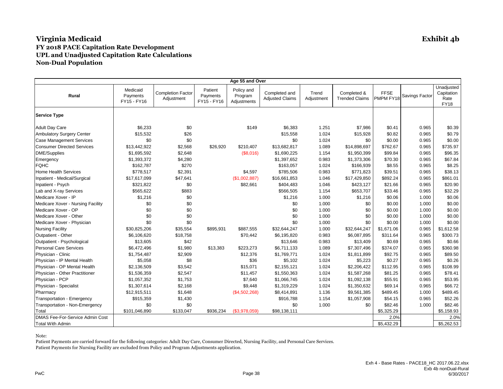| Age 55 and Over                   |                                     |                                        |                                    |                                      |                                         |                     |                                      |                          |                |                                                 |
|-----------------------------------|-------------------------------------|----------------------------------------|------------------------------------|--------------------------------------|-----------------------------------------|---------------------|--------------------------------------|--------------------------|----------------|-------------------------------------------------|
| <b>Rural</b>                      | Medicaid<br>Payments<br>FY15 - FY16 | <b>Completion Factor</b><br>Adjustment | Patient<br>Payments<br>FY15 - FY16 | Policy and<br>Program<br>Adjustments | Completed and<br><b>Adjusted Claims</b> | Trend<br>Adjustment | Completed &<br><b>Trended Claims</b> | <b>FFSE</b><br>PMPM FY18 | Savings Factor | Unadjusted<br>Capitation<br>Rate<br><b>FY18</b> |
| <b>Service Type</b>               |                                     |                                        |                                    |                                      |                                         |                     |                                      |                          |                |                                                 |
| <b>Adult Day Care</b>             | \$6,233                             | \$0                                    |                                    | \$149                                | \$6,383                                 | 1.251               | \$7,986                              | \$0.41                   | 0.965          | \$0.39                                          |
| <b>Ambulatory Surgery Center</b>  | \$15,532                            | \$26                                   |                                    |                                      | \$15,558                                | 1.024               | \$15,928                             | \$0.82                   | 0.965          | \$0.79                                          |
| <b>Case Management Services</b>   | \$0                                 | \$0                                    |                                    |                                      | \$0                                     | 1.024               | \$0                                  | \$0.00                   | 0.965          | \$0.00                                          |
| <b>Consumer Directed Services</b> | \$13,442,922                        | \$2,568                                | \$26,920                           | \$210,407                            | \$13,682,817                            | 1.089               | \$14,898,697                         | \$762.67                 | 0.965          | \$735.97                                        |
| <b>DME/Supplies</b>               | \$1,695,592                         | \$2,648                                |                                    | (\$8,016)                            | \$1,690,225                             | 1.154               | \$1,950,399                          | \$99.84                  | 0.965          | \$96.35                                         |
| Emergency                         | \$1,393,372                         | \$4,280                                |                                    |                                      | \$1,397,652                             | 0.983               | \$1,373,306                          | \$70.30                  | 0.965          | \$67.84                                         |
| <b>FQHC</b>                       | \$162,787                           | \$270                                  |                                    |                                      | \$163,057                               | 1.024               | \$166,939                            | \$8.55                   | 0.965          | \$8.25                                          |
| <b>Home Health Services</b>       | \$778,517                           | \$2,391                                |                                    | \$4,597                              | \$785,506                               | 0.983               | \$771,823                            | \$39.51                  | 0.965          | \$38.13                                         |
| Inpatient - Medical/Surgical      | \$17,617,099                        | \$47,641                               |                                    | (\$1,002,887)                        | \$16,661,853                            | 1.046               | \$17,429,850                         | \$892.24                 | 0.965          | \$861.01                                        |
| Inpatient - Psych                 | \$321,822                           | \$0                                    |                                    | \$82,661                             | \$404,483                               | 1.046               | \$423,127                            | \$21.66                  | 0.965          | \$20.90                                         |
| Lab and X-ray Services            | \$565,622                           | \$883                                  |                                    |                                      | \$566,505                               | 1.154               | \$653,707                            | \$33.46                  | 0.965          | \$32.29                                         |
| Medicare Xover - IP               | \$1,216                             | \$0                                    |                                    |                                      | \$1,216                                 | 1.000               | \$1,216                              | \$0.06                   | 1.000          | \$0.06                                          |
| Medicare Xover - Nursing Facility | \$0                                 | \$0                                    |                                    |                                      | \$0                                     | 1.000               | \$0                                  | \$0.00                   | 1.000          | \$0.00                                          |
| Medicare Xover - OP               | \$0                                 | \$0                                    |                                    |                                      | \$0                                     | 1.000               | \$0                                  | \$0.00                   | 1.000          | \$0.00                                          |
| Medicare Xover - Other            | \$0                                 | \$0                                    |                                    |                                      | \$0                                     | 1.000               | \$0                                  | \$0.00                   | 1.000          | \$0.00                                          |
| Medicare Xover - Physician        | \$0                                 | \$0                                    |                                    |                                      | \$0                                     | 1.000               | \$0                                  | \$0.00                   | 1.000          | \$0.00                                          |
| <b>Nursing Facility</b>           | \$30,825,206                        | \$35,554                               | \$895,931                          | \$887,555                            | \$32,644,247                            | 1.000               | \$32,644,247                         | \$1,671.06               | 0.965          | \$1,612.58                                      |
| Outpatient - Other                | \$6,106,620                         | \$18,758                               |                                    | \$70,442                             | \$6,195,820                             | 0.983               | \$6,087,895                          | \$311.64                 | 0.965          | \$300.73                                        |
| Outpatient - Psychological        | \$13,605                            | \$42                                   |                                    |                                      | \$13,646                                | 0.983               | \$13,409                             | \$0.69                   | 0.965          | \$0.66                                          |
| <b>Personal Care Services</b>     | \$6,472,496                         | \$1,980                                | \$13,383                           | \$223,273                            | \$6,711,133                             | 1.089               | \$7,307,496                          | \$374.07                 | 0.965          | \$360.98                                        |
| Physician - Clinic                | \$1,754,487                         | \$2,909                                |                                    | \$12,376                             | \$1,769,771                             | 1.024               | \$1,811,899                          | \$92.75                  | 0.965          | \$89.50                                         |
| Physician - IP Mental Health      | \$5,058                             | \$8                                    |                                    | \$36                                 | \$5,102                                 | 1.024               | \$5,223                              | \$0.27                   | 0.965          | \$0.26                                          |
| Physician - OP Mental Health      | \$2,136,509                         | \$3,542                                |                                    | \$15,071                             | \$2,155,121                             | 1.024               | \$2,206,422                          | \$112.95                 | 0.965          | \$108.99                                        |
| Physician - Other Practitioner    | \$1,536,359                         | \$2,547                                |                                    | \$11,457                             | \$1,550,363                             | 1.024               | \$1,587,268                          | \$81.25                  | 0.965          | \$78.41                                         |
| Physician - PCP                   | \$1,057,352                         | \$1,753                                |                                    | \$7,640                              | \$1,066,745                             | 1.024               | \$1,092,138                          | \$55.91                  | 0.965          | \$53.95                                         |
| Physician - Specialist            | \$1,307,614                         | \$2,168                                |                                    | \$9,448                              | \$1,319,229                             | 1.024               | \$1,350,632                          | \$69.14                  | 0.965          | \$66.72                                         |
| Pharmacy                          | \$12,915,511                        | \$1,648                                |                                    | (\$4,502,268)                        | \$8,414,891                             | 1.136               | \$9,561,385                          | \$489.45                 | 1.000          | \$489.45                                        |
| Transportation - Emergency        | \$915,359                           | \$1,430                                |                                    |                                      | \$916,788                               | 1.154               | \$1,057,908                          | \$54.15                  | 0.965          | \$52.26                                         |
| Transportation - Non-Emergency    | \$0                                 | \$0                                    |                                    |                                      | \$0                                     | 1.000               | \$0                                  | \$82.46                  | 1.000          | \$82.46                                         |
| Total                             | \$101,046,890                       | \$133,047                              | \$936,234                          | (\$3,978,059)                        | \$98,138,111                            |                     |                                      | \$5,325.29               |                | \$5,158.93                                      |
| DMAS Fee-For-Service Admin Cost   |                                     |                                        |                                    |                                      |                                         |                     |                                      | 2.0%                     |                | 2.0%                                            |
| <b>Total With Admin</b>           |                                     |                                        |                                    |                                      |                                         |                     |                                      | \$5,432.29               |                | \$5,262.53                                      |

Note: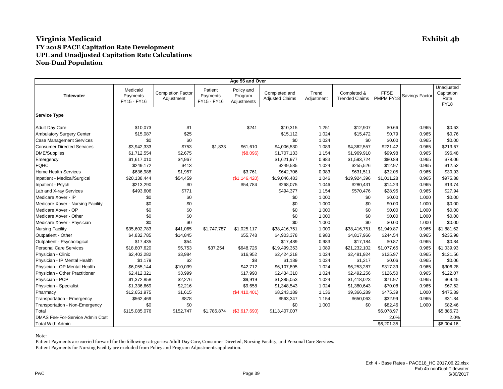| Age 55 and Over                   |                                     |                                        |                                    |                                      |                                         |                     |                                      |                          |                |                                                 |
|-----------------------------------|-------------------------------------|----------------------------------------|------------------------------------|--------------------------------------|-----------------------------------------|---------------------|--------------------------------------|--------------------------|----------------|-------------------------------------------------|
| <b>Tidewater</b>                  | Medicaid<br>Payments<br>FY15 - FY16 | <b>Completion Factor</b><br>Adjustment | Patient<br>Payments<br>FY15 - FY16 | Policy and<br>Program<br>Adjustments | Completed and<br><b>Adjusted Claims</b> | Trend<br>Adjustment | Completed &<br><b>Trended Claims</b> | <b>FFSE</b><br>PMPM FY18 | Savings Factor | Unadjusted<br>Capitation<br>Rate<br><b>FY18</b> |
| <b>Service Type</b>               |                                     |                                        |                                    |                                      |                                         |                     |                                      |                          |                |                                                 |
| <b>Adult Day Care</b>             | \$10,073                            | \$1                                    |                                    | \$241                                | \$10,315                                | 1.251               | \$12,907                             | \$0.66                   | 0.965          | \$0.63                                          |
| <b>Ambulatory Surgery Center</b>  | \$15,087                            | \$25                                   |                                    |                                      | \$15,112                                | 1.024               | \$15,472                             | \$0.79                   | 0.965          | \$0.76                                          |
| <b>Case Management Services</b>   | \$0                                 | \$0                                    |                                    |                                      | \$0                                     | 1.024               | \$0                                  | \$0.00                   | 0.965          | \$0.00                                          |
| <b>Consumer Directed Services</b> | \$3,942,333                         | \$753                                  | \$1,833                            | \$61,610                             | \$4,006,530                             | 1.089               | \$4,362,557                          | \$221.42                 | 0.965          | \$213.67                                        |
| DME/Supplies                      | \$1,712,554                         | \$2,675                                |                                    | (\$8,096)                            | \$1,707,133                             | 1.154               | \$1,969,910                          | \$99.98                  | 0.965          | \$96.48                                         |
| Emergency                         | \$1,617,010                         | \$4,967                                |                                    |                                      | \$1,621,977                             | 0.983               | \$1,593,724                          | \$80.89                  | 0.965          | \$78.06                                         |
| <b>FQHC</b>                       | \$249,172                           | \$413                                  |                                    |                                      | \$249,585                               | 1.024               | \$255,526                            | \$12.97                  | 0.965          | \$12.52                                         |
| <b>Home Health Services</b>       | \$636,988                           | \$1,957                                |                                    | \$3,761                              | \$642,706                               | 0.983               | \$631,511                            | \$32.05                  | 0.965          | \$30.93                                         |
| Inpatient - Medical/Surgical      | \$20,138,444                        | \$54,459                               |                                    | (\$1,146,420)                        | \$19,046,483                            | 1.046               | \$19,924,396                         | \$1,011.28               | 0.965          | \$975.88                                        |
| Inpatient - Psych                 | \$213,290                           | \$0                                    |                                    | \$54,784                             | \$268,075                               | 1.046               | \$280,431                            | \$14.23                  | 0.965          | \$13.74                                         |
| Lab and X-ray Services            | \$493,606                           | \$771                                  |                                    |                                      | \$494,377                               | 1.154               | \$570,476                            | \$28.95                  | 0.965          | \$27.94                                         |
| Medicare Xover - IP               | \$0                                 | \$0                                    |                                    |                                      | \$0                                     | 1.000               | \$0                                  | \$0.00                   | 1.000          | \$0.00                                          |
| Medicare Xover - Nursing Facility | \$0                                 | \$0                                    |                                    |                                      | \$0                                     | 1.000               | \$0                                  | \$0.00                   | 1.000          | \$0.00                                          |
| Medicare Xover - OP               | \$0                                 | \$0                                    |                                    |                                      | \$0                                     | 1.000               | \$0                                  | \$0.00                   | 1.000          | \$0.00                                          |
| Medicare Xover - Other            | \$0                                 | \$0                                    |                                    |                                      | \$0                                     | 1.000               | \$0                                  | \$0.00                   | 1.000          | \$0.00                                          |
| Medicare Xover - Physician        | \$0                                 | \$0                                    |                                    |                                      | \$0                                     | 1.000               | \$0                                  | \$0.00                   | 1.000          | \$0.00                                          |
| <b>Nursing Facility</b>           | \$35,602,783                        | \$41,065                               | \$1,747,787                        | \$1,025,117                          | \$38,416,751                            | 1.000               | \$38,416,751                         | \$1,949.87               | 0.965          | \$1,881.62                                      |
| Outpatient - Other                | \$4,832,785                         | \$14,845                               |                                    | \$55,748                             | \$4,903,378                             | 0.983               | \$4,817,966                          | \$244.54                 | 0.965          | \$235.98                                        |
| Outpatient - Psychological        | \$17,435                            | \$54                                   |                                    |                                      | \$17,489                                | 0.983               | \$17,184                             | \$0.87                   | 0.965          | \$0.84                                          |
| <b>Personal Care Services</b>     | \$18,807,620                        | \$5,753                                | \$37,254                           | \$648,726                            | \$19,499,353                            | 1.089               | \$21,232,102                         | \$1,077.65               | 0.965          | \$1,039.93                                      |
| Physician - Clinic                | \$2,403,282                         | \$3,984                                |                                    | \$16,952                             | \$2,424,218                             | 1.024               | \$2,481,924                          | \$125.97                 | 0.965          | \$121.56                                        |
| Physician - IP Mental Health      | \$1,179                             | \$2                                    |                                    | \$8                                  | \$1,189                                 | 1.024               | \$1,217                              | \$0.06                   | 0.965          | \$0.06                                          |
| Physician - OP Mental Health      | \$6,055,144                         | \$10,039                               |                                    | \$42,712                             | \$6,107,895                             | 1.024               | \$6,253,287                          | \$317.39                 | 0.965          | \$306.28                                        |
| Physician - Other Practitioner    | \$2,412,321                         | \$3,999                                |                                    | \$17,990                             | \$2,434,310                             | 1.024               | \$2,492,256                          | \$126.50                 | 0.965          | \$122.07                                        |
| Physician - PCP                   | \$1,372,858                         | \$2,276                                |                                    | \$9,919                              | \$1,385,053                             | 1.024               | \$1,418,023                          | \$71.97                  | 0.965          | \$69.45                                         |
| Physician - Specialist            | \$1,336,669                         | \$2,216                                |                                    | \$9,658                              | \$1,348,543                             | 1.024               | \$1,380,643                          | \$70.08                  | 0.965          | \$67.62                                         |
| Pharmacy                          | \$12,651,975                        | \$1,615                                |                                    | (\$4,410,401)                        | \$8,243,189                             | 1.136               | \$9,366,289                          | \$475.39                 | 1.000          | \$475.39                                        |
| Transportation - Emergency        | \$562,469                           | \$878                                  |                                    |                                      | \$563,347                               | 1.154               | \$650,063                            | \$32.99                  | 0.965          | \$31.84                                         |
| Transportation - Non-Emergency    | \$0                                 | \$0                                    |                                    |                                      | \$0                                     | 1.000               | \$0                                  | \$82.46                  | 1.000          | \$82.46                                         |
| Total                             | \$115,085,076                       | \$152,747                              | \$1,786,874                        | (\$3,617,690)                        | \$113,407,007                           |                     |                                      | \$6,078.97               |                | \$5,885.73                                      |
| DMAS Fee-For-Service Admin Cost   |                                     |                                        |                                    |                                      |                                         |                     |                                      | 2.0%                     |                | 2.0%                                            |
| <b>Total With Admin</b>           |                                     |                                        |                                    |                                      |                                         |                     |                                      | \$6,201.35               |                | \$6,004.16                                      |

Note: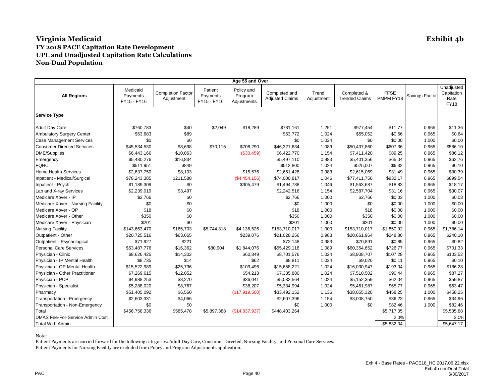| Age 55 and Over                   |                                     |                                        |                                    |                                      |                                         |                     |                                      |                          |                |                                                 |
|-----------------------------------|-------------------------------------|----------------------------------------|------------------------------------|--------------------------------------|-----------------------------------------|---------------------|--------------------------------------|--------------------------|----------------|-------------------------------------------------|
| <b>All Regions</b>                | Medicaid<br>Payments<br>FY15 - FY16 | <b>Completion Factor</b><br>Adjustment | Patient<br>Payments<br>FY15 - FY16 | Policy and<br>Program<br>Adjustments | Completed and<br><b>Adjusted Claims</b> | Trend<br>Adjustment | Completed &<br><b>Trended Claims</b> | <b>FFSE</b><br>PMPM FY18 | Savings Factor | Unadjusted<br>Capitation<br>Rate<br><b>FY18</b> |
| <b>Service Type</b>               |                                     |                                        |                                    |                                      |                                         |                     |                                      |                          |                |                                                 |
| <b>Adult Day Care</b>             | \$760,783                           | \$40                                   | \$2,049                            | \$18,289                             | \$781,161                               | 1.251               | \$977,454                            | \$11.77                  | 0.965          | \$11.36                                         |
| <b>Ambulatory Surgery Center</b>  | \$53,683                            | \$89                                   |                                    |                                      | \$53,772                                | 1.024               | \$55,052                             | \$0.66                   | 0.965          | \$0.64                                          |
| <b>Case Management Services</b>   | \$0                                 | \$0                                    |                                    |                                      | \$0                                     | 1.024               | \$0                                  | \$0.00                   | 1.000          | \$0.00                                          |
| <b>Consumer Directed Services</b> | \$45,534,530                        | \$8,698                                | \$70,116                           | \$708,290                            | \$46,321,634                            | 1.089               | \$50,437,860                         | \$607.36                 | 0.965          | \$586.10                                        |
| DME/Supplies                      | \$6,443,166                         | \$10,063                               |                                    | (\$30,459)                           | \$6,422,770                             | 1.154               | \$7,411,420                          | \$89.25                  | 0.965          | \$86.12                                         |
| Emergency                         | \$5,480,276                         | \$16,834                               |                                    |                                      | \$5,497,110                             | 0.983               | \$5,401,356                          | \$65.04                  | 0.965          | \$62.76                                         |
| <b>FQHC</b>                       | \$511,951                           | \$849                                  |                                    |                                      | \$512,800                               | 1.024               | \$525,007                            | \$6.32                   | 0.965          | \$6.10                                          |
| <b>Home Health Services</b>       | \$2,637,750                         | \$8,103                                |                                    | \$15,576                             | \$2,661,428                             | 0.983               | \$2,615,069                          | \$31.49                  | 0.965          | \$30.39                                         |
| Inpatient - Medical/Surgical      | \$78,243,385                        | \$211,588                              |                                    | (\$4,454,156)                        | \$74,000,817                            | 1.046               | \$77,411,750                         | \$932.17                 | 0.965          | \$899.54                                        |
| Inpatient - Psych                 | \$1,189,309                         | \$0                                    |                                    | \$305,479                            | \$1,494,788                             | 1.046               | \$1,563,687                          | \$18.83                  | 0.965          | \$18.17                                         |
| Lab and X-ray Services            | \$2,239,019                         | \$3,497                                |                                    |                                      | \$2,242,516                             | 1.154               | \$2,587,704                          | \$31.16                  | 0.965          | \$30.07                                         |
| Medicare Xover - IP               | \$2,766                             | \$0                                    |                                    |                                      | \$2,766                                 | 1.000               | \$2,766                              | \$0.03                   | 1.000          | \$0.03                                          |
| Medicare Xover - Nursing Facility | \$0                                 | \$0                                    |                                    |                                      | \$0                                     | 1.000               | \$0                                  | \$0.00                   | 1.000          | \$0.00                                          |
| Medicare Xover - OP               | \$18                                | \$0                                    |                                    |                                      | \$18                                    | 1.000               | \$18                                 | \$0.00                   | 1.000          | \$0.00                                          |
| Medicare Xover - Other            | \$350                               | \$0                                    |                                    |                                      | \$350                                   | 1.000               | \$350                                | \$0.00                   | 1.000          | \$0.00                                          |
| Medicare Xover - Physician        | \$201                               | \$0                                    |                                    |                                      | \$201                                   | 1.000               | \$201                                | \$0.00                   | 1.000          | \$0.00                                          |
| <b>Nursing Facility</b>           | \$143,663,470                       | \$165,703                              | \$5,744,318                        | \$4,136,526                          | \$153,710,017                           | 1.000               | \$153,710,017                        | \$1,850.92               | 0.965          | \$1,786.14                                      |
| Outpatient - Other                | \$20,725,516                        | \$63,665                               |                                    | \$239,076                            | \$21,028,256                            | 0.983               | \$20,661,964                         | \$248.80                 | 0.965          | \$240.10                                        |
| Outpatient - Psychological        | \$71,927                            | \$221                                  |                                    |                                      | \$72,148                                | 0.983               | \$70,891                             | \$0.85                   | 0.965          | \$0.82                                          |
| <b>Personal Care Services</b>     | \$53,487,776                        | \$16,362                               | \$80,904                           | \$1,844,076                          | \$55,429,118                            | 1.089               | \$60,354,652                         | \$726.77                 | 0.965          | \$701.33                                        |
| Physician - Clinic                | \$8,626,425                         | \$14,302                               |                                    | \$60,849                             | \$8,701,576                             | 1.024               | \$8,908,707                          | \$107.28                 | 0.965          | \$103.52                                        |
| Physician - IP Mental Health      | \$8,735                             | \$14                                   |                                    | \$62                                 | \$8,811                                 | 1.024               | \$9,020                              | \$0.11                   | 0.965          | \$0.10                                          |
| Physician - OP Mental Health      | \$15,522,989                        | \$25,736                               |                                    | \$109,496                            | \$15,658,221                            | 1.024               | \$16,030,947                         | \$193.04                 | 0.965          | \$186.28                                        |
| Physician - Other Practitioner    | \$7,269,615                         | \$12,052                               |                                    | \$54,213                             | \$7,335,880                             | 1.024               | \$7,510,502                          | \$90.44                  | 0.965          | \$87.27                                         |
| Physician - PCP                   | \$4,988,253                         | \$8,270                                |                                    | \$36,041                             | \$5,032,564                             | 1.024               | \$5,152,359                          | \$62.04                  | 0.965          | \$59.87                                         |
| Physician - Specialist            | \$5,288,020                         | \$8,767                                |                                    | \$38,207                             | \$5,334,994                             | 1.024               | \$5,461,987                          | \$65.77                  | 0.965          | \$63.47                                         |
| Pharmacy                          | \$51,405,092                        | \$6,560                                |                                    | (\$17,919,500)                       | \$33,492,152                            | 1.136               | \$38,055,320                         | \$458.25                 | 1.000          | \$458.25                                        |
| Transportation - Emergency        | \$2,603,331                         | \$4,066                                |                                    |                                      | \$2,607,396                             | 1.154               | \$3,008,750                          | \$36.23                  | 0.965          | \$34.96                                         |
| Transportation - Non-Emergency    | \$0                                 | \$0                                    |                                    |                                      | \$0                                     | 1.000               | \$0                                  | \$82.46                  | 1.000          | \$82.46                                         |
| Total                             | \$456,758,336                       | \$585,478                              | \$5,897,388                        | (\$14,837,937)                       | \$448,403,264                           |                     |                                      | \$5,717.05               |                | \$5,535.88                                      |
| DMAS Fee-For-Service Admin Cost   |                                     |                                        |                                    |                                      |                                         |                     |                                      | 2.0%                     |                | 2.0%                                            |
| <b>Total With Admin</b>           |                                     |                                        |                                    |                                      |                                         |                     |                                      | \$5,832.04               |                | \$5,647.17                                      |

Note: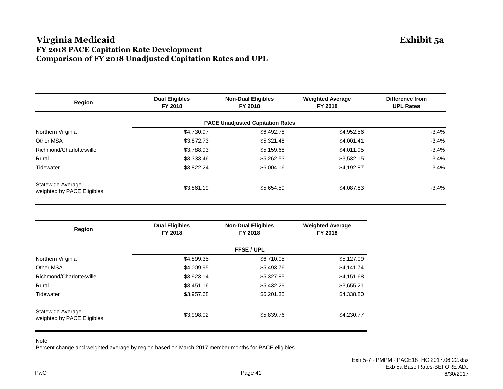### **Virginia Medicaid Exhibit 5a FY 2018 PACE Capitation Rate Development Comparison of FY 2018 Unadjusted Capitation Rates and UPL**

| Region                                          | <b>Dual Eligibles</b><br>FY 2018 | <b>Non-Dual Eligibles</b><br>FY 2018    | <b>Weighted Average</b><br>FY 2018 | Difference from<br><b>UPL Rates</b> |
|-------------------------------------------------|----------------------------------|-----------------------------------------|------------------------------------|-------------------------------------|
|                                                 |                                  | <b>PACE Unadjusted Capitation Rates</b> |                                    |                                     |
| Northern Virginia                               | \$4,730.97                       | \$6,492.78                              | \$4,952.56                         | $-3.4%$                             |
| Other MSA                                       | \$3,872.73                       | \$5,321.48                              | \$4,001.41                         | $-3.4%$                             |
| Richmond/Charlottesville                        | \$3,788.93                       | \$5,159.68                              | \$4,011.95                         | $-3.4%$                             |
| Rural                                           | \$3,333.46                       | \$5,262.53                              | \$3,532.15                         | $-3.4%$                             |
| Tidewater                                       | \$3,822.24                       | \$6,004.16                              | \$4,192.87                         | $-3.4%$                             |
| Statewide Average<br>weighted by PACE Eligibles | \$3,861.19                       | \$5.654.59                              | \$4,087.83                         | -3.4%                               |

| Region                                          | <b>Dual Eligibles</b><br>FY 2018 | <b>Non-Dual Eligibles</b><br>FY 2018 | <b>Weighted Average</b><br>FY 2018 |
|-------------------------------------------------|----------------------------------|--------------------------------------|------------------------------------|
|                                                 |                                  | <b>FFSE / UPL</b>                    |                                    |
| Northern Virginia                               | \$4,899.35                       | \$6,710.05                           | \$5,127.09                         |
| Other MSA                                       | \$4,009.95                       | \$5,493.76                           | \$4,141.74                         |
| Richmond/Charlottesville                        | \$3,923.14                       | \$5,327.85                           | \$4,151.68                         |
| Rural                                           | \$3,451.16                       | \$5,432.29                           | \$3,655.21                         |
| Tidewater                                       | \$3,957.68                       | \$6,201.35                           | \$4,338.80                         |
| Statewide Average<br>weighted by PACE Eligibles | \$3,998.02                       | \$5,839.76                           | \$4,230.77                         |

Note:

Percent change and weighted average by region based on March 2017 member months for PACE eligibles.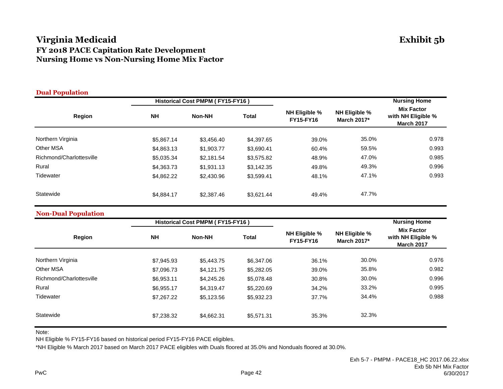## **Virginia Medicaid Exhibit 5b FY 2018 PACE Capitation Rate Development Nursing Home vs Non-Nursing Home Mix Factor**

| <b>Dual Population</b>   |            |                                  |              |                                   |                                     |                                                              |
|--------------------------|------------|----------------------------------|--------------|-----------------------------------|-------------------------------------|--------------------------------------------------------------|
|                          |            | Historical Cost PMPM (FY15-FY16) |              |                                   |                                     | <b>Nursing Home</b>                                          |
| <b>Region</b>            | <b>NH</b>  | <b>Non-NH</b>                    | <b>Total</b> | NH Eligible %<br><b>FY15-FY16</b> | <b>NH Eligible %</b><br>March 2017* | <b>Mix Factor</b><br>with NH Eligible %<br><b>March 2017</b> |
| Northern Virginia        | \$5,867.14 | \$3,456.40                       | \$4,397.65   | 39.0%                             | 35.0%                               | 0.978                                                        |
| <b>Other MSA</b>         | \$4,863.13 | \$1,903.77                       | \$3,690.41   | 60.4%                             | 59.5%                               | 0.993                                                        |
| Richmond/Charlottesville | \$5,035.34 | \$2,181.54                       | \$3,575.82   | 48.9%                             | 47.0%                               | 0.985                                                        |
| Rural                    | \$4,363.73 | \$1,931.13                       | \$3,142.35   | 49.8%                             | 49.3%                               | 0.996                                                        |
| Tidewater                | \$4,862.22 | \$2,430.96                       | \$3,599.41   | 48.1%                             | 47.1%                               | 0.993                                                        |
| Statewide                | \$4,884.17 | \$2,387.46                       | \$3,621.44   | 49.4%                             | 47.7%                               |                                                              |

#### **Non-Dual Population**

| $\overline{\phantom{a}}$ |            | Historical Cost PMPM (FY15-FY16) |              |                                   |                                            | <b>Nursing Home</b>                                          |
|--------------------------|------------|----------------------------------|--------------|-----------------------------------|--------------------------------------------|--------------------------------------------------------------|
| Region                   | <b>NH</b>  | <b>Non-NH</b>                    | <b>Total</b> | NH Eligible %<br><b>FY15-FY16</b> | <b>NH Eligible %</b><br><b>March 2017*</b> | <b>Mix Factor</b><br>with NH Eligible %<br><b>March 2017</b> |
| Northern Virginia        | \$7,945.93 | \$5,443.75                       | \$6,347.06   | 36.1%                             | 30.0%                                      | 0.976                                                        |
| Other MSA                | \$7,096.73 | \$4,121.75                       | \$5,282.05   | 39.0%                             | 35.8%                                      | 0.982                                                        |
| Richmond/Charlottesville | \$6,953.11 | \$4,245.26                       | \$5,078.48   | 30.8%                             | 30.0%                                      | 0.996                                                        |
| Rural                    | \$6,955.17 | \$4,319.47                       | \$5,220.69   | 34.2%                             | 33.2%                                      | 0.995                                                        |
| Tidewater                | \$7,267,22 | \$5.123.56                       | \$5,932.23   | 37.7%                             | 34.4%                                      | 0.988                                                        |
| Statewide                | \$7,238.32 | \$4,662.31                       | \$5,571.31   | 35.3%                             | 32.3%                                      |                                                              |

Note:

NH Eligible % FY15-FY16 based on historical period FY15-FY16 PACE eligibles.

\*NH Eligible % March 2017 based on March 2017 PACE eligibles with Duals floored at 35.0% and Nonduals floored at 30.0%.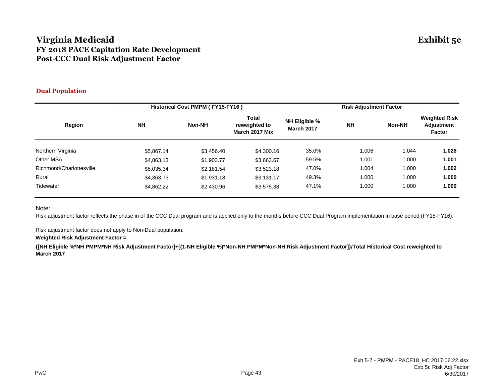### **Virginia Medicaid Exhibit 5c FY 2018 PACE Capitation Rate Development Post-CCC Dual Risk Adjustment Factor**

#### **Dual Population**

|                          |            | Historical Cost PMPM (FY15-FY16) |                                          |                                           | <b>Risk Adjustment Factor</b> |               |                                                     |
|--------------------------|------------|----------------------------------|------------------------------------------|-------------------------------------------|-------------------------------|---------------|-----------------------------------------------------|
| Region                   | <b>NH</b>  | <b>Non-NH</b>                    | Total<br>reweighted to<br>March 2017 Mix | <b>NH Eligible %</b><br><b>March 2017</b> | <b>NH</b>                     | <b>Non-NH</b> | <b>Weighted Risk</b><br><b>Adjustment</b><br>Factor |
| Northern Virginia        | \$5,867.14 | \$3,456.40                       | \$4,300.16                               | 35.0%                                     | 1.006                         | 1.044         | 1.026                                               |
| Other MSA                | \$4,863.13 | \$1,903.77                       | \$3,663.67                               | 59.5%                                     | 1.001                         | 1.000         | 1.001                                               |
| Richmond/Charlottesville | \$5,035.34 | \$2,181.54                       | \$3,523.18                               | 47.0%                                     | 1.004                         | 1.000         | 1.002                                               |
| Rural                    | \$4,363.73 | \$1,931.13                       | \$3,131.17                               | 49.3%                                     | 1.000                         | 1.000         | 1.000                                               |
| Tidewater                | \$4,862.22 | \$2,430.96                       | \$3,575.38                               | 47.1%                                     | 1.000                         | 1.000         | 1.000                                               |

Note:

Risk adjustment factor reflects the phase in of the CCC Dual program and is applied only to the months before CCC Dual Program implementation in base period (FY15-FY16).

Risk adjustment factor does not apply to Non-Dual population.

#### **Weighted Risk Adjustment Factor =**

**{[NH Eligible %\*NH PMPM\*NH Risk Adjustment Factor]+[(1-NH Eligible %)\*Non-NH PMPM\*Non-NH Risk Adjustment Factor]}/Total Historical Cost reweighted to March 2017**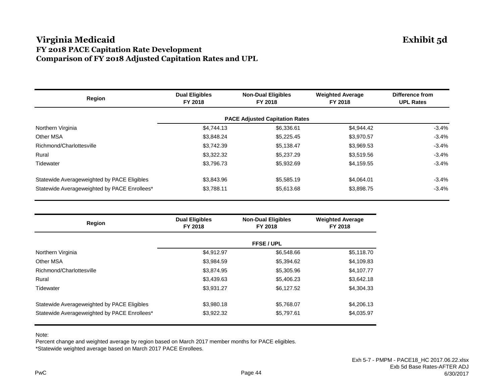### **Virginia Medicaid Exhibit 5d FY 2018 PACE Capitation Rate Development Comparison of FY 2018 Adjusted Capitation Rates and UPL**

| <b>Region</b>                                | <b>Dual Eligibles</b><br><b>Non-Dual Eligibles</b><br>FY 2018<br>FY 2018 |                                       | <b>Weighted Average</b><br>FY 2018 | Difference from<br><b>UPL Rates</b> |  |
|----------------------------------------------|--------------------------------------------------------------------------|---------------------------------------|------------------------------------|-------------------------------------|--|
|                                              |                                                                          | <b>PACE Adjusted Capitation Rates</b> |                                    |                                     |  |
| Northern Virginia                            | \$4,744.13                                                               | \$6,336.61                            | \$4,944.42                         | $-3.4%$                             |  |
| Other MSA                                    | \$3,848.24                                                               | \$5,225.45                            | \$3,970.57                         | $-3.4%$                             |  |
| Richmond/Charlottesville                     | \$3,742.39                                                               | \$5,138.47                            | \$3,969.53                         | $-3.4%$                             |  |
| Rural                                        | \$3,322.32                                                               | \$5,237.29                            | \$3,519.56                         | $-3.4%$                             |  |
| Tidewater                                    | \$3,796.73                                                               | \$5,932.69                            | \$4,159.55                         | $-3.4%$                             |  |
| Statewide Averageweighted by PACE Eligibles  | \$3,843.96                                                               | \$5,585.19                            | \$4.064.01                         | $-3.4\%$                            |  |
| Statewide Averageweighted by PACE Enrollees* | \$3,788.11                                                               | \$5,613.68                            | \$3,898.75                         | $-3.4%$                             |  |

| <b>Region</b>                                | <b>Dual Eligibles</b><br>FY 2018 | <b>Non-Dual Eligibles</b><br>FY 2018 | <b>Weighted Average</b><br>FY 2018 |  |
|----------------------------------------------|----------------------------------|--------------------------------------|------------------------------------|--|
|                                              | <b>FFSE / UPL</b>                |                                      |                                    |  |
| Northern Virginia                            | \$4,912.97                       | \$6,548.66                           | \$5,118.70                         |  |
| Other MSA                                    | \$3,984.59                       | \$5,394.62                           | \$4,109.83                         |  |
| Richmond/Charlottesville                     | \$3,874.95                       | \$5,305.96                           | \$4,107.77                         |  |
| Rural                                        | \$3,439.63                       | \$5,406.23                           | \$3,642.18                         |  |
| Tidewater                                    | \$3.931.27                       | \$6,127.52                           | \$4,304.33                         |  |
| Statewide Averageweighted by PACE Eligibles  | \$3,980.18                       | \$5,768.07                           | \$4,206.13                         |  |
| Statewide Averageweighted by PACE Enrollees* | \$3.922.32                       | \$5.797.61                           | \$4,035.97                         |  |

Note:

Percent change and weighted average by region based on March 2017 member months for PACE eligibles. \*Statewide weighted average based on March 2017 PACE Enrollees.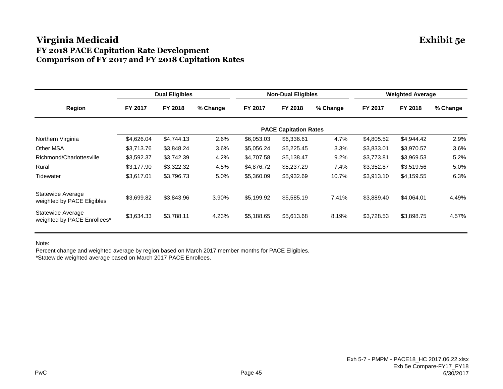## **Virginia Medicaid Exhibit 5e FY 2018 PACE Capitation Rate Development Comparison of FY 2017 and FY 2018 Capitation Rates**

|                                                  |            | <b>Dual Eligibles</b> |          |            | <b>Non-Dual Eligibles</b>    |          |            | <b>Weighted Average</b> |          |
|--------------------------------------------------|------------|-----------------------|----------|------------|------------------------------|----------|------------|-------------------------|----------|
| Region                                           | FY 2017    | FY 2018               | % Change | FY 2017    | FY 2018                      | % Change | FY 2017    | FY 2018                 | % Change |
|                                                  |            |                       |          |            | <b>PACE Capitation Rates</b> |          |            |                         |          |
| Northern Virginia                                | \$4,626.04 | \$4,744.13            | 2.6%     | \$6,053.03 | \$6,336.61                   | 4.7%     | \$4,805.52 | \$4,944.42              | 2.9%     |
| <b>Other MSA</b>                                 | \$3,713.76 | \$3,848.24            | $3.6\%$  | \$5,056.24 | \$5,225.45                   | 3.3%     | \$3,833.01 | \$3,970.57              | 3.6%     |
| Richmond/Charlottesville                         | \$3,592.37 | \$3,742.39            | 4.2%     | \$4,707.58 | \$5,138.47                   | 9.2%     | \$3,773.81 | \$3,969.53              | 5.2%     |
| Rural                                            | \$3,177.90 | \$3,322.32            | 4.5%     | \$4,876.72 | \$5,237.29                   | 7.4%     | \$3,352.87 | \$3,519.56              | 5.0%     |
| Tidewater                                        | \$3,617.01 | \$3,796.73            | 5.0%     | \$5,360.09 | \$5,932.69                   | 10.7%    | \$3,913.10 | \$4,159.55              | 6.3%     |
| Statewide Average<br>weighted by PACE Eligibles  | \$3,699.82 | \$3,843.96            | 3.90%    | \$5,199.92 | \$5,585.19                   | 7.41%    | \$3,889.40 | \$4,064.01              | 4.49%    |
| Statewide Average<br>weighted by PACE Enrollees* | \$3,634.33 | \$3,788.11            | 4.23%    | \$5,188.65 | \$5,613.68                   | 8.19%    | \$3,728.53 | \$3,898.75              | 4.57%    |

Note:

Percent change and weighted average by region based on March 2017 member months for PACE Eligibles. \*Statewide weighted average based on March 2017 PACE Enrollees.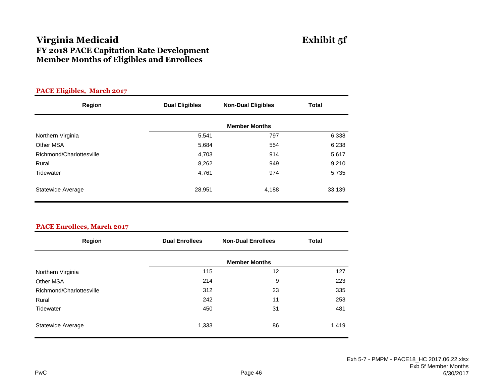## **Virginia Medicaid FY 2018 PACE Capitation Rate Development Member Months of Eligibles and Enrollees**

| Exhibit 5f |  |
|------------|--|
|------------|--|

| <b>PACE Eligibles, March 2017</b> |                       |                           |              |
|-----------------------------------|-----------------------|---------------------------|--------------|
| Region                            | <b>Dual Eligibles</b> | <b>Non-Dual Eligibles</b> | <b>Total</b> |
|                                   |                       | <b>Member Months</b>      |              |
| Northern Virginia                 | 5,541                 | 797                       | 6,338        |
| Other MSA                         | 5,684                 | 554                       | 6,238        |
| Richmond/Charlottesville          | 4,703                 | 914                       | 5,617        |
| Rural                             | 8,262                 | 949                       | 9,210        |
| Tidewater                         | 4,761                 | 974                       | 5,735        |
| Statewide Average                 | 28,951                | 4,188                     | 33,139       |

| <b>PACE Enrollees, March 2017</b> |
|-----------------------------------|
|-----------------------------------|

| <b>Region</b>            | <b>Dual Enrollees</b> | <b>Non-Dual Enrollees</b> | <b>Total</b> |
|--------------------------|-----------------------|---------------------------|--------------|
|                          |                       | <b>Member Months</b>      |              |
| Northern Virginia        | 115                   | 12                        | 127          |
| Other MSA                | 214                   | 9                         | 223          |
| Richmond/Charlottesville | 312                   | 23                        | 335          |
| Rural                    | 242                   | 11                        | 253          |
| Tidewater                | 450                   | 31                        | 481          |
| Statewide Average        | 1,333                 | 86                        | 1,419        |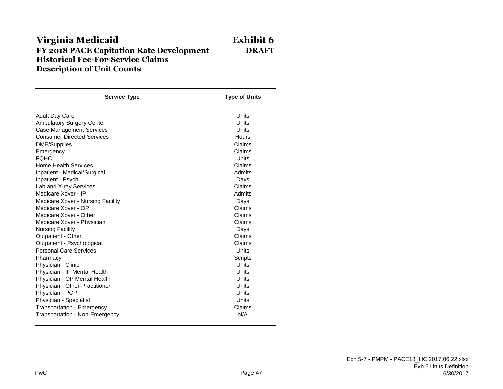## **Virginia Medicaid Exhibit 6 FY 2018 PACE Capitation Rate Development DRAFT Historical Fee-For-Service Claims Description of Unit Counts**

| <b>Service Type</b>               | <b>Type of Units</b> |
|-----------------------------------|----------------------|
| <b>Adult Day Care</b>             | Units                |
| <b>Ambulatory Surgery Center</b>  | Units                |
| <b>Case Management Services</b>   | Units                |
| <b>Consumer Directed Services</b> | Hours                |
| <b>DME/Supplies</b>               | Claims               |
| Emergency                         | Claims               |
| <b>FOHC</b>                       | Units                |
| <b>Home Health Services</b>       | Claims               |
| Inpatient - Medical/Surgical      | Admits               |
| Inpatient - Psych                 | Days                 |
| Lab and X-ray Services            | Claims               |
| Medicare Xover - IP               | Admits               |
| Medicare Xover - Nursing Facility | Days                 |
| Medicare Xover - OP               | Claims               |
| Medicare Xover - Other            | Claims               |
| Medicare Xover - Physician        | Claims               |
| <b>Nursing Facility</b>           | Days                 |
| Outpatient - Other                | Claims               |
| Outpatient - Psychological        | Claims               |
| <b>Personal Care Services</b>     | Units                |
| Pharmacy                          | Scripts              |
| Physician - Clinic                | Units                |
| Physician - IP Mental Health      | Units                |
| Physician - OP Mental Health      | Units                |
| Physician - Other Practitioner    | Units                |
| Physician - PCP                   | Units                |
| Physician - Specialist            | Units                |
| Transportation - Emergency        | Claims               |
| Transportation - Non-Emergency    | N/A                  |